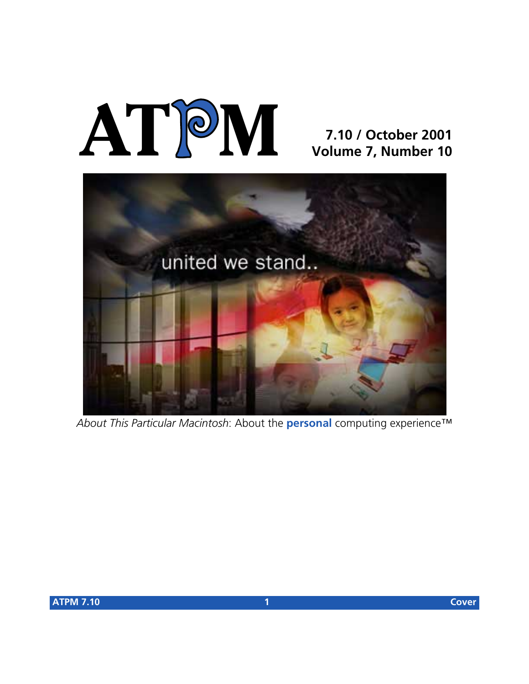# **AT**P**M**

# **7.10 / October 2001 Volume 7, Number 10**



*About This Particular Macintosh*: About the **personal** computing experience™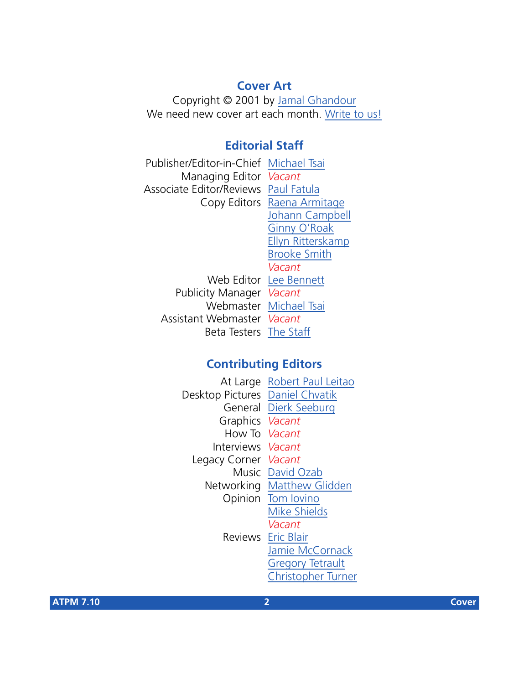# **Cover Art**

Copyright © 2001 by [Jamal Ghandour](mailto:jghandour@atpm.com) We need new cover art each month. [Write to us!](mailto:cover-art@atpm.com)

# **Editorial Staff**

Publisher/Editor-in-Chief [Michael Tsai](mailto:mtsai@atpm.com) Managing Editor *Vacant* Associate Editor/Reviews [Paul Fatula](mailto:pfatula@atpm.com) Copy Editors [Raena Armitage](mailto:rarmitage@atpm.com) [Johann Campbell](mailto:jcampbell@atpm.com) [Ginny O'Roak](mailto:goroak@atpm.com) [Ellyn Ritterskamp](mailto:eritterskamp@atpm.com) [Brooke Smith](mailto:bsmith@atpm.com) *Vacant* Web Editor [Lee Bennett](mailto:lbennett@atpm.com) Publicity Manager *Vacant* Webmaster [Michael Tsai](mailto:mtsai@atpm.com) Assistant Webmaster *Vacant* Beta Testers [The Staff](mailto:editor@atpm.com)

# **Contributing Editors**

|                                 | At Large Robert Paul Leitao |
|---------------------------------|-----------------------------|
| Desktop Pictures Daniel Chvatik |                             |
|                                 | General Dierk Seeburg       |
| Graphics <i>Vacant</i>          |                             |
| How To Vacant                   |                             |
| Interviews Vacant               |                             |
| Legacy Corner Vacant            |                             |
|                                 | Music David Ozab            |
|                                 | Networking Matthew Glidden  |
|                                 | Opinion Tom lovino          |
|                                 | <b>Mike Shields</b>         |
|                                 | Vacant                      |
|                                 | <b>Reviews</b> Eric Blair   |
|                                 | Jamie McCornack             |
|                                 | <b>Gregory Tetrault</b>     |
|                                 | <b>Christopher Turner</b>   |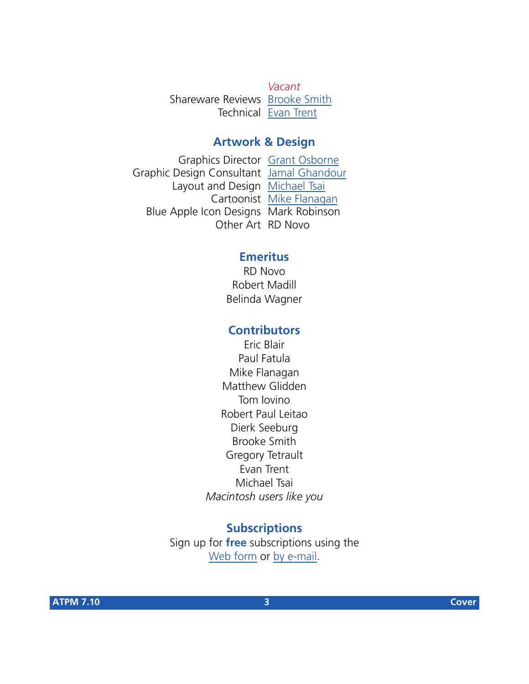*Vacant* Shareware Reviews [Brooke Smith](mailto:bsmith@atpm.com) Technical [Evan Trent](mailto:etrent@atpm.com)

## **Artwork & Design**

Graphics Director [Grant Osborne](mailto:gosborne@atpm.com) Graphic Design Consultant [Jamal Ghandour](mailto:jghandour@atpm.com) Layout and Design [Michael Tsai](mailto:mtsai@atpm.com) Cartoonist [Mike Flanagan](mailto:sensible@sensible.screaming.net) Blue Apple Icon Designs Mark Robinson Other Art RD Novo

# **Emeritus**

RD Novo Robert Madill Belinda Wagner

# **Contributors**

Eric Blair Paul Fatula Mike Flanagan Matthew Glidden Tom Iovino Robert Paul Leitao Dierk Seeburg Brooke Smith Gregory Tetrault Evan Trent Michael Tsai *Macintosh users like you*

## **Subscriptions**

Sign up for **free** subscriptions using the [Web form](http://www.atpm.com/subscribe/) or [by e-mail.](mailto:subscriptions@atpm.com)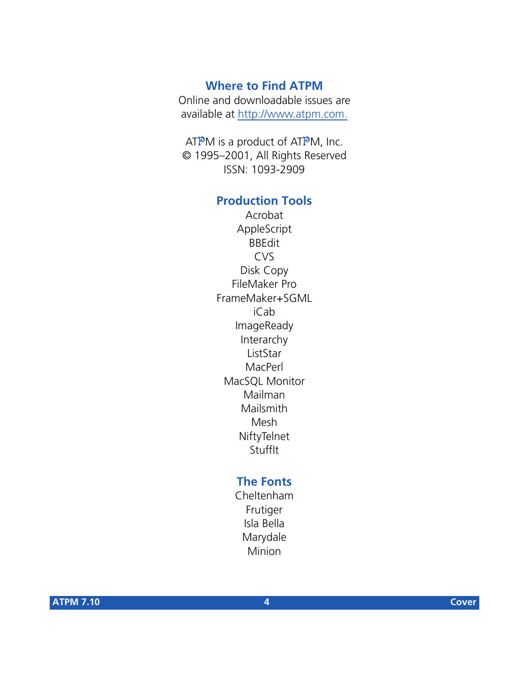# **Where to Find ATPM**

Online and downloadable issues are available at [http://www.atpm.com.](http://www.atpm.com)

ATPM is a product of ATPM, Inc. © 1995–2001, All Rights Reserved ISSN: 1093-2909

# **Production Tools**

Acrobat AppleScript BBEdit CVS Disk Copy FileMaker Pro FrameMaker+SGML iCab ImageReady Interarchy ListStar MacPerl MacSQL Monitor Mailman Mailsmith Mesh **NiftyTelnet** StuffIt

# **The Fonts**

Cheltenham Frutiger Isla Bella Marydale Minion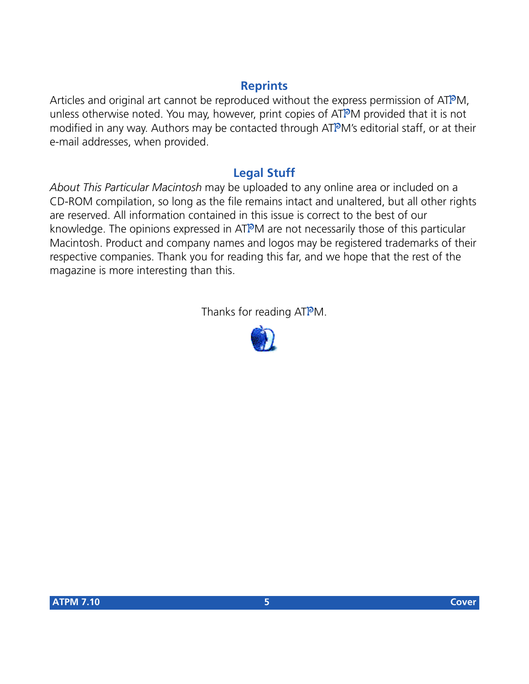# **Reprints**

Articles and original art cannot be reproduced without the express permission of ATPM, unless otherwise noted. You may, however, print copies of ATPM provided that it is not modified in any way. Authors may be contacted through ATPM's editorial staff, or at their e-mail addresses, when provided.

# **Legal Stuff**

*About This Particular Macintosh* may be uploaded to any online area or included on a CD-ROM compilation, so long as the file remains intact and unaltered, but all other rights are reserved. All information contained in this issue is correct to the best of our knowledge. The opinions expressed in ATPM are not necessarily those of this particular Macintosh. Product and company names and logos may be registered trademarks of their respective companies. Thank you for reading this far, and we hope that the rest of the magazine is more interesting than this.

Thanks for reading ATPM.

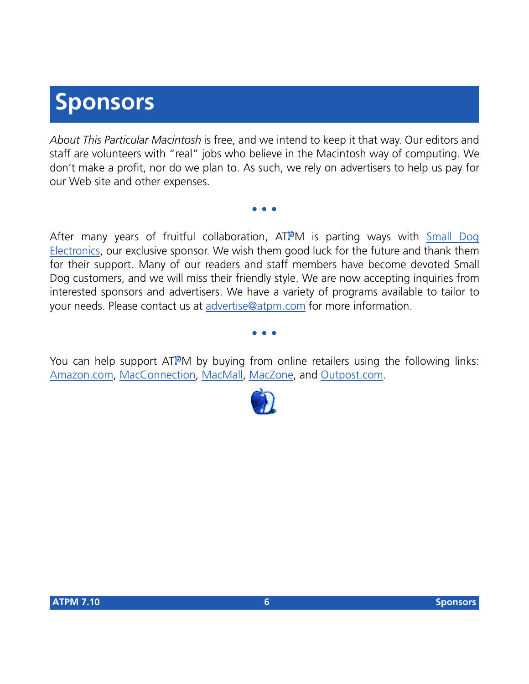# **Sponsors**

*About This Particular Macintosh* is free, and we intend to keep it that way. Our editors and staff are volunteers with "real" jobs who believe in the Macintosh way of computing. We don't make a profit, nor do we plan to. As such, we rely on advertisers to help us pay for our Web site and other expenses.

**• • •**

After many years of fruitful collaboration, ATPM is parting ways with [Small Dog](http://www.smalldog.com) [Electronics,](http://www.smalldog.com) our exclusive sponsor. We wish them good luck for the future and thank them for their support. Many of our readers and staff members have become devoted Small Dog customers, and we will miss their friendly style. We are now accepting inquiries from interested sponsors and advertisers. We have a variety of programs available to tailor to your needs. Please contact us at [advertise@atpm.com](mailto:advertise@atpm.com) for more information.

**• • •**

You can help support ATPM by buying from online retailers using the following links: [Amazon.com](http://www.amazon.com/exec/obidos/redirect-home/aboutthisparticu), [MacConnection](http://service.bfast.com/bfast/click/mid9452939?siteid=13311227&bfpage=machomepage), [MacMall](http://www.commission-junction.com/track/track.dll?AID=53427&PID=297078&URL=http%3A%2F%2Fwww%2Emacmall%2Ecom%2Fmacaffiliate), [MacZone,](http://service.bfast.com/bfast/click?bfmid=1942029&siteid=26240435&bfpage=mac_zone) and [Outpost.com.](http://www.linksynergy.com/fs-bin/stat?id=N00D3BtDeo0&offerid=2161&type=3)

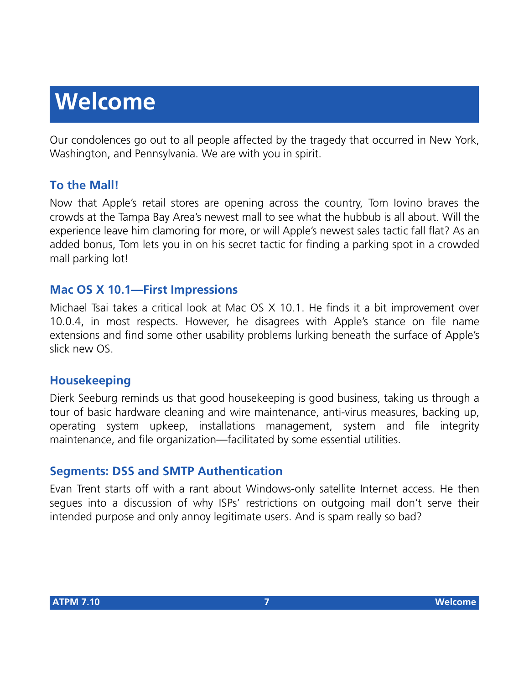# **Welcome**

Our condolences go out to all people affected by the tragedy that occurred in New York, Washington, and Pennsylvania. We are with you in spirit.

# **To the Mall!**

Now that Apple's retail stores are opening across the country, Tom Iovino braves the crowds at the Tampa Bay Area's newest mall to see what the hubbub is all about. Will the experience leave him clamoring for more, or will Apple's newest sales tactic fall flat? As an added bonus, Tom lets you in on his secret tactic for finding a parking spot in a crowded mall parking lot!

# **Mac OS X 10.1—First Impressions**

Michael Tsai takes a critical look at Mac OS X 10.1. He finds it a bit improvement over 10.0.4, in most respects. However, he disagrees with Apple's stance on file name extensions and find some other usability problems lurking beneath the surface of Apple's slick new OS.

# **Housekeeping**

Dierk Seeburg reminds us that good housekeeping is good business, taking us through a tour of basic hardware cleaning and wire maintenance, anti-virus measures, backing up, operating system upkeep, installations management, system and file integrity maintenance, and file organization—facilitated by some essential utilities.

# **Segments: DSS and SMTP Authentication**

Evan Trent starts off with a rant about Windows-only satellite Internet access. He then segues into a discussion of why ISPs' restrictions on outgoing mail don't serve their intended purpose and only annoy legitimate users. And is spam really so bad?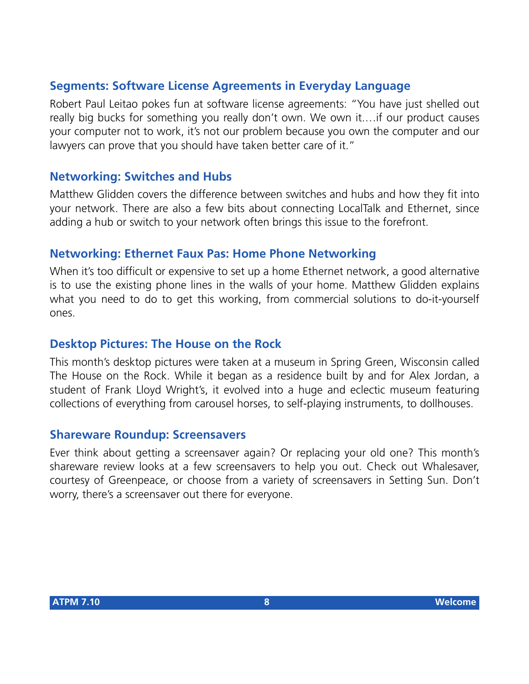# **Segments: Software License Agreements in Everyday Language**

Robert Paul Leitao pokes fun at software license agreements: "You have just shelled out really big bucks for something you really don't own. We own it.…if our product causes your computer not to work, it's not our problem because you own the computer and our lawyers can prove that you should have taken better care of it."

## **Networking: Switches and Hubs**

Matthew Glidden covers the difference between switches and hubs and how they fit into your network. There are also a few bits about connecting LocalTalk and Ethernet, since adding a hub or switch to your network often brings this issue to the forefront.

#### **Networking: Ethernet Faux Pas: Home Phone Networking**

When it's too difficult or expensive to set up a home Ethernet network, a good alternative is to use the existing phone lines in the walls of your home. Matthew Glidden explains what you need to do to get this working, from commercial solutions to do-it-yourself ones.

#### **Desktop Pictures: The House on the Rock**

This month's desktop pictures were taken at a museum in Spring Green, Wisconsin called The House on the Rock. While it began as a residence built by and for Alex Jordan, a student of Frank Lloyd Wright's, it evolved into a huge and eclectic museum featuring collections of everything from carousel horses, to self-playing instruments, to dollhouses.

#### **Shareware Roundup: Screensavers**

Ever think about getting a screensaver again? Or replacing your old one? This month's shareware review looks at a few screensavers to help you out. Check out Whalesaver, courtesy of Greenpeace, or choose from a variety of screensavers in Setting Sun. Don't worry, there's a screensaver out there for everyone.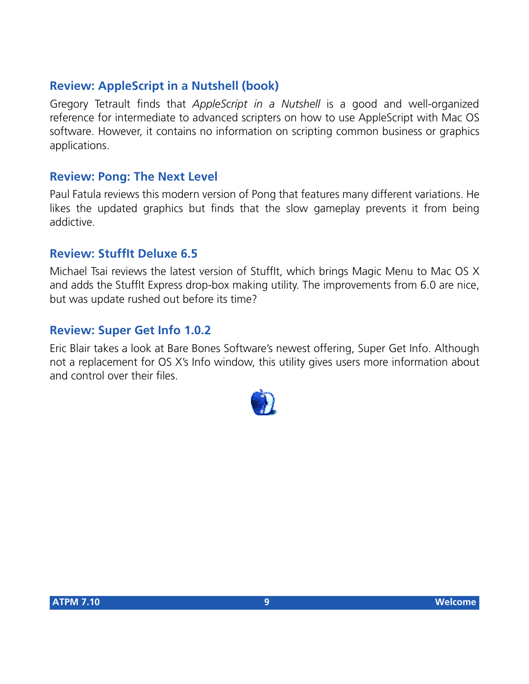# **Review: AppleScript in a Nutshell (book)**

Gregory Tetrault finds that *AppleScript in a Nutshell* is a good and well-organized reference for intermediate to advanced scripters on how to use AppleScript with Mac OS software. However, it contains no information on scripting common business or graphics applications.

# **Review: Pong: The Next Level**

Paul Fatula reviews this modern version of Pong that features many different variations. He likes the updated graphics but finds that the slow gameplay prevents it from being addictive.

# **Review: StuffIt Deluxe 6.5**

Michael Tsai reviews the latest version of StuffIt, which brings Magic Menu to Mac OS X and adds the StuffIt Express drop-box making utility. The improvements from 6.0 are nice, but was update rushed out before its time?

# **Review: Super Get Info 1.0.2**

Eric Blair takes a look at Bare Bones Software's newest offering, Super Get Info. Although not a replacement for OS X's Info window, this utility gives users more information about and control over their files.

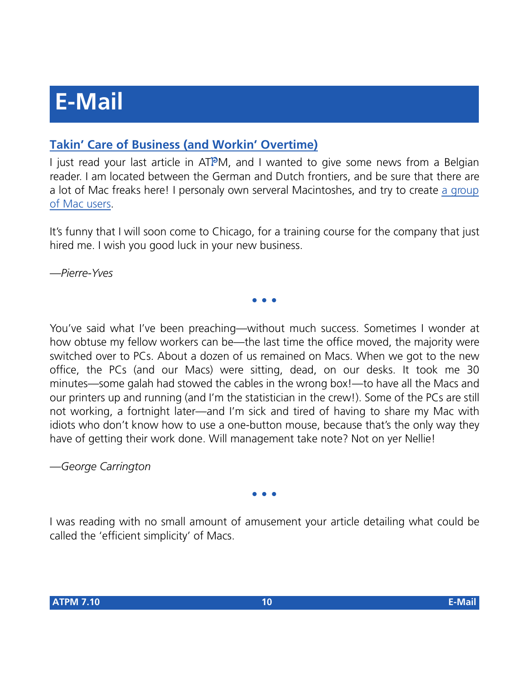# **E-Mail**

# **[Takin' Care of Business \(and Workin' Overtime\)](http://www.atpm.com/7.09/segments.shtml)**

I just read your last article in  $ATPM$ , and I wanted to give some news from a Belgian reader. I am located between the German and Dutch frontiers, and be sure that there are a lot of Mac freaks here! I personaly own serveral Macintoshes, and try to create [a group](http://www.nous.be/mac) [of Mac users](http://www.nous.be/mac).

It's funny that I will soon come to Chicago, for a training course for the company that just hired me. I wish you good luck in your new business.

**• • •**

*—Pierre-Yves*

You've said what I've been preaching—without much success. Sometimes I wonder at how obtuse my fellow workers can be—the last time the office moved, the majority were switched over to PCs. About a dozen of us remained on Macs. When we got to the new office, the PCs (and our Macs) were sitting, dead, on our desks. It took me 30 minutes—some galah had stowed the cables in the wrong box!—to have all the Macs and our printers up and running (and I'm the statistician in the crew!). Some of the PCs are still not working, a fortnight later—and I'm sick and tired of having to share my Mac with idiots who don't know how to use a one-button mouse, because that's the only way they have of getting their work done. Will management take note? Not on yer Nellie!

*—George Carrington*

**• • •**

I was reading with no small amount of amusement your article detailing what could be called the 'efficient simplicity' of Macs.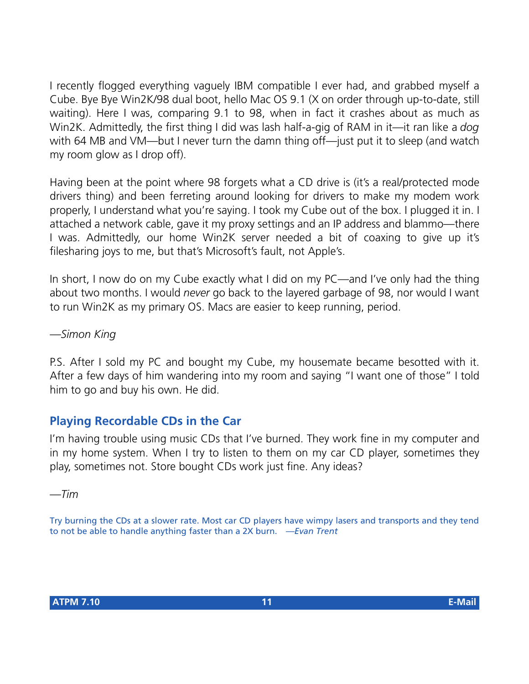I recently flogged everything vaguely IBM compatible I ever had, and grabbed myself a Cube. Bye Bye Win2K/98 dual boot, hello Mac OS 9.1 (X on order through up-to-date, still waiting). Here I was, comparing 9.1 to 98, when in fact it crashes about as much as Win2K. Admittedly, the first thing I did was lash half-a-gig of RAM in it—it ran like a *dog* with 64 MB and VM—but I never turn the damn thing off—just put it to sleep (and watch my room glow as I drop off).

Having been at the point where 98 forgets what a CD drive is (it's a real/protected mode drivers thing) and been ferreting around looking for drivers to make my modem work properly, I understand what you're saying. I took my Cube out of the box. I plugged it in. I attached a network cable, gave it my proxy settings and an IP address and blammo—there I was. Admittedly, our home Win2K server needed a bit of coaxing to give up it's filesharing joys to me, but that's Microsoft's fault, not Apple's.

In short, I now do on my Cube exactly what I did on my PC—and I've only had the thing about two months. I would *never* go back to the layered garbage of 98, nor would I want to run Win2K as my primary OS. Macs are easier to keep running, period.

*—Simon King*

P.S. After I sold my PC and bought my Cube, my housemate became besotted with it. After a few days of him wandering into my room and saying "I want one of those" I told him to go and buy his own. He did.

# **Playing Recordable CDs in the Car**

I'm having trouble using music CDs that I've burned. They work fine in my computer and in my home system. When I try to listen to them on my car CD player, sometimes they play, sometimes not. Store bought CDs work just fine. Any ideas?

*—Tim*

Try burning the CDs at a slower rate. Most car CD players have wimpy lasers and transports and they tend to not be able to handle anything faster than a 2X burn. *—Evan Trent*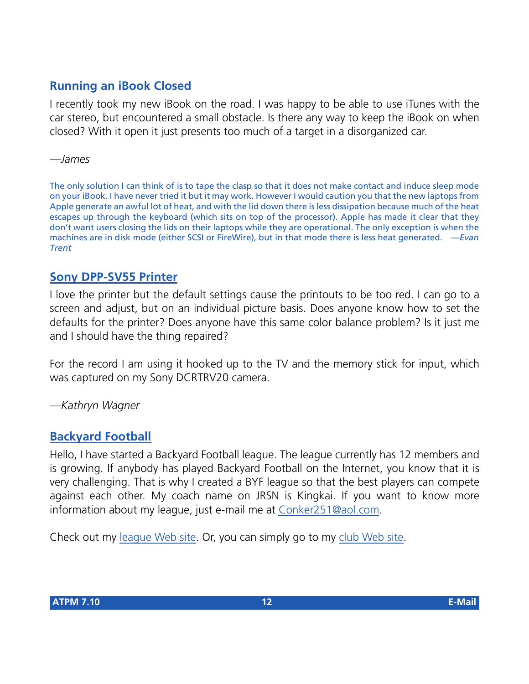# **Running an iBook Closed**

I recently took my new iBook on the road. I was happy to be able to use iTunes with the car stereo, but encountered a small obstacle. Is there any way to keep the iBook on when closed? With it open it just presents too much of a target in a disorganized car.

*—James*

The only solution I can think of is to tape the clasp so that it does not make contact and induce sleep mode on your iBook. I have never tried it but it may work. However I would caution you that the new laptops from Apple generate an awful lot of heat, and with the lid down there is less dissipation because much of the heat escapes up through the keyboard (which sits on top of the processor). Apple has made it clear that they don't want users closing the lids on their laptops while they are operational. The only exception is when the machines are in disk mode (either SCSI or FireWire), but in that mode there is less heat generated. *—Evan Trent*

# **[Sony DPP-SV55 Printer](http://www.atpm.com/7.04/dpp-sv55.shtml)**

I love the printer but the default settings cause the printouts to be too red. I can go to a screen and adjust, but on an individual picture basis. Does anyone know how to set the defaults for the printer? Does anyone have this same color balance problem? Is it just me and I should have the thing repaired?

For the record I am using it hooked up to the TV and the memory stick for input, which was captured on my Sony DCRTRV20 camera.

*—Kathryn Wagner*

## **[Backyard Football](http://www.atpm.com/5.12/byf.shtml)**

Hello, I have started a Backyard Football league. The league currently has 12 members and is growing. If anybody has played Backyard Football on the Internet, you know that it is very challenging. That is why I created a BYF league so that the best players can compete against each other. My coach name on JRSN is Kingkai. If you want to know more information about my league, just e-mail me at [Conker251@aol.com.](mailto:Conker251@aol.com)

Check out my [league Web site.](http://members.aol.com/~Vjardell/the_new_season_2001.htm) Or, you can simply go to my [club Web site](http://clubs.yahoo.com/clubs/thebackyardfootballseason).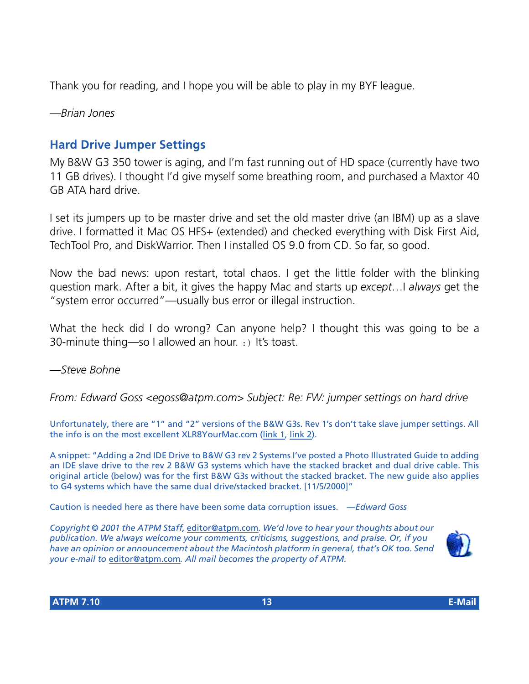Thank you for reading, and I hope you will be able to play in my BYF league.

*—Brian Jones*

# **Hard Drive Jumper Settings**

My B&W G3 350 tower is aging, and I'm fast running out of HD space (currently have two 11 GB drives). I thought I'd give myself some breathing room, and purchased a Maxtor 40 GB ATA hard drive.

I set its jumpers up to be master drive and set the old master drive (an IBM) up as a slave drive. I formatted it Mac OS HFS+ (extended) and checked everything with Disk First Aid, TechTool Pro, and DiskWarrior. Then I installed OS 9.0 from CD. So far, so good.

Now the bad news: upon restart, total chaos. I get the little folder with the blinking question mark. After a bit, it gives the happy Mac and starts up *except*…I *always* get the "system error occurred"—usually bus error or illegal instruction.

What the heck did I do wrong? Can anyone help? I thought this was going to be a 30-minute thing—so I allowed an hour. :) It's toast.

*—Steve Bohne*

*From: Edward Goss <egoss@atpm.com> Subject: Re: FW: jumper settings on hard drive*

Unfortunately, there are "1" and "2" versions of the B&W G3s. Rev 1's don't take slave jumper settings. All the info is on the most excellent XLR8YourMac.com [\(link 1,](http://www.xlr8yourmac.com/G3-ZONE/yosemite/IDE/) [link 2\)](http://www.xlr8yourmac.com/IDE/add_2nd_drive/index.html).

A snippet: "Adding a 2nd IDE Drive to B&W G3 rev 2 Systems I've posted a Photo Illustrated Guide to adding an IDE slave drive to the rev 2 B&W G3 systems which have the stacked bracket and dual drive cable. This original article (below) was for the first B&W G3s without the stacked bracket. The new guide also applies to G4 systems which have the same dual drive/stacked bracket. [11/5/2000]"

Caution is needed here as there have been some data corruption issues. *—Edward Goss*

*Copyright © 2001 the ATPM Staff,* [editor@atpm.com](mailto:editor@atpm.com)*. We'd love to hear your thoughts about our publication. We always welcome your comments, criticisms, suggestions, and praise. Or, if you have an opinion or announcement about the Macintosh platform in general, that's OK too. Send your e-mail to* [editor@atpm.com](mailto:editor@atpm.com)*. All mail becomes the property of ATPM.*

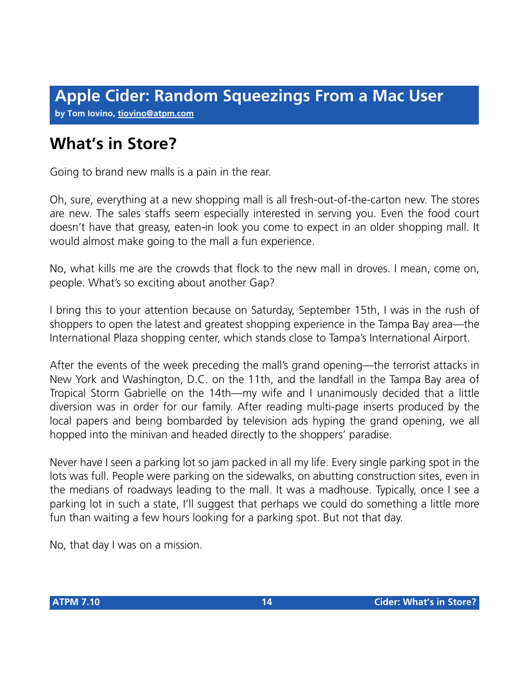**by Tom Iovino, [tiovino@atpm.com](mailto:tiovino@atpm.com)**

# **What's in Store?**

Going to brand new malls is a pain in the rear.

Oh, sure, everything at a new shopping mall is all fresh-out-of-the-carton new. The stores are new. The sales staffs seem especially interested in serving you. Even the food court doesn't have that greasy, eaten-in look you come to expect in an older shopping mall. It would almost make going to the mall a fun experience.

No, what kills me are the crowds that flock to the new mall in droves. I mean, come on, people. What's so exciting about another Gap?

I bring this to your attention because on Saturday, September 15th, I was in the rush of shoppers to open the latest and greatest shopping experience in the Tampa Bay area—the International Plaza shopping center, which stands close to Tampa's International Airport.

After the events of the week preceding the mall's grand opening—the terrorist attacks in New York and Washington, D.C. on the 11th, and the landfall in the Tampa Bay area of Tropical Storm Gabrielle on the 14th—my wife and I unanimously decided that a little diversion was in order for our family. After reading multi-page inserts produced by the local papers and being bombarded by television ads hyping the grand opening, we all hopped into the minivan and headed directly to the shoppers' paradise.

Never have I seen a parking lot so jam packed in all my life. Every single parking spot in the lots was full. People were parking on the sidewalks, on abutting construction sites, even in the medians of roadways leading to the mall. It was a madhouse. Typically, once I see a parking lot in such a state, I'll suggest that perhaps we could do something a little more fun than waiting a few hours looking for a parking spot. But not that day.

No, that day I was on a mission.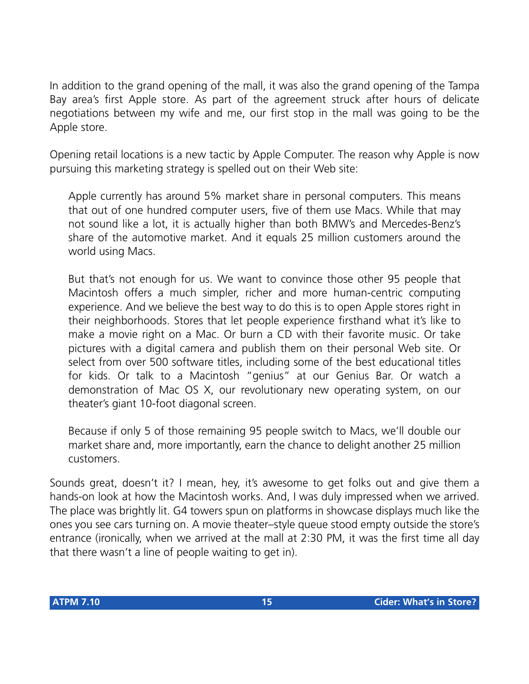In addition to the grand opening of the mall, it was also the grand opening of the Tampa Bay area's first Apple store. As part of the agreement struck after hours of delicate negotiations between my wife and me, our first stop in the mall was going to be the Apple store.

Opening retail locations is a new tactic by Apple Computer. The reason why Apple is now pursuing this marketing strategy is spelled out on their Web site:

Apple currently has around 5% market share in personal computers. This means that out of one hundred computer users, five of them use Macs. While that may not sound like a lot, it is actually higher than both BMW's and Mercedes-Benz's share of the automotive market. And it equals 25 million customers around the world using Macs.

But that's not enough for us. We want to convince those other 95 people that Macintosh offers a much simpler, richer and more human-centric computing experience. And we believe the best way to do this is to open Apple stores right in their neighborhoods. Stores that let people experience firsthand what it's like to make a movie right on a Mac. Or burn a CD with their favorite music. Or take pictures with a digital camera and publish them on their personal Web site. Or select from over 500 software titles, including some of the best educational titles for kids. Or talk to a Macintosh "genius" at our Genius Bar. Or watch a demonstration of Mac OS X, our revolutionary new operating system, on our theater's giant 10-foot diagonal screen.

Because if only 5 of those remaining 95 people switch to Macs, we'll double our market share and, more importantly, earn the chance to delight another 25 million customers.

Sounds great, doesn't it? I mean, hey, it's awesome to get folks out and give them a hands-on look at how the Macintosh works. And, I was duly impressed when we arrived. The place was brightly lit. G4 towers spun on platforms in showcase displays much like the ones you see cars turning on. A movie theater–style queue stood empty outside the store's entrance (ironically, when we arrived at the mall at 2:30 PM, it was the first time all day that there wasn't a line of people waiting to get in).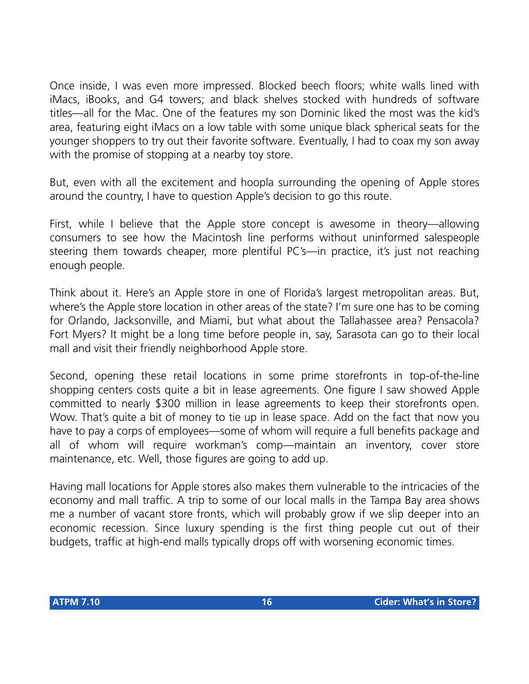Once inside, I was even more impressed. Blocked beech floors; white walls lined with iMacs, iBooks, and G4 towers; and black shelves stocked with hundreds of software titles—all for the Mac. One of the features my son Dominic liked the most was the kid's area, featuring eight iMacs on a low table with some unique black spherical seats for the younger shoppers to try out their favorite software. Eventually, I had to coax my son away with the promise of stopping at a nearby toy store.

But, even with all the excitement and hoopla surrounding the opening of Apple stores around the country, I have to question Apple's decision to go this route.

First, while I believe that the Apple store concept is awesome in theory—allowing consumers to see how the Macintosh line performs without uninformed salespeople steering them towards cheaper, more plentiful PC's—in practice, it's just not reaching enough people.

Think about it. Here's an Apple store in one of Florida's largest metropolitan areas. But, where's the Apple store location in other areas of the state? I'm sure one has to be coming for Orlando, Jacksonville, and Miami, but what about the Tallahassee area? Pensacola? Fort Myers? It might be a long time before people in, say, Sarasota can go to their local mall and visit their friendly neighborhood Apple store.

Second, opening these retail locations in some prime storefronts in top-of-the-line shopping centers costs quite a bit in lease agreements. One figure I saw showed Apple committed to nearly \$300 million in lease agreements to keep their storefronts open. Wow. That's quite a bit of money to tie up in lease space. Add on the fact that now you have to pay a corps of employees—some of whom will require a full benefits package and all of whom will require workman's comp—maintain an inventory, cover store maintenance, etc. Well, those figures are going to add up.

Having mall locations for Apple stores also makes them vulnerable to the intricacies of the economy and mall traffic. A trip to some of our local malls in the Tampa Bay area shows me a number of vacant store fronts, which will probably grow if we slip deeper into an economic recession. Since luxury spending is the first thing people cut out of their budgets, traffic at high-end malls typically drops off with worsening economic times.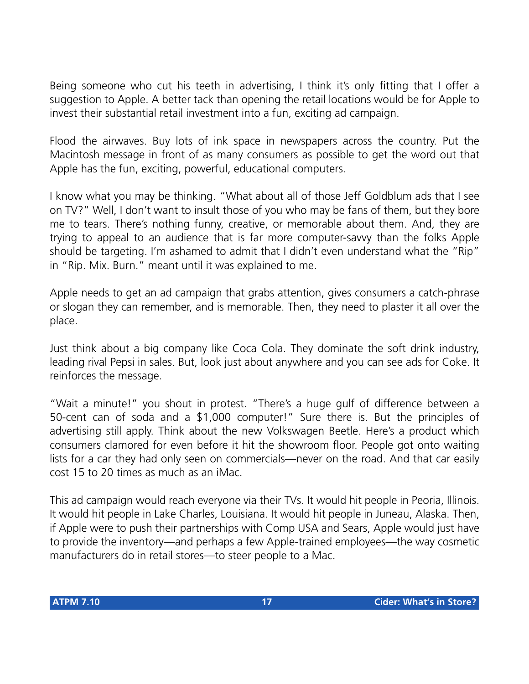Being someone who cut his teeth in advertising, I think it's only fitting that I offer a suggestion to Apple. A better tack than opening the retail locations would be for Apple to invest their substantial retail investment into a fun, exciting ad campaign.

Flood the airwaves. Buy lots of ink space in newspapers across the country. Put the Macintosh message in front of as many consumers as possible to get the word out that Apple has the fun, exciting, powerful, educational computers.

I know what you may be thinking. "What about all of those Jeff Goldblum ads that I see on TV?" Well, I don't want to insult those of you who may be fans of them, but they bore me to tears. There's nothing funny, creative, or memorable about them. And, they are trying to appeal to an audience that is far more computer-savvy than the folks Apple should be targeting. I'm ashamed to admit that I didn't even understand what the "Rip" in "Rip. Mix. Burn." meant until it was explained to me.

Apple needs to get an ad campaign that grabs attention, gives consumers a catch-phrase or slogan they can remember, and is memorable. Then, they need to plaster it all over the place.

Just think about a big company like Coca Cola. They dominate the soft drink industry, leading rival Pepsi in sales. But, look just about anywhere and you can see ads for Coke. It reinforces the message.

"Wait a minute!" you shout in protest. "There's a huge gulf of difference between a 50-cent can of soda and a \$1,000 computer!" Sure there is. But the principles of advertising still apply. Think about the new Volkswagen Beetle. Here's a product which consumers clamored for even before it hit the showroom floor. People got onto waiting lists for a car they had only seen on commercials—never on the road. And that car easily cost 15 to 20 times as much as an iMac.

This ad campaign would reach everyone via their TVs. It would hit people in Peoria, Illinois. It would hit people in Lake Charles, Louisiana. It would hit people in Juneau, Alaska. Then, if Apple were to push their partnerships with Comp USA and Sears, Apple would just have to provide the inventory—and perhaps a few Apple-trained employees—the way cosmetic manufacturers do in retail stores—to steer people to a Mac.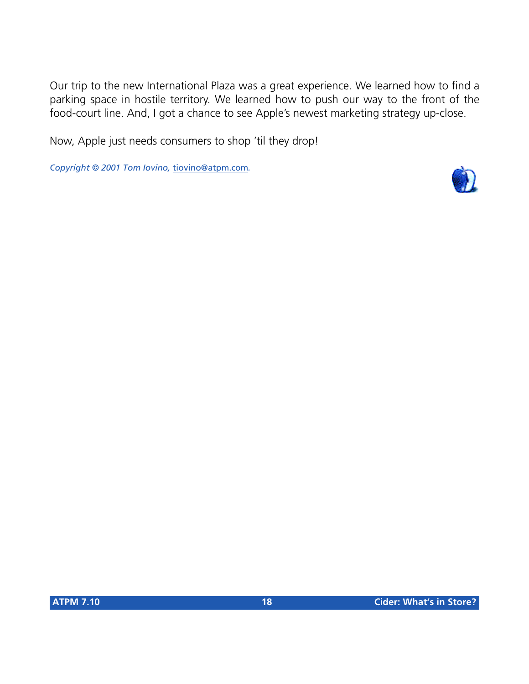Our trip to the new International Plaza was a great experience. We learned how to find a parking space in hostile territory. We learned how to push our way to the front of the food-court line. And, I got a chance to see Apple's newest marketing strategy up-close.

Now, Apple just needs consumers to shop 'til they drop!

*Copyright © 2001 Tom Iovino,* [tiovino@atpm.com](mailto:tiovino@atpm.com)*.*

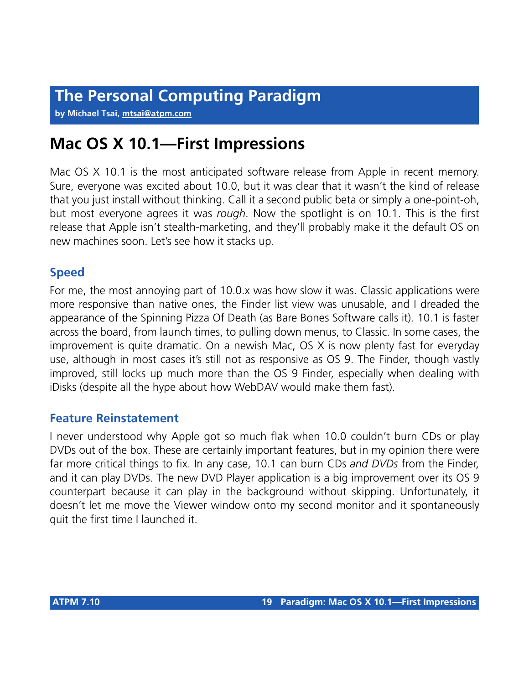**by Michael Tsai, [mtsai@atpm.com](mailto:mtsai@atpm.com)**

# **Mac OS X 10.1—First Impressions**

Mac OS X 10.1 is the most anticipated software release from Apple in recent memory. Sure, everyone was excited about 10.0, but it was clear that it wasn't the kind of release that you just install without thinking. Call it a second public beta or simply a one-point-oh, but most everyone agrees it was *rough*. Now the spotlight is on 10.1. This is the first release that Apple isn't stealth-marketing, and they'll probably make it the default OS on new machines soon. Let's see how it stacks up.

# **Speed**

For me, the most annoying part of 10.0.x was how slow it was. Classic applications were more responsive than native ones, the Finder list view was unusable, and I dreaded the appearance of the Spinning Pizza Of Death (as Bare Bones Software calls it). 10.1 is faster across the board, from launch times, to pulling down menus, to Classic. In some cases, the improvement is quite dramatic. On a newish Mac, OS X is now plenty fast for everyday use, although in most cases it's still not as responsive as OS 9. The Finder, though vastly improved, still locks up much more than the OS 9 Finder, especially when dealing with iDisks (despite all the hype about how WebDAV would make them fast).

# **Feature Reinstatement**

I never understood why Apple got so much flak when 10.0 couldn't burn CDs or play DVDs out of the box. These are certainly important features, but in my opinion there were far more critical things to fix. In any case, 10.1 can burn CDs *and DVDs* from the Finder, and it can play DVDs. The new DVD Player application is a big improvement over its OS 9 counterpart because it can play in the background without skipping. Unfortunately, it doesn't let me move the Viewer window onto my second monitor and it spontaneously quit the first time I launched it.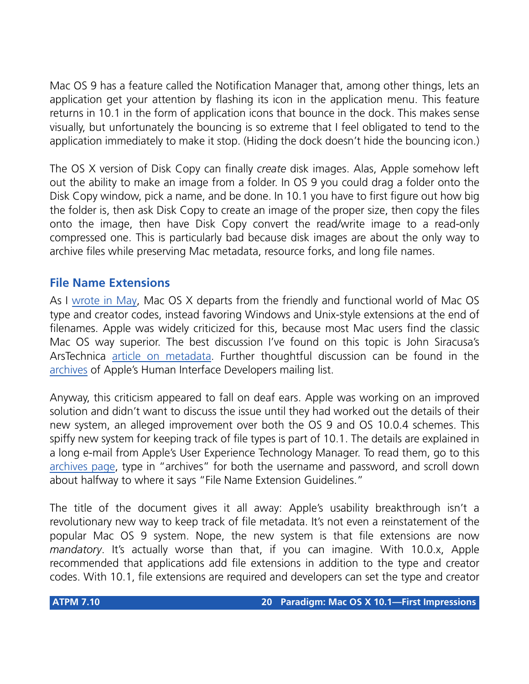Mac OS 9 has a feature called the Notification Manager that, among other things, lets an application get your attention by flashing its icon in the application menu. This feature returns in 10.1 in the form of application icons that bounce in the dock. This makes sense visually, but unfortunately the bouncing is so extreme that I feel obligated to tend to the application immediately to make it stop. (Hiding the dock doesn't hide the bouncing icon.)

The OS X version of Disk Copy can finally *create* disk images. Alas, Apple somehow left out the ability to make an image from a folder. In OS 9 you could drag a folder onto the Disk Copy window, pick a name, and be done. In 10.1 you have to first figure out how big the folder is, then ask Disk Copy to create an image of the proper size, then copy the files onto the image, then have Disk Copy convert the read/write image to a read-only compressed one. This is particularly bad because disk images are about the only way to archive files while preserving Mac metadata, resource forks, and long file names.

# **File Name Extensions**

As I [wrote in May](http://www.atpm.com/7.05/paradigm.shtml), Mac OS X departs from the friendly and functional world of Mac OS type and creator codes, instead favoring Windows and Unix-style extensions at the end of filenames. Apple was widely criticized for this, because most Mac users find the classic Mac OS way superior. The best discussion I've found on this topic is John Siracusa's ArsTechnica [article on metadata](http://arstechnica.com/reviews/01q3/metadata/metadata-1.html). Further thoughtful discussion can be found in the [archives](http://www.lists.apple.com/mailman/listinfo/apple-hi-developers) of Apple's Human Interface Developers mailing list.

Anyway, this criticism appeared to fall on deaf ears. Apple was working on an improved solution and didn't want to discuss the issue until they had worked out the details of their new system, an alleged improvement over both the OS 9 and OS 10.0.4 schemes. This spiffy new system for keeping track of file types is part of 10.1. The details are explained in a long e-mail from Apple's User Experience Technology Manager. To read them, go to this [archives page](http://www.lists.apple.com/archives/cocoa-dev/2001/Sep/8.html), type in "archives" for both the username and password, and scroll down about halfway to where it says "File Name Extension Guidelines."

The title of the document gives it all away: Apple's usability breakthrough isn't a revolutionary new way to keep track of file metadata. It's not even a reinstatement of the popular Mac OS 9 system. Nope, the new system is that file extensions are now *mandatory*. It's actually worse than that, if you can imagine. With 10.0.x, Apple recommended that applications add file extensions in addition to the type and creator codes. With 10.1, file extensions are required and developers can set the type and creator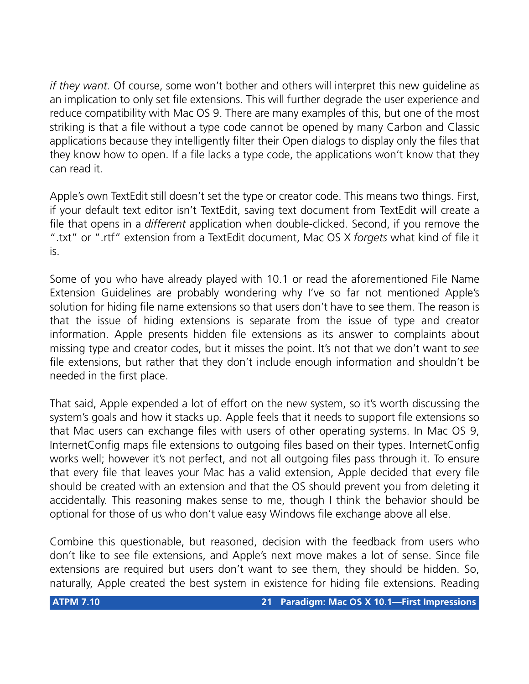*if they want*. Of course, some won't bother and others will interpret this new guideline as an implication to only set file extensions. This will further degrade the user experience and reduce compatibility with Mac OS 9. There are many examples of this, but one of the most striking is that a file without a type code cannot be opened by many Carbon and Classic applications because they intelligently filter their Open dialogs to display only the files that they know how to open. If a file lacks a type code, the applications won't know that they can read it.

Apple's own TextEdit still doesn't set the type or creator code. This means two things. First, if your default text editor isn't TextEdit, saving text document from TextEdit will create a file that opens in a *different* application when double-clicked. Second, if you remove the ".txt" or ".rtf" extension from a TextEdit document, Mac OS X *forgets* what kind of file it is.

Some of you who have already played with 10.1 or read the aforementioned File Name Extension Guidelines are probably wondering why I've so far not mentioned Apple's solution for hiding file name extensions so that users don't have to see them. The reason is that the issue of hiding extensions is separate from the issue of type and creator information. Apple presents hidden file extensions as its answer to complaints about missing type and creator codes, but it misses the point. It's not that we don't want to *see* file extensions, but rather that they don't include enough information and shouldn't be needed in the first place.

That said, Apple expended a lot of effort on the new system, so it's worth discussing the system's goals and how it stacks up. Apple feels that it needs to support file extensions so that Mac users can exchange files with users of other operating systems. In Mac OS 9, InternetConfig maps file extensions to outgoing files based on their types. InternetConfig works well; however it's not perfect, and not all outgoing files pass through it. To ensure that every file that leaves your Mac has a valid extension, Apple decided that every file should be created with an extension and that the OS should prevent you from deleting it accidentally. This reasoning makes sense to me, though I think the behavior should be optional for those of us who don't value easy Windows file exchange above all else.

Combine this questionable, but reasoned, decision with the feedback from users who don't like to see file extensions, and Apple's next move makes a lot of sense. Since file extensions are required but users don't want to see them, they should be hidden. So, naturally, Apple created the best system in existence for hiding file extensions. Reading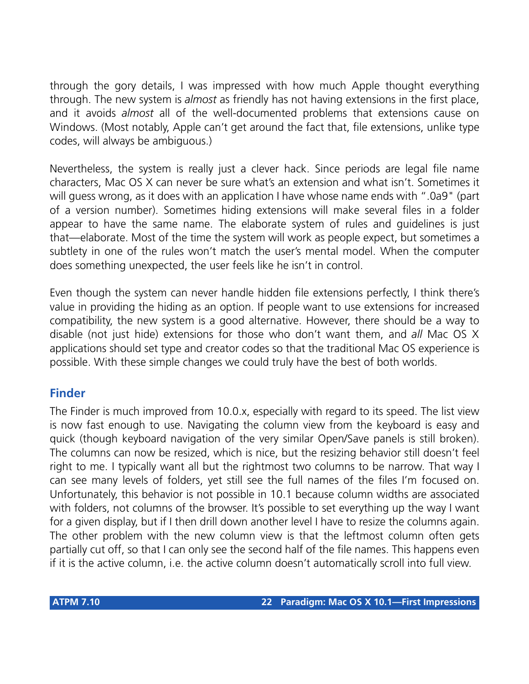through the gory details, I was impressed with how much Apple thought everything through. The new system is *almost* as friendly has not having extensions in the first place, and it avoids *almost* all of the well-documented problems that extensions cause on Windows. (Most notably, Apple can't get around the fact that, file extensions, unlike type codes, will always be ambiguous.)

Nevertheless, the system is really just a clever hack. Since periods are legal file name characters, Mac OS X can never be sure what's an extension and what isn't. Sometimes it will guess wrong, as it does with an application I have whose name ends with ".0a9" (part of a version number). Sometimes hiding extensions will make several files in a folder appear to have the same name. The elaborate system of rules and guidelines is just that—elaborate. Most of the time the system will work as people expect, but sometimes a subtlety in one of the rules won't match the user's mental model. When the computer does something unexpected, the user feels like he isn't in control.

Even though the system can never handle hidden file extensions perfectly, I think there's value in providing the hiding as an option. If people want to use extensions for increased compatibility, the new system is a good alternative. However, there should be a way to disable (not just hide) extensions for those who don't want them, and *all* Mac OS X applications should set type and creator codes so that the traditional Mac OS experience is possible. With these simple changes we could truly have the best of both worlds.

# **Finder**

The Finder is much improved from 10.0.x, especially with regard to its speed. The list view is now fast enough to use. Navigating the column view from the keyboard is easy and quick (though keyboard navigation of the very similar Open/Save panels is still broken). The columns can now be resized, which is nice, but the resizing behavior still doesn't feel right to me. I typically want all but the rightmost two columns to be narrow. That way I can see many levels of folders, yet still see the full names of the files I'm focused on. Unfortunately, this behavior is not possible in 10.1 because column widths are associated with folders, not columns of the browser. It's possible to set everything up the way I want for a given display, but if I then drill down another level I have to resize the columns again. The other problem with the new column view is that the leftmost column often gets partially cut off, so that I can only see the second half of the file names. This happens even if it is the active column, i.e. the active column doesn't automatically scroll into full view.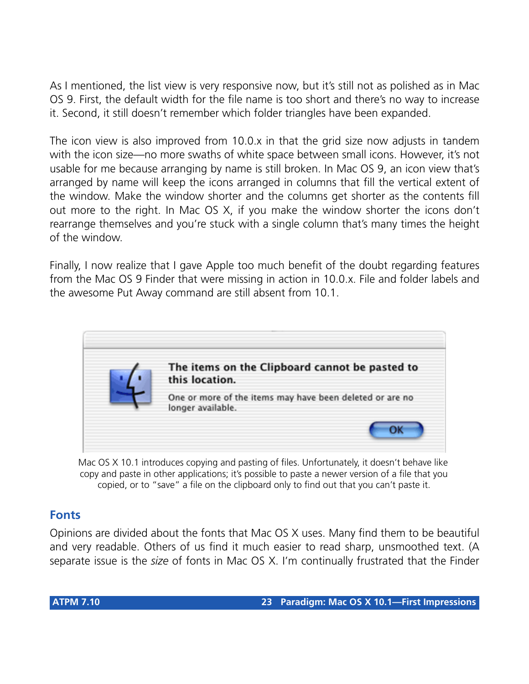As I mentioned, the list view is very responsive now, but it's still not as polished as in Mac OS 9. First, the default width for the file name is too short and there's no way to increase it. Second, it still doesn't remember which folder triangles have been expanded.

The icon view is also improved from 10.0.x in that the grid size now adjusts in tandem with the icon size—no more swaths of white space between small icons. However, it's not usable for me because arranging by name is still broken. In Mac OS 9, an icon view that's arranged by name will keep the icons arranged in columns that fill the vertical extent of the window. Make the window shorter and the columns get shorter as the contents fill out more to the right. In Mac OS X, if you make the window shorter the icons don't rearrange themselves and you're stuck with a single column that's many times the height of the window.

Finally, I now realize that I gave Apple too much benefit of the doubt regarding features from the Mac OS 9 Finder that were missing in action in 10.0.x. File and folder labels and the awesome Put Away command are still absent from 10.1.



Mac OS X 10.1 introduces copying and pasting of files. Unfortunately, it doesn't behave like copy and paste in other applications; it's possible to paste a newer version of a file that you copied, or to "save" a file on the clipboard only to find out that you can't paste it.

# **Fonts**

Opinions are divided about the fonts that Mac OS X uses. Many find them to be beautiful and very readable. Others of us find it much easier to read sharp, unsmoothed text. (A separate issue is the *size* of fonts in Mac OS X. I'm continually frustrated that the Finder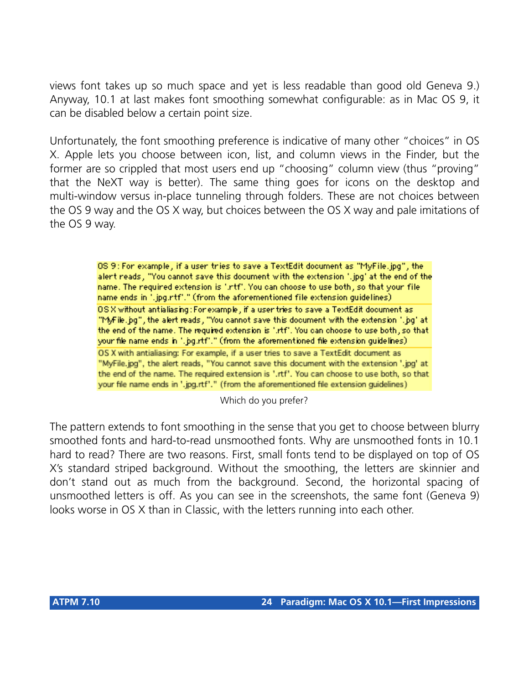views font takes up so much space and yet is less readable than good old Geneva 9.) Anyway, 10.1 at last makes font smoothing somewhat configurable: as in Mac OS 9, it can be disabled below a certain point size.

Unfortunately, the font smoothing preference is indicative of many other "choices" in OS X. Apple lets you choose between icon, list, and column views in the Finder, but the former are so crippled that most users end up "choosing" column view (thus "proving" that the NeXT way is better). The same thing goes for icons on the desktop and multi-window versus in-place tunneling through folders. These are not choices between the OS 9 way and the OS X way, but choices between the OS X way and pale imitations of the OS 9 way.

> OS 9 : For example, if a user tries to save a TextEdit document as "MyFile.jpg", the alert reads, "You cannot save this document with the extension ".jpg' at the end of the name. The required extension is ".rtf". You can choose to use both, so that your file name ends in ".jpg.rtf"." (from the aforementioned file extension guidelines) OS X without antialiasing: For example , if a user tries to save a TextEdit document as "MyFile.jpg", the alert reads, "You cannot save this document with the extension ".jpg" at the end of the name. The required extension is '.rtf'. You can choose to use both, so that your file name ends in ".jpg.rtf"." (from the aforementioned file extension guidelines). OS X with antialiasing: For example, if a user tries to save a TextEdit document as "MyFile.jpg", the alert reads, "You cannot save this document with the extension '.jpg' at the end of the name. The required extension is '.rtf'. You can choose to use both, so that your file name ends in '.jpg.rtf'." (from the aforementioned file extension guidelines)

> > Which do you prefer?

The pattern extends to font smoothing in the sense that you get to choose between blurry smoothed fonts and hard-to-read unsmoothed fonts. Why are unsmoothed fonts in 10.1 hard to read? There are two reasons. First, small fonts tend to be displayed on top of OS X's standard striped background. Without the smoothing, the letters are skinnier and don't stand out as much from the background. Second, the horizontal spacing of unsmoothed letters is off. As you can see in the screenshots, the same font (Geneva 9) looks worse in OS X than in Classic, with the letters running into each other.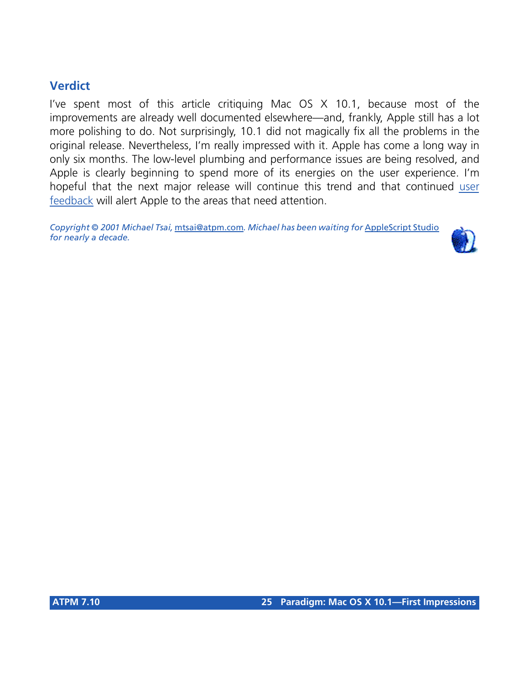# **Verdict**

I've spent most of this article critiquing Mac OS X 10.1, because most of the improvements are already well documented elsewhere—and, frankly, Apple still has a lot more polishing to do. Not surprisingly, 10.1 did not magically fix all the problems in the original release. Nevertheless, I'm really impressed with it. Apple has come a long way in only six months. The low-level plumbing and performance issues are being resolved, and Apple is clearly beginning to spend more of its energies on the user experience. I'm hopeful that the next major release will continue this trend and that continued [user](http://www.apple.com/macosx/feedback/) [feedback](http://www.apple.com/macosx/feedback/) will alert Apple to the areas that need attention.

*Copyright © 2001 Michael Tsai,* [mtsai@atpm.com](mailto:mtsai@atpm.com)*. Michael has been waiting for* [AppleScript Studio](http://www.apple.com/applescript/macosx/ascript_studio/) *for nearly a decade.*

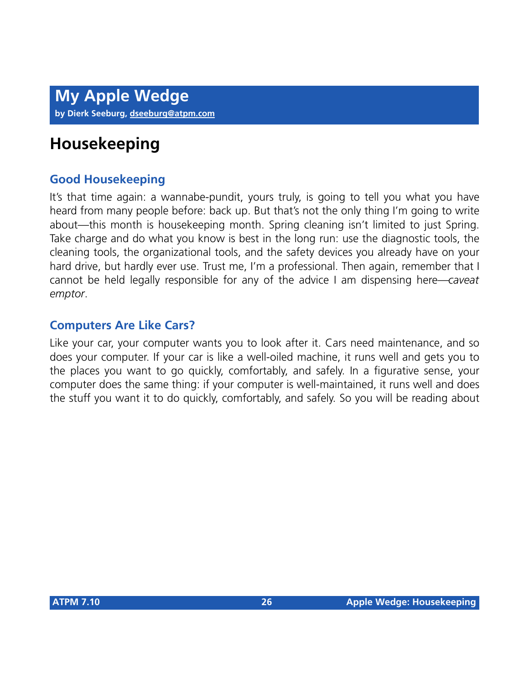# **Housekeeping**

# **Good Housekeeping**

It's that time again: a wannabe-pundit, yours truly, is going to tell you what you have heard from many people before: back up. But that's not the only thing I'm going to write about—this month is housekeeping month. Spring cleaning isn't limited to just Spring. Take charge and do what you know is best in the long run: use the diagnostic tools, the cleaning tools, the organizational tools, and the safety devices you already have on your hard drive, but hardly ever use. Trust me, I'm a professional. Then again, remember that I cannot be held legally responsible for any of the advice I am dispensing here—*caveat emptor*.

# **Computers Are Like Cars?**

Like your car, your computer wants you to look after it. Cars need maintenance, and so does your computer. If your car is like a well-oiled machine, it runs well and gets you to the places you want to go quickly, comfortably, and safely. In a figurative sense, your computer does the same thing: if your computer is well-maintained, it runs well and does the stuff you want it to do quickly, comfortably, and safely. So you will be reading about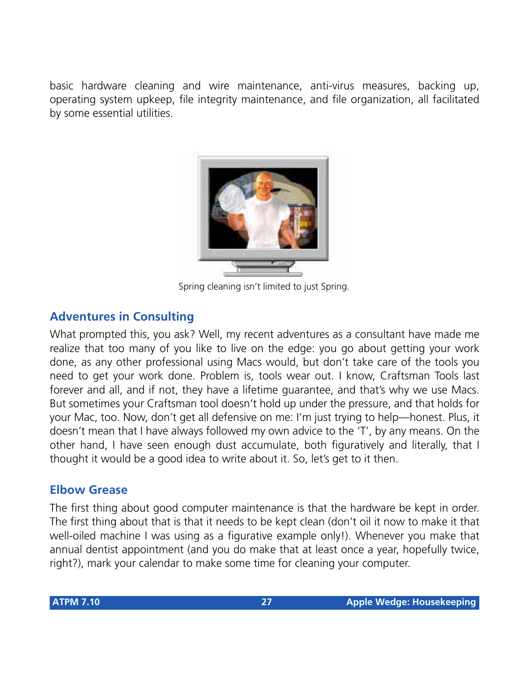basic hardware cleaning and wire maintenance, anti-virus measures, backing up, operating system upkeep, file integrity maintenance, and file organization, all facilitated by some essential utilities.



Spring cleaning isn't limited to just Spring.

# **Adventures in Consulting**

What prompted this, you ask? Well, my recent adventures as a consultant have made me realize that too many of you like to live on the edge: you go about getting your work done, as any other professional using Macs would, but don't take care of the tools you need to get your work done. Problem is, tools wear out. I know, Craftsman Tools last forever and all, and if not, they have a lifetime guarantee, and that's why we use Macs. But sometimes your Craftsman tool doesn't hold up under the pressure, and that holds for your Mac, too. Now, don't get all defensive on me: I'm just trying to help—honest. Plus, it doesn't mean that I have always followed my own advice to the 'T', by any means. On the other hand, I have seen enough dust accumulate, both figuratively and literally, that I thought it would be a good idea to write about it. So, let's get to it then.

# **Elbow Grease**

The first thing about good computer maintenance is that the hardware be kept in order. The first thing about that is that it needs to be kept clean (don't oil it now to make it that well-oiled machine I was using as a figurative example only!). Whenever you make that annual dentist appointment (and you do make that at least once a year, hopefully twice, right?), mark your calendar to make some time for cleaning your computer.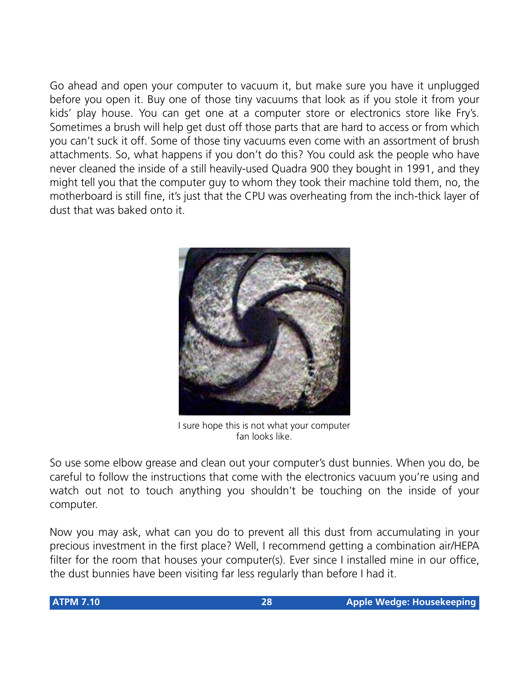Go ahead and open your computer to vacuum it, but make sure you have it unplugged before you open it. Buy one of those tiny vacuums that look as if you stole it from your kids' play house. You can get one at a computer store or electronics store like Fry's. Sometimes a brush will help get dust off those parts that are hard to access or from which you can't suck it off. Some of those tiny vacuums even come with an assortment of brush attachments. So, what happens if you don't do this? You could ask the people who have never cleaned the inside of a still heavily-used Quadra 900 they bought in 1991, and they might tell you that the computer guy to whom they took their machine told them, no, the motherboard is still fine, it's just that the CPU was overheating from the inch-thick layer of dust that was baked onto it.



I sure hope this is not what your computer fan looks like.

So use some elbow grease and clean out your computer's dust bunnies. When you do, be careful to follow the instructions that come with the electronics vacuum you're using and watch out not to touch anything you shouldn't be touching on the inside of your computer.

Now you may ask, what can you do to prevent all this dust from accumulating in your precious investment in the first place? Well, I recommend getting a combination air/HEPA filter for the room that houses your computer(s). Ever since I installed mine in our office, the dust bunnies have been visiting far less regularly than before I had it.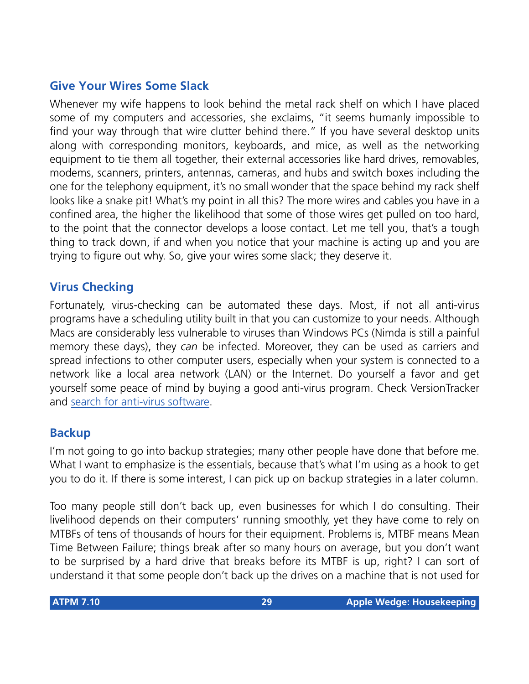# **Give Your Wires Some Slack**

Whenever my wife happens to look behind the metal rack shelf on which I have placed some of my computers and accessories, she exclaims, "it seems humanly impossible to find your way through that wire clutter behind there." If you have several desktop units along with corresponding monitors, keyboards, and mice, as well as the networking equipment to tie them all together, their external accessories like hard drives, removables, modems, scanners, printers, antennas, cameras, and hubs and switch boxes including the one for the telephony equipment, it's no small wonder that the space behind my rack shelf looks like a snake pit! What's my point in all this? The more wires and cables you have in a confined area, the higher the likelihood that some of those wires get pulled on too hard, to the point that the connector develops a loose contact. Let me tell you, that's a tough thing to track down, if and when you notice that your machine is acting up and you are trying to figure out why. So, give your wires some slack; they deserve it.

# **Virus Checking**

Fortunately, virus-checking can be automated these days. Most, if not all anti-virus programs have a scheduling utility built in that you can customize to your needs. Although Macs are considerably less vulnerable to viruses than Windows PCs (Nimda is still a painful memory these days), they *can* be infected. Moreover, they can be used as carriers and spread infections to other computer users, especially when your system is connected to a network like a local area network (LAN) or the Internet. Do yourself a favor and get yourself some peace of mind by buying a good anti-virus program. Check VersionTracker and [search for anti-virus software](http://www.versiontracker.com/mp/new_search.m?productDB=mac&mode=Quick&OS_Filter=MacOS&search=virus).

# **Backup**

I'm not going to go into backup strategies; many other people have done that before me. What I want to emphasize is the essentials, because that's what I'm using as a hook to get you to do it. If there is some interest, I can pick up on backup strategies in a later column.

Too many people still don't back up, even businesses for which I do consulting. Their livelihood depends on their computers' running smoothly, yet they have come to rely on MTBFs of tens of thousands of hours for their equipment. Problems is, MTBF means Mean Time Between Failure; things break after so many hours on average, but you don't want to be surprised by a hard drive that breaks before its MTBF is up, right? I can sort of understand it that some people don't back up the drives on a machine that is not used for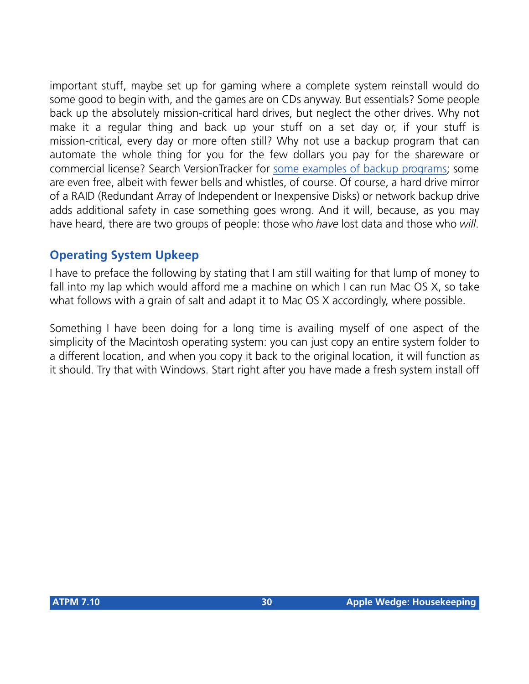important stuff, maybe set up for gaming where a complete system reinstall would do some good to begin with, and the games are on CDs anyway. But essentials? Some people back up the absolutely mission-critical hard drives, but neglect the other drives. Why not make it a regular thing and back up your stuff on a set day or, if your stuff is mission-critical, every day or more often still? Why not use a backup program that can automate the whole thing for you for the few dollars you pay for the shareware or commercial license? Search VersionTracker for [some examples of backup programs](http://www.versiontracker.com/mp/new_search.m?productDB=mac&mode=Quick&OS_Filter=MacOS&search=backup); some are even free, albeit with fewer bells and whistles, of course. Of course, a hard drive mirror of a RAID (Redundant Array of Independent or Inexpensive Disks) or network backup drive adds additional safety in case something goes wrong. And it will, because, as you may have heard, there are two groups of people: those who *have* lost data and those who *will*.

# **Operating System Upkeep**

I have to preface the following by stating that I am still waiting for that lump of money to fall into my lap which would afford me a machine on which I can run Mac OS X, so take what follows with a grain of salt and adapt it to Mac OS X accordingly, where possible.

Something I have been doing for a long time is availing myself of one aspect of the simplicity of the Macintosh operating system: you can just copy an entire system folder to a different location, and when you copy it back to the original location, it will function as it should. Try that with Windows. Start right after you have made a fresh system install off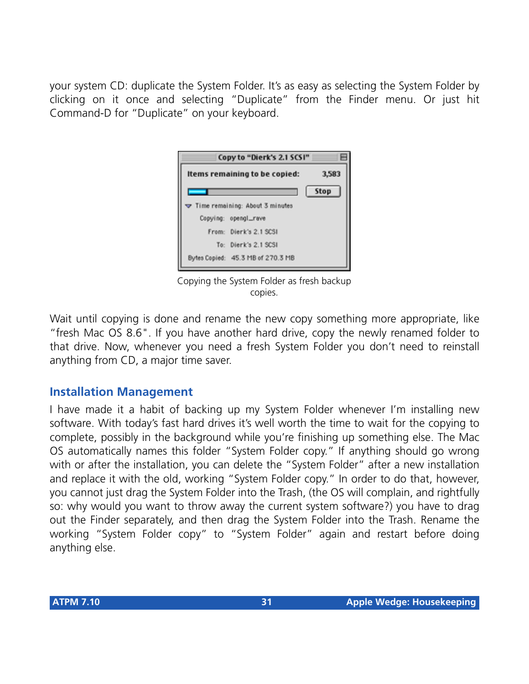your system CD: duplicate the System Folder. It's as easy as selecting the System Folder by clicking on it once and selecting "Duplicate" from the Finder menu. Or just hit Command-D for "Duplicate" on your keyboard.



Copying the System Folder as fresh backup copies.

Wait until copying is done and rename the new copy something more appropriate, like "fresh Mac OS 8.6". If you have another hard drive, copy the newly renamed folder to that drive. Now, whenever you need a fresh System Folder you don't need to reinstall anything from CD, a major time saver.

# **Installation Management**

I have made it a habit of backing up my System Folder whenever I'm installing new software. With today's fast hard drives it's well worth the time to wait for the copying to complete, possibly in the background while you're finishing up something else. The Mac OS automatically names this folder "System Folder copy." If anything should go wrong with or after the installation, you can delete the "System Folder" after a new installation and replace it with the old, working "System Folder copy." In order to do that, however, you cannot just drag the System Folder into the Trash, (the OS will complain, and rightfully so: why would you want to throw away the current system software?) you have to drag out the Finder separately, and then drag the System Folder into the Trash. Rename the working "System Folder copy" to "System Folder" again and restart before doing anything else.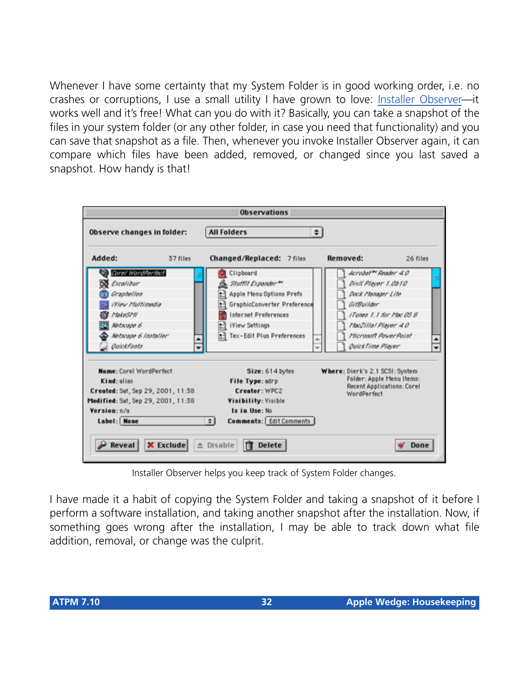Whenever I have some certainty that my System Folder is in good working order, i.e. no crashes or corruptions, I use a small utility I have grown to love: [Installer Observer](http://pubWeb.nwu.edu/%7Ezps869/io.html)—it works well and it's free! What can you do with it? Basically, you can take a snapshot of the files in your system folder (or any other folder, in case you need that functionality) and you can save that snapshot as a file. Then, whenever you invoke Installer Observer again, it can compare which files have been added, removed, or changed since you last saved a snapshot. How handy is that!



Installer Observer helps you keep track of System Folder changes.

I have made it a habit of copying the System Folder and taking a snapshot of it before I perform a software installation, and taking another snapshot after the installation. Now, if something goes wrong after the installation, I may be able to track down what file addition, removal, or change was the culprit.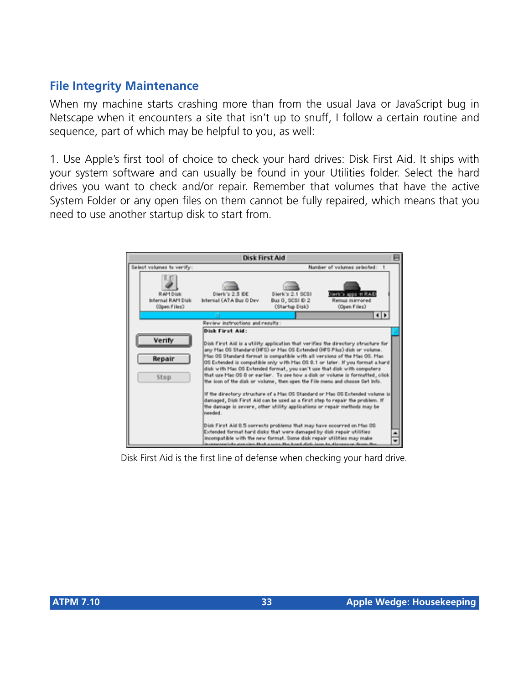# **File Integrity Maintenance**

When my machine starts crashing more than from the usual Java or JavaScript bug in Netscape when it encounters a site that isn't up to snuff, I follow a certain routine and sequence, part of which may be helpful to you, as well:

1. Use Apple's first tool of choice to check your hard drives: Disk First Aid. It ships with your system software and can usually be found in your Utilities folder. Select the hard drives you want to check and/or repair. Remember that volumes that have the active System Folder or any open files on them cannot be fully repaired, which means that you need to use another startup disk to start from.



Disk First Aid is the first line of defense when checking your hard drive.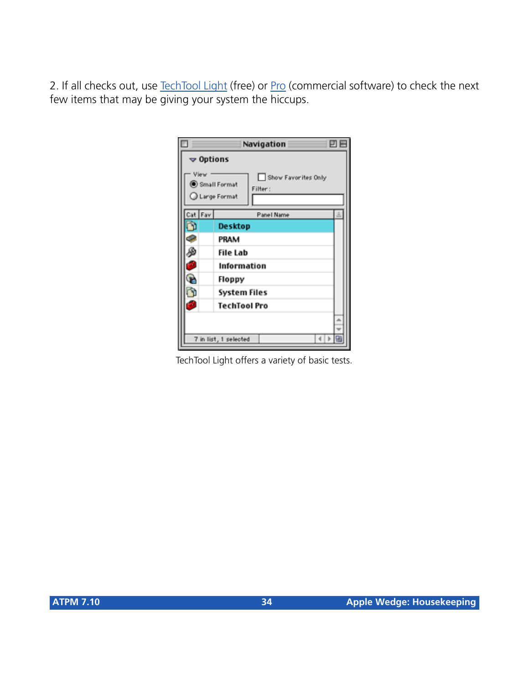2. If all checks out, use [TechTool Light](http://www.micromat.com/techTool_Lite/main_techTool.html) (free) or [Pro](http://www.micromat.com/techTool_Lite/main_techTool.html) (commercial software) to check the next few items that may be giving your system the hiccups.



TechTool Light offers a variety of basic tests.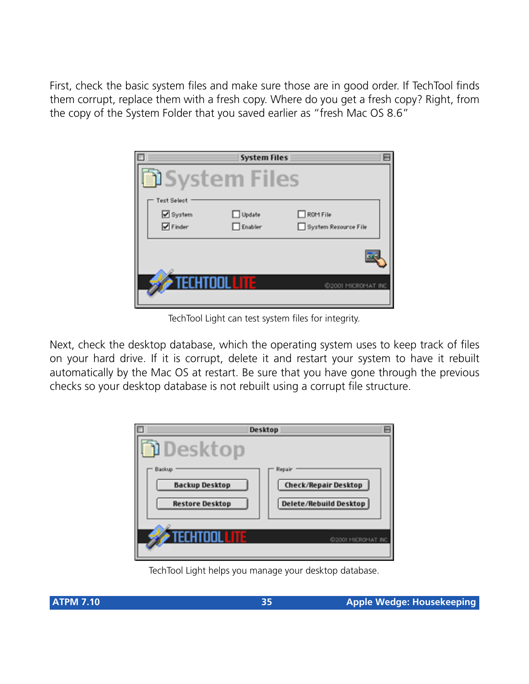First, check the basic system files and make sure those are in good order. If TechTool finds them corrupt, replace them with a fresh copy. Where do you get a fresh copy? Right, from the copy of the System Folder that you saved earlier as "fresh Mac OS 8.6"

|                      | <b>System Files</b> |                      |
|----------------------|---------------------|----------------------|
| <b>JSystem Files</b> |                     |                      |
| <b>Test Select</b>   |                     |                      |
| System               | □ Update            | $\Box$ ROM File      |
| $\nabla$ Finder      | $\Box$ Enabler      | System Resource File |
|                      |                     |                      |
| TECHTOOL LITE        |                     | @2001 MICROMAT INC   |

TechTool Light can test system files for integrity.

Next, check the desktop database, which the operating system uses to keep track of files on your hard drive. If it is corrupt, delete it and restart your system to have it rebuilt automatically by the Mac OS at restart. Be sure that you have gone through the previous checks so your desktop database is not rebuilt using a corrupt file structure.

| Desktop                                                   |                                                          |
|-----------------------------------------------------------|----------------------------------------------------------|
| Deskton                                                   |                                                          |
| Backup<br><b>Backup Desktop</b><br><b>Restore Desktop</b> | Repair<br>Check/Repair Desktop<br>Delete/Rebuild Desktop |
| TECHTOOL LITE                                             | 6/2001 MICROMAT INC                                      |

TechTool Light helps you manage your desktop database.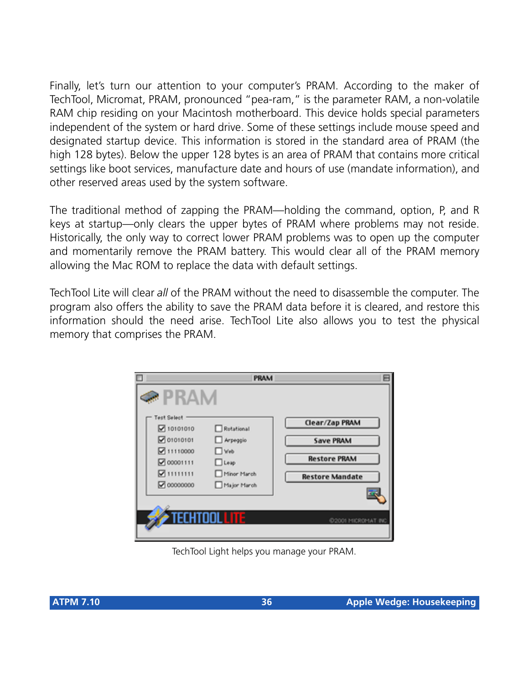Finally, let's turn our attention to your computer's PRAM. According to the maker of TechTool, Micromat, PRAM, pronounced "pea-ram," is the parameter RAM, a non-volatile RAM chip residing on your Macintosh motherboard. This device holds special parameters independent of the system or hard drive. Some of these settings include mouse speed and designated startup device. This information is stored in the standard area of PRAM (the high 128 bytes). Below the upper 128 bytes is an area of PRAM that contains more critical settings like boot services, manufacture date and hours of use (mandate information), and other reserved areas used by the system software.

The traditional method of zapping the PRAM—holding the command, option, P, and R keys at startup—only clears the upper bytes of PRAM where problems may not reside. Historically, the only way to correct lower PRAM problems was to open up the computer and momentarily remove the PRAM battery. This would clear all of the PRAM memory allowing the Mac ROM to replace the data with default settings.

TechTool Lite will clear *all* of the PRAM without the need to disassemble the computer. The program also offers the ability to save the PRAM data before it is cleared, and restore this information should the need arise. TechTool Lite also allows you to test the physical memory that comprises the PRAM.



TechTool Light helps you manage your PRAM.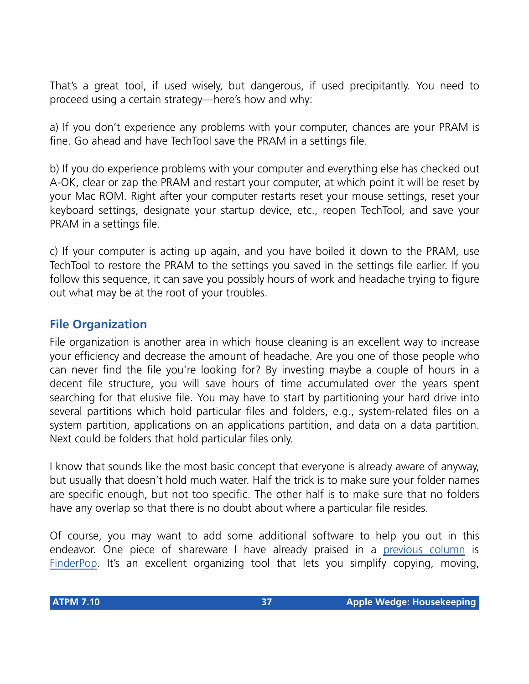That's a great tool, if used wisely, but dangerous, if used precipitantly. You need to proceed using a certain strategy—here's how and why:

a) If you don't experience any problems with your computer, chances are your PRAM is fine. Go ahead and have TechTool save the PRAM in a settings file.

b) If you do experience problems with your computer and everything else has checked out A-OK, clear or zap the PRAM and restart your computer, at which point it will be reset by your Mac ROM. Right after your computer restarts reset your mouse settings, reset your keyboard settings, designate your startup device, etc., reopen TechTool, and save your PRAM in a settings file.

c) If your computer is acting up again, and you have boiled it down to the PRAM, use TechTool to restore the PRAM to the settings you saved in the settings file earlier. If you follow this sequence, it can save you possibly hours of work and headache trying to figure out what may be at the root of your troubles.

## **File Organization**

File organization is another area in which house cleaning is an excellent way to increase your efficiency and decrease the amount of headache. Are you one of those people who can never find the file you're looking for? By investing maybe a couple of hours in a decent file structure, you will save hours of time accumulated over the years spent searching for that elusive file. You may have to start by partitioning your hard drive into several partitions which hold particular files and folders, e.g., system-related files on a system partition, applications on an applications partition, and data on a data partition. Next could be folders that hold particular files only.

I know that sounds like the most basic concept that everyone is already aware of anyway, but usually that doesn't hold much water. Half the trick is to make sure your folder names are specific enough, but not too specific. The other half is to make sure that no folders have any overlap so that there is no doubt about where a particular file resides.

Of course, you may want to add some additional software to help you out in this endeavor. One piece of shareware I have already praised in a [previous column](http://www.atpm.com/7.07/my-apple-wedge.shtml) is [FinderPop](http://www.finderpop.com/). It's an excellent organizing tool that lets you simplify copying, moving,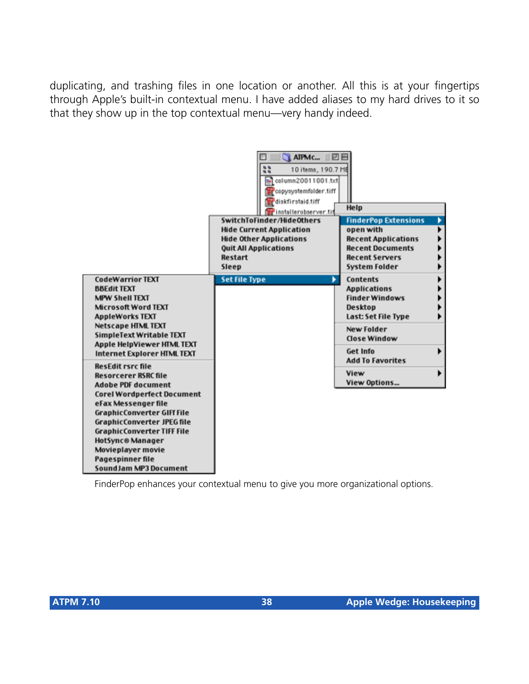duplicating, and trashing files in one location or another. All this is at your fingertips through Apple's built-in contextual menu. I have added aliases to my hard drives to it so that they show up in the top contextual menu—very handy indeed.



FinderPop enhances your contextual menu to give you more organizational options.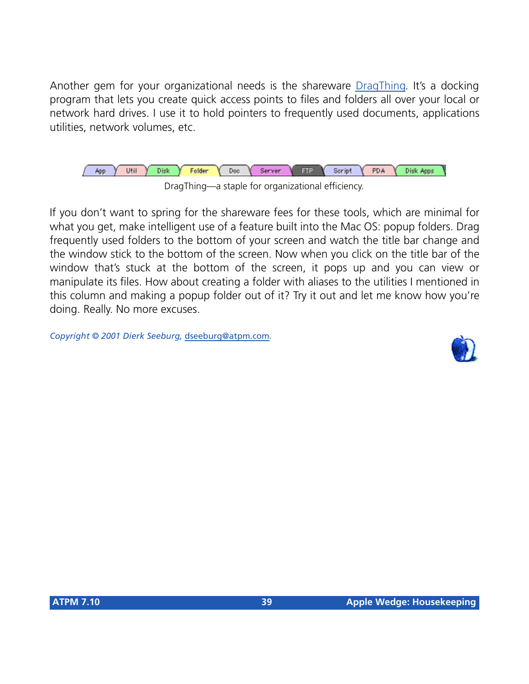Another gem for your organizational needs is the shareware [DragThing](http://www.dragthing.com/). It's a docking program that lets you create quick access points to files and folders all over your local or network hard drives. I use it to hold pointers to frequently used documents, applications utilities, network volumes, etc.



If you don't want to spring for the shareware fees for these tools, which are minimal for what you get, make intelligent use of a feature built into the Mac OS: popup folders. Drag frequently used folders to the bottom of your screen and watch the title bar change and the window stick to the bottom of the screen. Now when you click on the title bar of the window that's stuck at the bottom of the screen, it pops up and you can view or manipulate its files. How about creating a folder with aliases to the utilities I mentioned in this column and making a popup folder out of it? Try it out and let me know how you're doing. Really. No more excuses.

*Copyright © 2001 Dierk Seeburg,* [dseeburg@atpm.com](mailto:dseeburg@atpm.com)*.*

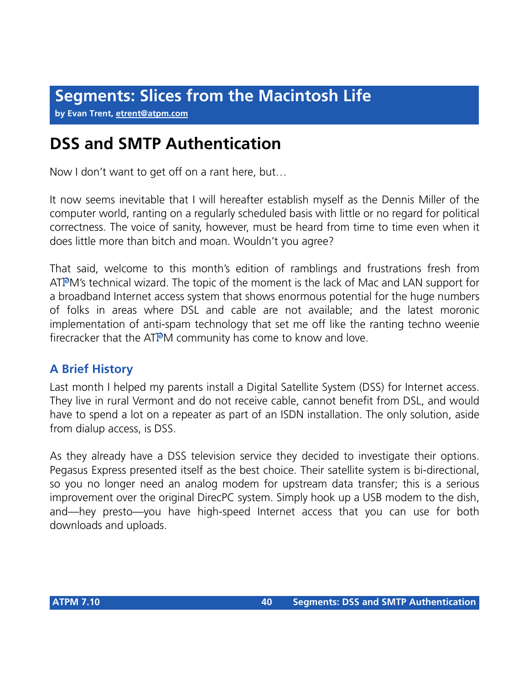**by Evan Trent, [etrent@atpm.com](mailto:etrent@atpm.com)**

# **DSS and SMTP Authentication**

Now I don't want to get off on a rant here, but…

It now seems inevitable that I will hereafter establish myself as the Dennis Miller of the computer world, ranting on a regularly scheduled basis with little or no regard for political correctness. The voice of sanity, however, must be heard from time to time even when it does little more than bitch and moan. Wouldn't you agree?

That said, welcome to this month's edition of ramblings and frustrations fresh from ATPM's technical wizard. The topic of the moment is the lack of Mac and LAN support for a broadband Internet access system that shows enormous potential for the huge numbers of folks in areas where DSL and cable are not available; and the latest moronic implementation of anti-spam technology that set me off like the ranting techno weenie firecracker that the ATPM community has come to know and love.

## **A Brief History**

Last month I helped my parents install a Digital Satellite System (DSS) for Internet access. They live in rural Vermont and do not receive cable, cannot benefit from DSL, and would have to spend a lot on a repeater as part of an ISDN installation. The only solution, aside from dialup access, is DSS.

As they already have a DSS television service they decided to investigate their options. Pegasus Express presented itself as the best choice. Their satellite system is bi-directional, so you no longer need an analog modem for upstream data transfer; this is a serious improvement over the original DirecPC system. Simply hook up a USB modem to the dish, and—hey presto—you have high-speed Internet access that you can use for both downloads and uploads.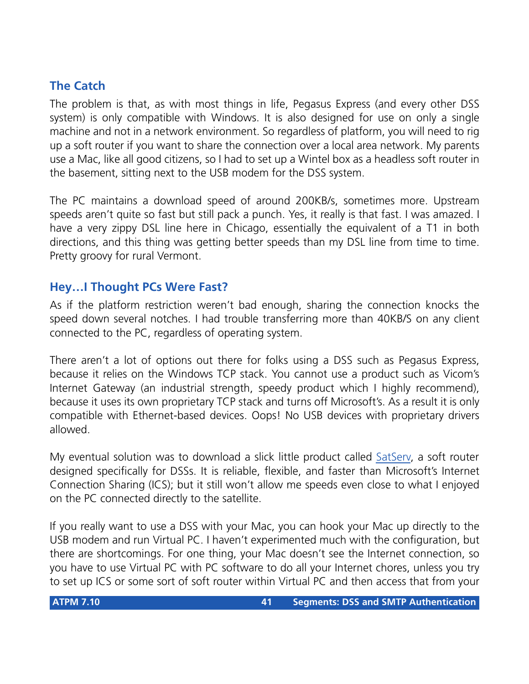## **The Catch**

The problem is that, as with most things in life, Pegasus Express (and every other DSS system) is only compatible with Windows. It is also designed for use on only a single machine and not in a network environment. So regardless of platform, you will need to rig up a soft router if you want to share the connection over a local area network. My parents use a Mac, like all good citizens, so I had to set up a Wintel box as a headless soft router in the basement, sitting next to the USB modem for the DSS system.

The PC maintains a download speed of around 200KB/s, sometimes more. Upstream speeds aren't quite so fast but still pack a punch. Yes, it really is that fast. I was amazed. I have a very zippy DSL line here in Chicago, essentially the equivalent of a T1 in both directions, and this thing was getting better speeds than my DSL line from time to time. Pretty groovy for rural Vermont.

## **Hey…I Thought PCs Were Fast?**

As if the platform restriction weren't bad enough, sharing the connection knocks the speed down several notches. I had trouble transferring more than 40KB/S on any client connected to the PC, regardless of operating system.

There aren't a lot of options out there for folks using a DSS such as Pegasus Express, because it relies on the Windows TCP stack. You cannot use a product such as Vicom's Internet Gateway (an industrial strength, speedy product which I highly recommend), because it uses its own proprietary TCP stack and turns off Microsoft's. As a result it is only compatible with Ethernet-based devices. Oops! No USB devices with proprietary drivers allowed.

My eventual solution was to download a slick little product called [SatServ](http://www.getsatserv.com), a soft router designed specifically for DSSs. It is reliable, flexible, and faster than Microsoft's Internet Connection Sharing (ICS); but it still won't allow me speeds even close to what I enjoyed on the PC connected directly to the satellite.

If you really want to use a DSS with your Mac, you can hook your Mac up directly to the USB modem and run Virtual PC. I haven't experimented much with the configuration, but there are shortcomings. For one thing, your Mac doesn't see the Internet connection, so you have to use Virtual PC with PC software to do all your Internet chores, unless you try to set up ICS or some sort of soft router within Virtual PC and then access that from your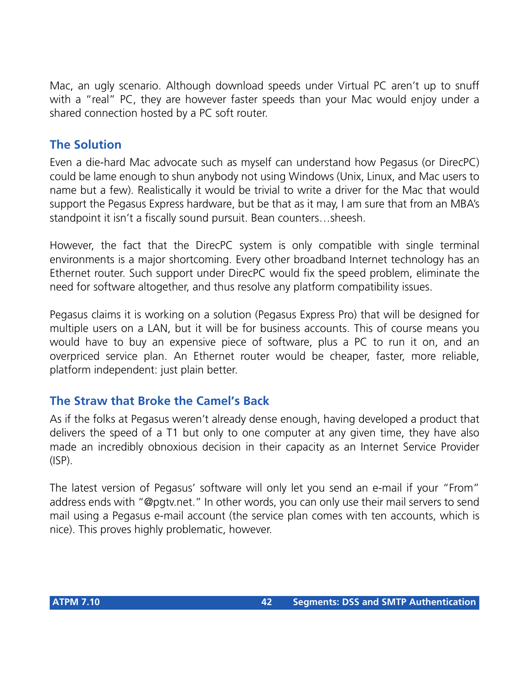Mac, an ugly scenario. Although download speeds under Virtual PC aren't up to snuff with a "real" PC, they are however faster speeds than your Mac would enjoy under a shared connection hosted by a PC soft router.

## **The Solution**

Even a die-hard Mac advocate such as myself can understand how Pegasus (or DirecPC) could be lame enough to shun anybody not using Windows (Unix, Linux, and Mac users to name but a few). Realistically it would be trivial to write a driver for the Mac that would support the Pegasus Express hardware, but be that as it may, I am sure that from an MBA's standpoint it isn't a fiscally sound pursuit. Bean counters…sheesh.

However, the fact that the DirecPC system is only compatible with single terminal environments is a major shortcoming. Every other broadband Internet technology has an Ethernet router. Such support under DirecPC would fix the speed problem, eliminate the need for software altogether, and thus resolve any platform compatibility issues.

Pegasus claims it is working on a solution (Pegasus Express Pro) that will be designed for multiple users on a LAN, but it will be for business accounts. This of course means you would have to buy an expensive piece of software, plus a PC to run it on, and an overpriced service plan. An Ethernet router would be cheaper, faster, more reliable, platform independent: just plain better.

## **The Straw that Broke the Camel's Back**

As if the folks at Pegasus weren't already dense enough, having developed a product that delivers the speed of a T1 but only to one computer at any given time, they have also made an incredibly obnoxious decision in their capacity as an Internet Service Provider (ISP).

The latest version of Pegasus' software will only let you send an e-mail if your "From" address ends with "@pgtv.net." In other words, you can only use their mail servers to send mail using a Pegasus e-mail account (the service plan comes with ten accounts, which is nice). This proves highly problematic, however.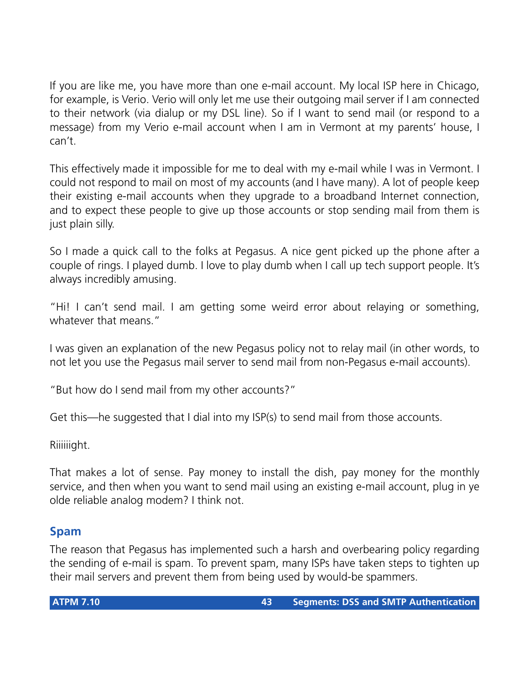If you are like me, you have more than one e-mail account. My local ISP here in Chicago, for example, is Verio. Verio will only let me use their outgoing mail server if I am connected to their network (via dialup or my DSL line). So if I want to send mail (or respond to a message) from my Verio e-mail account when I am in Vermont at my parents' house, I can't.

This effectively made it impossible for me to deal with my e-mail while I was in Vermont. I could not respond to mail on most of my accounts (and I have many). A lot of people keep their existing e-mail accounts when they upgrade to a broadband Internet connection, and to expect these people to give up those accounts or stop sending mail from them is just plain silly.

So I made a quick call to the folks at Pegasus. A nice gent picked up the phone after a couple of rings. I played dumb. I love to play dumb when I call up tech support people. It's always incredibly amusing.

"Hi! I can't send mail. I am getting some weird error about relaying or something, whatever that means."

I was given an explanation of the new Pegasus policy not to relay mail (in other words, to not let you use the Pegasus mail server to send mail from non-Pegasus e-mail accounts).

"But how do I send mail from my other accounts?"

Get this—he suggested that I dial into my ISP(s) to send mail from those accounts.

Riiiiiight.

That makes a lot of sense. Pay money to install the dish, pay money for the monthly service, and then when you want to send mail using an existing e-mail account, plug in ye olde reliable analog modem? I think not.

## **Spam**

The reason that Pegasus has implemented such a harsh and overbearing policy regarding the sending of e-mail is spam. To prevent spam, many ISPs have taken steps to tighten up their mail servers and prevent them from being used by would-be spammers.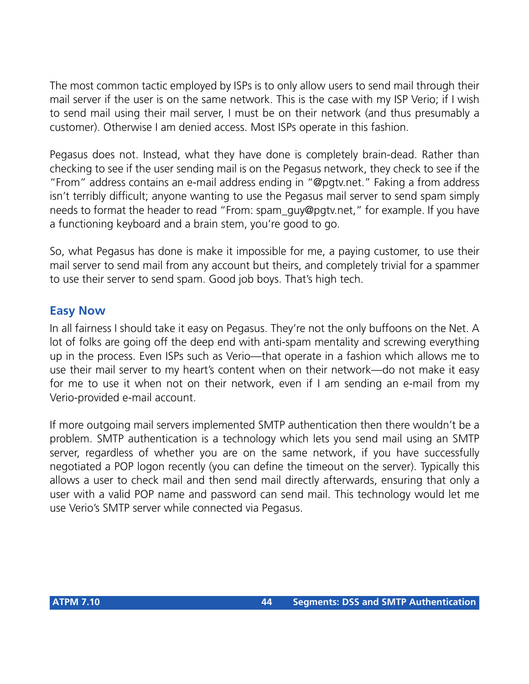The most common tactic employed by ISPs is to only allow users to send mail through their mail server if the user is on the same network. This is the case with my ISP Verio; if I wish to send mail using their mail server, I must be on their network (and thus presumably a customer). Otherwise I am denied access. Most ISPs operate in this fashion.

Pegasus does not. Instead, what they have done is completely brain-dead. Rather than checking to see if the user sending mail is on the Pegasus network, they check to see if the "From" address contains an e-mail address ending in "@pgtv.net." Faking a from address isn't terribly difficult; anyone wanting to use the Pegasus mail server to send spam simply needs to format the header to read "From: spam\_guy@pgtv.net," for example. If you have a functioning keyboard and a brain stem, you're good to go.

So, what Pegasus has done is make it impossible for me, a paying customer, to use their mail server to send mail from any account but theirs, and completely trivial for a spammer to use their server to send spam. Good job boys. That's high tech.

### **Easy Now**

In all fairness I should take it easy on Pegasus. They're not the only buffoons on the Net. A lot of folks are going off the deep end with anti-spam mentality and screwing everything up in the process. Even ISPs such as Verio—that operate in a fashion which allows me to use their mail server to my heart's content when on their network—do not make it easy for me to use it when not on their network, even if I am sending an e-mail from my Verio-provided e-mail account.

If more outgoing mail servers implemented SMTP authentication then there wouldn't be a problem. SMTP authentication is a technology which lets you send mail using an SMTP server, regardless of whether you are on the same network, if you have successfully negotiated a POP logon recently (you can define the timeout on the server). Typically this allows a user to check mail and then send mail directly afterwards, ensuring that only a user with a valid POP name and password can send mail. This technology would let me use Verio's SMTP server while connected via Pegasus.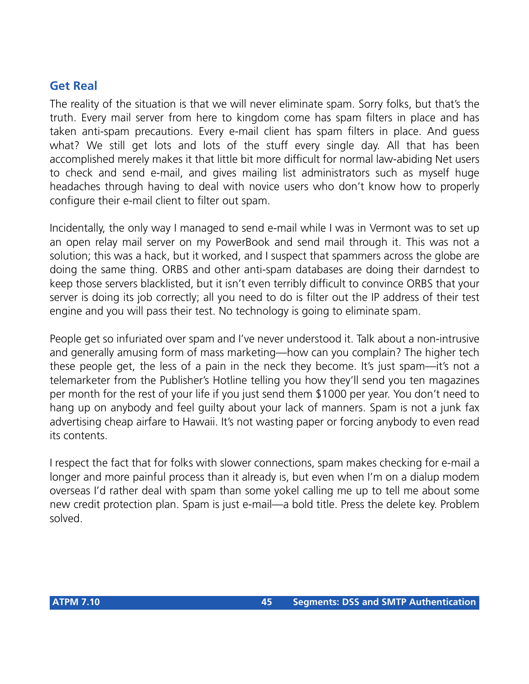## **Get Real**

The reality of the situation is that we will never eliminate spam. Sorry folks, but that's the truth. Every mail server from here to kingdom come has spam filters in place and has taken anti-spam precautions. Every e-mail client has spam filters in place. And guess what? We still get lots and lots of the stuff every single day. All that has been accomplished merely makes it that little bit more difficult for normal law-abiding Net users to check and send e-mail, and gives mailing list administrators such as myself huge headaches through having to deal with novice users who don't know how to properly configure their e-mail client to filter out spam.

Incidentally, the only way I managed to send e-mail while I was in Vermont was to set up an open relay mail server on my PowerBook and send mail through it. This was not a solution; this was a hack, but it worked, and I suspect that spammers across the globe are doing the same thing. ORBS and other anti-spam databases are doing their darndest to keep those servers blacklisted, but it isn't even terribly difficult to convince ORBS that your server is doing its job correctly; all you need to do is filter out the IP address of their test engine and you will pass their test. No technology is going to eliminate spam.

People get so infuriated over spam and I've never understood it. Talk about a non-intrusive and generally amusing form of mass marketing—how can you complain? The higher tech these people get, the less of a pain in the neck they become. It's just spam—it's not a telemarketer from the Publisher's Hotline telling you how they'll send you ten magazines per month for the rest of your life if you just send them \$1000 per year. You don't need to hang up on anybody and feel guilty about your lack of manners. Spam is not a junk fax advertising cheap airfare to Hawaii. It's not wasting paper or forcing anybody to even read its contents.

I respect the fact that for folks with slower connections, spam makes checking for e-mail a longer and more painful process than it already is, but even when I'm on a dialup modem overseas I'd rather deal with spam than some yokel calling me up to tell me about some new credit protection plan. Spam is just e-mail—a bold title. Press the delete key. Problem solved.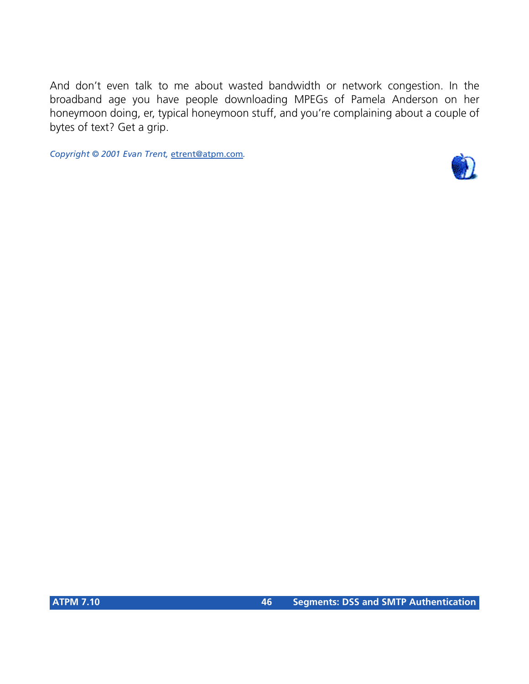And don't even talk to me about wasted bandwidth or network congestion. In the broadband age you have people downloading MPEGs of Pamela Anderson on her honeymoon doing, er, typical honeymoon stuff, and you're complaining about a couple of bytes of text? Get a grip.

*Copyright © 2001 Evan Trent,* [etrent@atpm.com](mailto:etrent@atpm.com)*.*

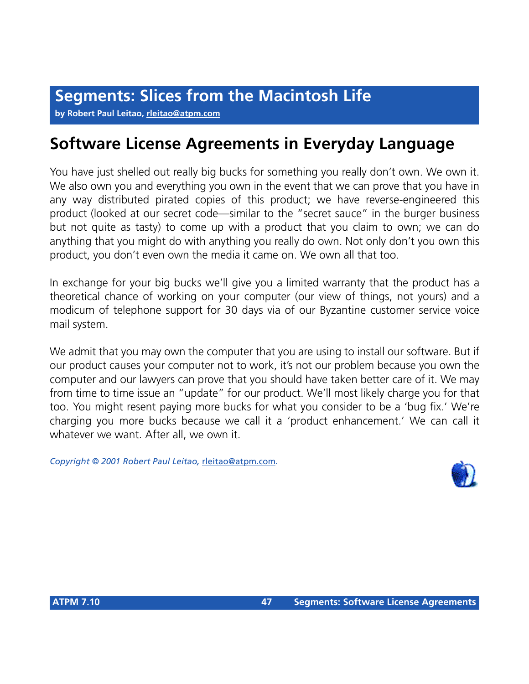**by Robert Paul Leitao, [rleitao@atpm.com](mailto:rleitao@atpm.com)**

# **Software License Agreements in Everyday Language**

You have just shelled out really big bucks for something you really don't own. We own it. We also own you and everything you own in the event that we can prove that you have in any way distributed pirated copies of this product; we have reverse-engineered this product (looked at our secret code—similar to the "secret sauce" in the burger business but not quite as tasty) to come up with a product that you claim to own; we can do anything that you might do with anything you really do own. Not only don't you own this product, you don't even own the media it came on. We own all that too.

In exchange for your big bucks we'll give you a limited warranty that the product has a theoretical chance of working on your computer (our view of things, not yours) and a modicum of telephone support for 30 days via of our Byzantine customer service voice mail system.

We admit that you may own the computer that you are using to install our software. But if our product causes your computer not to work, it's not our problem because you own the computer and our lawyers can prove that you should have taken better care of it. We may from time to time issue an "update" for our product. We'll most likely charge you for that too. You might resent paying more bucks for what you consider to be a 'bug fix.' We're charging you more bucks because we call it a 'product enhancement.' We can call it whatever we want. After all, we own it.

*Copyright © 2001 Robert Paul Leitao,* [rleitao@atpm.com](mailto:rleitao@atpm.com)*.*

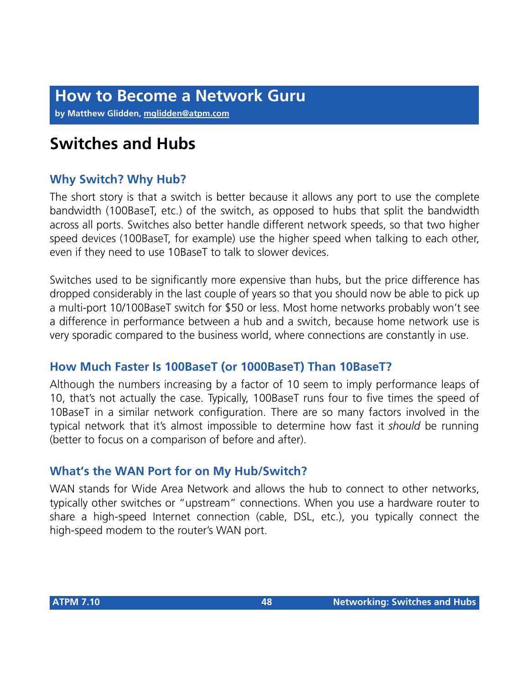**by Matthew Glidden, [mglidden@atpm.com](mailto:mglidden@atpm.com)**

# **Switches and Hubs**

## **Why Switch? Why Hub?**

The short story is that a switch is better because it allows any port to use the complete bandwidth (100BaseT, etc.) of the switch, as opposed to hubs that split the bandwidth across all ports. Switches also better handle different network speeds, so that two higher speed devices (100BaseT, for example) use the higher speed when talking to each other, even if they need to use 10BaseT to talk to slower devices.

Switches used to be significantly more expensive than hubs, but the price difference has dropped considerably in the last couple of years so that you should now be able to pick up a multi-port 10/100BaseT switch for \$50 or less. Most home networks probably won't see a difference in performance between a hub and a switch, because home network use is very sporadic compared to the business world, where connections are constantly in use.

### **How Much Faster Is 100BaseT (or 1000BaseT) Than 10BaseT?**

Although the numbers increasing by a factor of 10 seem to imply performance leaps of 10, that's not actually the case. Typically, 100BaseT runs four to five times the speed of 10BaseT in a similar network configuration. There are so many factors involved in the typical network that it's almost impossible to determine how fast it *should* be running (better to focus on a comparison of before and after).

## **What's the WAN Port for on My Hub/Switch?**

WAN stands for Wide Area Network and allows the hub to connect to other networks, typically other switches or "upstream" connections. When you use a hardware router to share a high-speed Internet connection (cable, DSL, etc.), you typically connect the high-speed modem to the router's WAN port.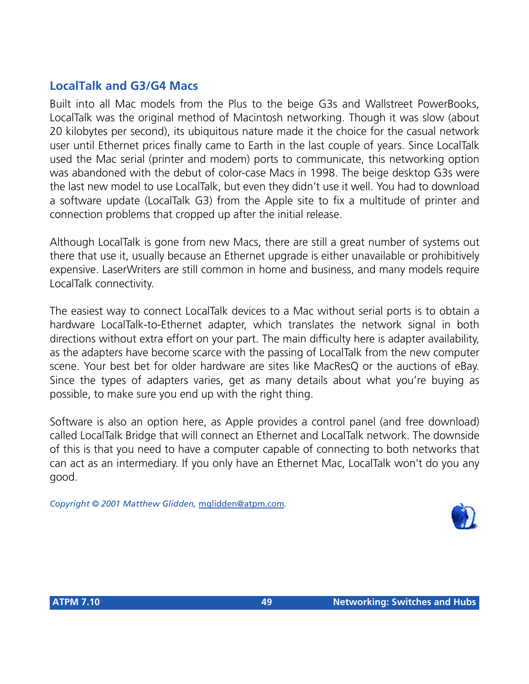## **LocalTalk and G3/G4 Macs**

Built into all Mac models from the Plus to the beige G3s and Wallstreet PowerBooks, LocalTalk was the original method of Macintosh networking. Though it was slow (about 20 kilobytes per second), its ubiquitous nature made it the choice for the casual network user until Ethernet prices finally came to Earth in the last couple of years. Since LocalTalk used the Mac serial (printer and modem) ports to communicate, this networking option was abandoned with the debut of color-case Macs in 1998. The beige desktop G3s were the last new model to use LocalTalk, but even they didn't use it well. You had to download a software update (LocalTalk G3) from the Apple site to fix a multitude of printer and connection problems that cropped up after the initial release.

Although LocalTalk is gone from new Macs, there are still a great number of systems out there that use it, usually because an Ethernet upgrade is either unavailable or prohibitively expensive. LaserWriters are still common in home and business, and many models require LocalTalk connectivity.

The easiest way to connect LocalTalk devices to a Mac without serial ports is to obtain a hardware LocalTalk-to-Ethernet adapter, which translates the network signal in both directions without extra effort on your part. The main difficulty here is adapter availability, as the adapters have become scarce with the passing of LocalTalk from the new computer scene. Your best bet for older hardware are sites like MacResQ or the auctions of eBay. Since the types of adapters varies, get as many details about what you're buying as possible, to make sure you end up with the right thing.

Software is also an option here, as Apple provides a control panel (and free download) called LocalTalk Bridge that will connect an Ethernet and LocalTalk network. The downside of this is that you need to have a computer capable of connecting to both networks that can act as an intermediary. If you only have an Ethernet Mac, LocalTalk won't do you any good.

*Copyright © 2001 Matthew Glidden,* [mglidden@atpm.com](mailto:mglidden@atpm.com)*.*

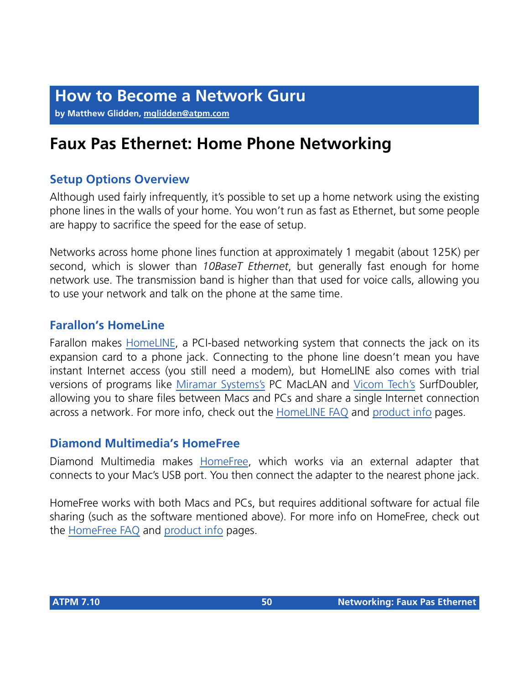**by Matthew Glidden, [mglidden@atpm.com](mailto:mglidden@atpm.com)**

# **Faux Pas Ethernet: Home Phone Networking**

## **Setup Options Overview**

Although used fairly infrequently, it's possible to set up a home network using the existing phone lines in the walls of your home. You won't run as fast as Ethernet, but some people are happy to sacrifice the speed for the ease of setup.

Networks across home phone lines function at approximately 1 megabit (about 125K) per second, which is slower than *10BaseT Ethernet*, but generally fast enough for home network use. The transmission band is higher than that used for voice calls, allowing you to use your network and talk on the phone at the same time.

## **Farallon's HomeLine**

Farallon makes [HomeLINE,](http://www.farallon.com/products/homeline/) a PCI-based networking system that connects the jack on its expansion card to a phone jack. Connecting to the phone line doesn't mean you have instant Internet access (you still need a modem), but HomeLINE also comes with trial versions of programs like [Miramar Systems's](http://www.miramarsys.com) PC MacLAN and [Vicom Tech's](http://www.vicomtech.com/) SurfDoubler, allowing you to share files between Macs and PCs and share a single Internet connection across a network. For more info, check out the [HomeLINE FAQ](http://www.farallon.com/support/homeline/faq.html) and [product info](http://www.farallon.com/products/homeline/) pages.

### **Diamond Multimedia's HomeFree**

Diamond Multimedia makes [HomeFree](http://www.diamondmm.com/products/main/homefreepnausb.html), which works via an external adapter that connects to your Mac's USB port. You then connect the adapter to the nearest phone jack.

HomeFree works with both Macs and PCs, but requires additional software for actual file sharing (such as the software mentioned above). For more info on HomeFree, check out the [HomeFree FAQ](http://www.diamondmm.com/products/main/faqrev.htm) and [product info](http://www.diamondmm.com/products/main/homefreepnausb.html) pages.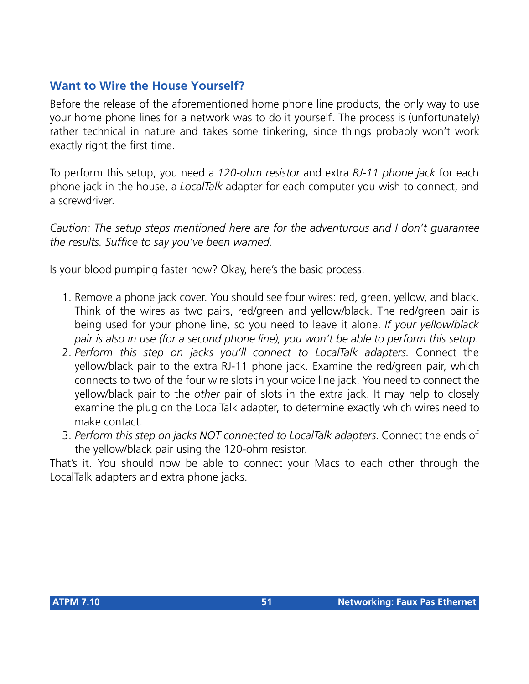## **Want to Wire the House Yourself?**

Before the release of the aforementioned home phone line products, the only way to use your home phone lines for a network was to do it yourself. The process is (unfortunately) rather technical in nature and takes some tinkering, since things probably won't work exactly right the first time.

To perform this setup, you need a *120-ohm resistor* and extra *RJ-11 phone jack* for each phone jack in the house, a *LocalTalk* adapter for each computer you wish to connect, and a screwdriver.

*Caution: The setup steps mentioned here are for the adventurous and I don't guarantee the results. Suffice to say you've been warned.*

Is your blood pumping faster now? Okay, here's the basic process.

- 1. Remove a phone jack cover. You should see four wires: red, green, yellow, and black. Think of the wires as two pairs, red/green and yellow/black. The red/green pair is being used for your phone line, so you need to leave it alone. *If your yellow/black pair is also in use (for a second phone line), you won't be able to perform this setup.*
- 2. *Perform this step on jacks you'll connect to LocalTalk adapters.* Connect the yellow/black pair to the extra RJ-11 phone jack. Examine the red/green pair, which connects to two of the four wire slots in your voice line jack. You need to connect the yellow/black pair to the *other* pair of slots in the extra jack. It may help to closely examine the plug on the LocalTalk adapter, to determine exactly which wires need to make contact.
- 3. *Perform this step on jacks NOT connected to LocalTalk adapters.* Connect the ends of the yellow/black pair using the 120-ohm resistor.

That's it. You should now be able to connect your Macs to each other through the LocalTalk adapters and extra phone jacks.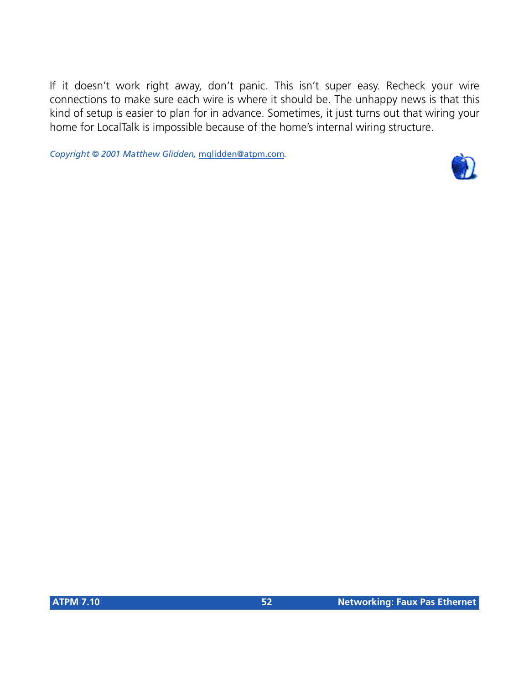If it doesn't work right away, don't panic. This isn't super easy. Recheck your wire connections to make sure each wire is where it should be. The unhappy news is that this kind of setup is easier to plan for in advance. Sometimes, it just turns out that wiring your home for LocalTalk is impossible because of the home's internal wiring structure.

*Copyright © 2001 Matthew Glidden,* [mglidden@atpm.com](mailto:mglidden@atpm.com)*.*

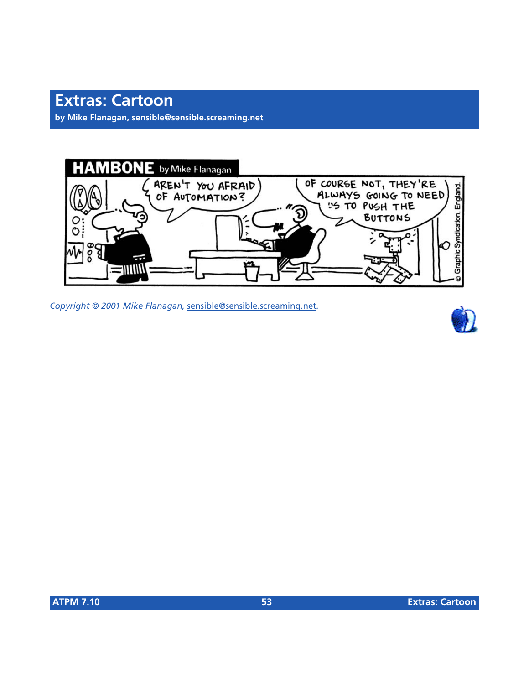**by Mike Flanagan, [sensible@sensible.screaming.net](mailto:sensible@sensible.screaming.net)**



*Copyright © 2001 Mike Flanagan,* [sensible@sensible.screaming.net](mailto:mrspiffy@earthlink.net)*.*

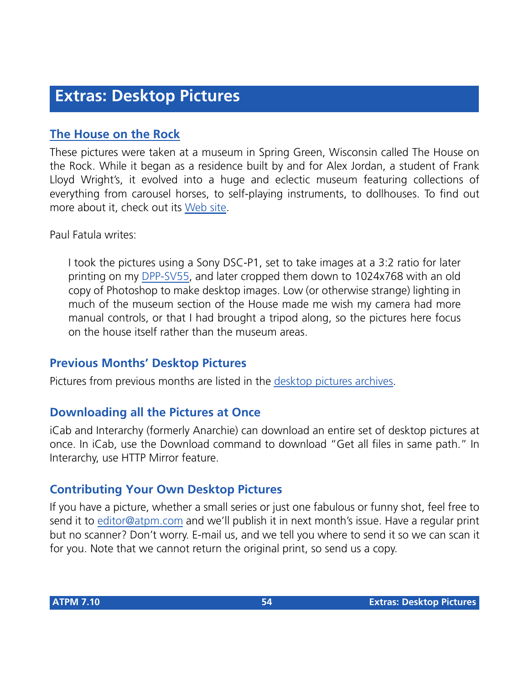## **[The House on the Rock](http://www.atpm.com/7.10/house-on-the-rock/)**

These pictures were taken at a museum in Spring Green, Wisconsin called The House on the Rock. While it began as a residence built by and for Alex Jordan, a student of Frank Lloyd Wright's, it evolved into a huge and eclectic museum featuring collections of everything from carousel horses, to self-playing instruments, to dollhouses. To find out more about it, check out its [Web site.](http://www.thehouseontherock.com)

Paul Fatula writes:

I took the pictures using a Sony DSC-P1, set to take images at a 3:2 ratio for later printing on my [DPP-SV55,](http://www.atpm.com/7.04/dpp-sv55.shtml) and later cropped them down to 1024x768 with an old copy of Photoshop to make desktop images. Low (or otherwise strange) lighting in much of the museum section of the House made me wish my camera had more manual controls, or that I had brought a tripod along, so the pictures here focus on the house itself rather than the museum areas.

## **Previous Months' Desktop Pictures**

Pictures from previous months are listed in the [desktop pictures archives](http://www.atpm.com/Back/desktop-pictures.shtml).

## **Downloading all the Pictures at Once**

iCab and Interarchy (formerly Anarchie) can download an entire set of desktop pictures at once. In iCab, use the Download command to download "Get all files in same path." In Interarchy, use HTTP Mirror feature.

## **Contributing Your Own Desktop Pictures**

If you have a picture, whether a small series or just one fabulous or funny shot, feel free to send it to [editor@atpm.com](mailto:editor@atpm.com) and we'll publish it in next month's issue. Have a regular print but no scanner? Don't worry. E-mail us, and we tell you where to send it so we can scan it for you. Note that we cannot return the original print, so send us a copy.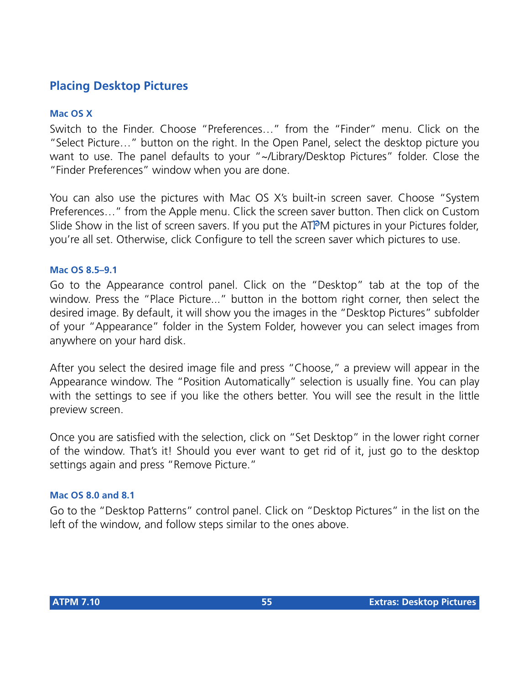## **Placing Desktop Pictures**

#### **Mac OS X**

Switch to the Finder. Choose "Preferences…" from the "Finder" menu. Click on the "Select Picture…" button on the right. In the Open Panel, select the desktop picture you want to use. The panel defaults to your "~/Library/Desktop Pictures" folder. Close the "Finder Preferences" window when you are done.

You can also use the pictures with Mac OS X's built-in screen saver. Choose "System Preferences…" from the Apple menu. Click the screen saver button. Then click on Custom Slide Show in the list of screen savers. If you put the ATPM pictures in your Pictures folder, you're all set. Otherwise, click Configure to tell the screen saver which pictures to use.

#### **Mac OS 8.5–9.1**

Go to the Appearance control panel. Click on the "Desktop" tab at the top of the window. Press the "Place Picture..." button in the bottom right corner, then select the desired image. By default, it will show you the images in the "Desktop Pictures" subfolder of your "Appearance" folder in the System Folder, however you can select images from anywhere on your hard disk.

After you select the desired image file and press "Choose," a preview will appear in the Appearance window. The "Position Automatically" selection is usually fine. You can play with the settings to see if you like the others better. You will see the result in the little preview screen.

Once you are satisfied with the selection, click on "Set Desktop" in the lower right corner of the window. That's it! Should you ever want to get rid of it, just go to the desktop settings again and press "Remove Picture."

#### **Mac OS 8.0 and 8.1**

Go to the "Desktop Patterns" control panel. Click on "Desktop Pictures" in the list on the left of the window, and follow steps similar to the ones above.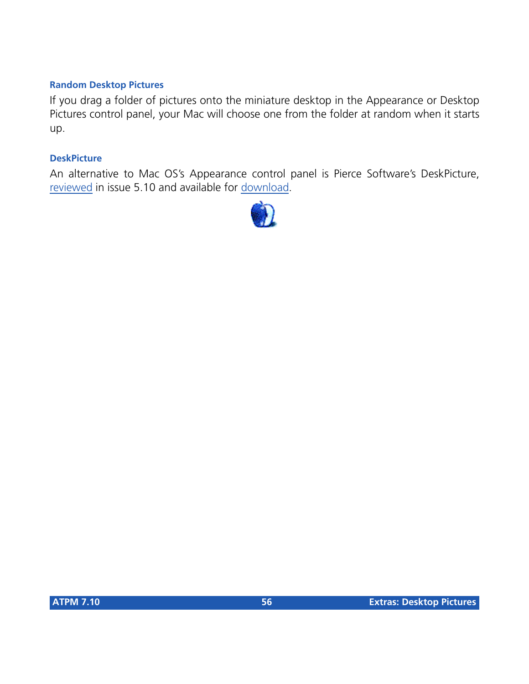#### **Random Desktop Pictures**

If you drag a folder of pictures onto the miniature desktop in the Appearance or Desktop Pictures control panel, your Mac will choose one from the folder at random when it starts up.

#### **DeskPicture**

An alternative to Mac OS's Appearance control panel is Pierce Software's DeskPicture, [reviewed](http://www.atpm.com/5.10/roundup.shtml) in issue 5.10 and available for [download](http://www.peircesw.com/DeskPicture.html).

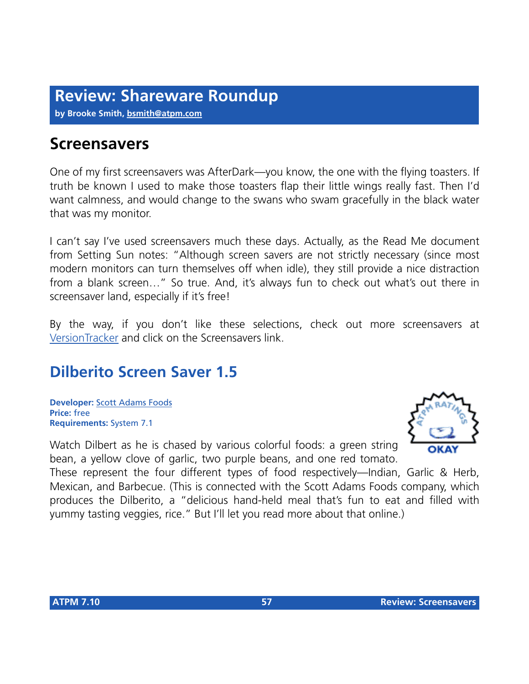**by Brooke Smith, [bsmith@atpm.com](mailto:bsmith@atpm.com)**

## **Screensavers**

One of my first screensavers was AfterDark—you know, the one with the flying toasters. If truth be known I used to make those toasters flap their little wings really fast. Then I'd want calmness, and would change to the swans who swam gracefully in the black water that was my monitor.

I can't say I've used screensavers much these days. Actually, as the Read Me document from Setting Sun notes: "Although screen savers are not strictly necessary (since most modern monitors can turn themselves off when idle), they still provide a nice distraction from a blank screen…" So true. And, it's always fun to check out what's out there in screensaver land, especially if it's free!

By the way, if you don't like these selections, check out more screensavers at [VersionTracker](http://www.versiontracker.com) and click on the Screensavers link.

## **Dilberito Screen Saver 1.5**

**Developer:** [Scott Adams Foods](http://www.dilberito.com/fun/fun.htm) **Price:** free **Requirements:** System 7.1

Watch Dilbert as he is chased by various colorful foods: a green string bean, a yellow clove of garlic, two purple beans, and one red tomato.



These represent the four different types of food respectively—Indian, Garlic & Herb, Mexican, and Barbecue. (This is connected with the Scott Adams Foods company, which produces the Dilberito, a "delicious hand-held meal that's fun to eat and filled with yummy tasting veggies, rice." But I'll let you read more about that online.)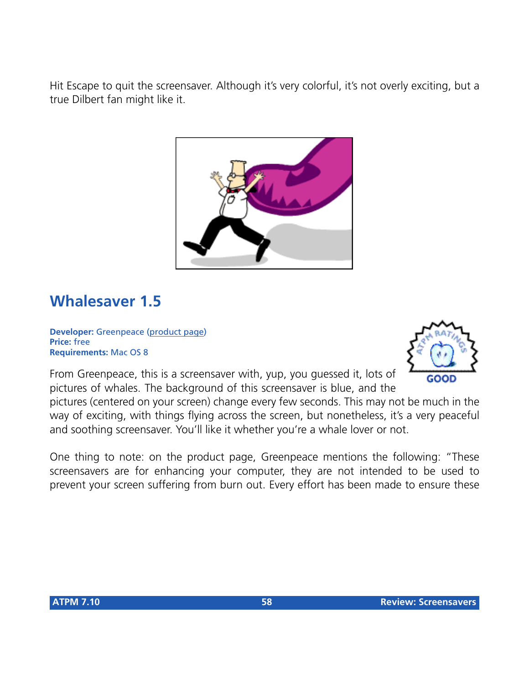Hit Escape to quit the screensaver. Although it's very colorful, it's not overly exciting, but a true Dilbert fan might like it.



## **Whalesaver 1.5**

**Developer:** Greenpeace [\(product page\)](http://whales.greenpeace.org/screensaver.html) **Price:** free **Requirements:** Mac OS 8

GOOD

From Greenpeace, this is a screensaver with, yup, you guessed it, lots of pictures of whales. The background of this screensaver is blue, and the

pictures (centered on your screen) change every few seconds. This may not be much in the way of exciting, with things flying across the screen, but nonetheless, it's a very peaceful and soothing screensaver. You'll like it whether you're a whale lover or not.

One thing to note: on the product page, Greenpeace mentions the following: "These screensavers are for enhancing your computer, they are not intended to be used to prevent your screen suffering from burn out. Every effort has been made to ensure these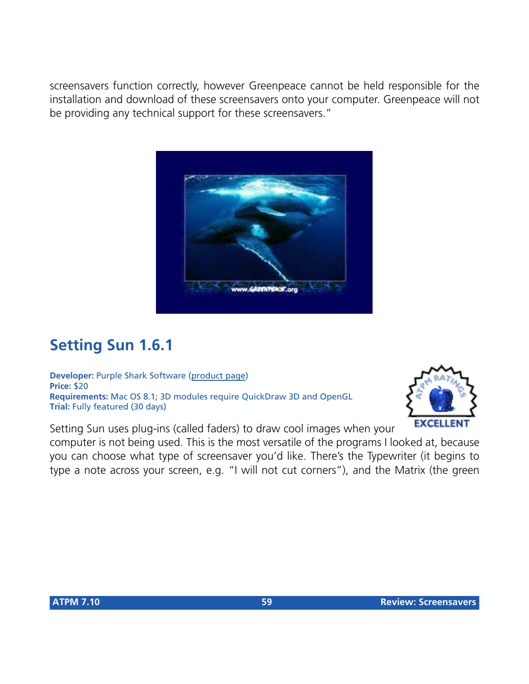screensavers function correctly, however Greenpeace cannot be held responsible for the installation and download of these screensavers onto your computer. Greenpeace will not be providing any technical support for these screensavers."



## **Setting Sun 1.6.1**

**Developer:** Purple Shark Software [\(product page](http://www.Webthing.net/settingsun/)) **Price:** \$20 **Requirements:** Mac OS 8.1; 3D modules require QuickDraw 3D and OpenGL **Trial:** Fully featured (30 days)



Setting Sun uses plug-ins (called faders) to draw cool images when your

computer is not being used. This is the most versatile of the programs I looked at, because you can choose what type of screensaver you'd like. There's the Typewriter (it begins to type a note across your screen, e.g. "I will not cut corners"), and the Matrix (the green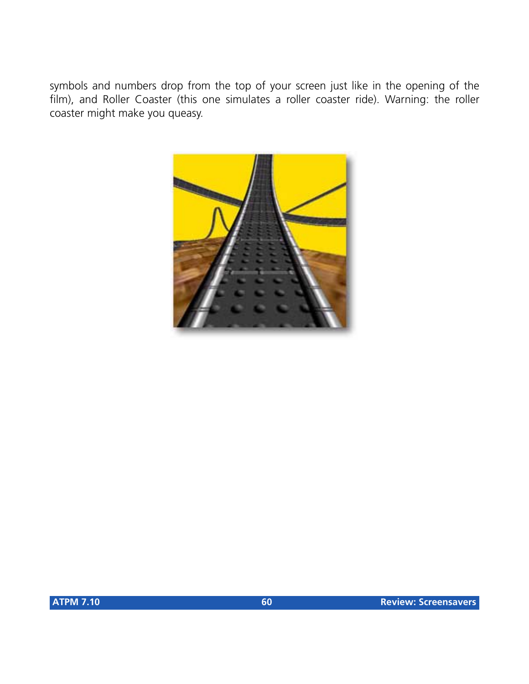symbols and numbers drop from the top of your screen just like in the opening of the film), and Roller Coaster (this one simulates a roller coaster ride). Warning: the roller coaster might make you queasy.

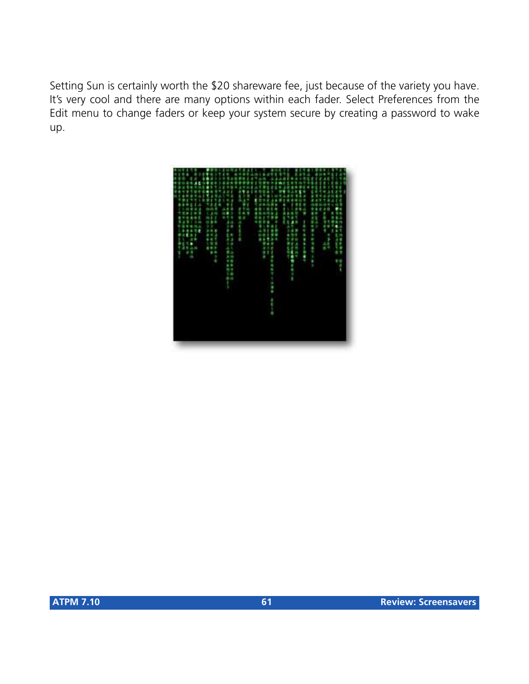Setting Sun is certainly worth the \$20 shareware fee, just because of the variety you have. It's very cool and there are many options within each fader. Select Preferences from the Edit menu to change faders or keep your system secure by creating a password to wake up.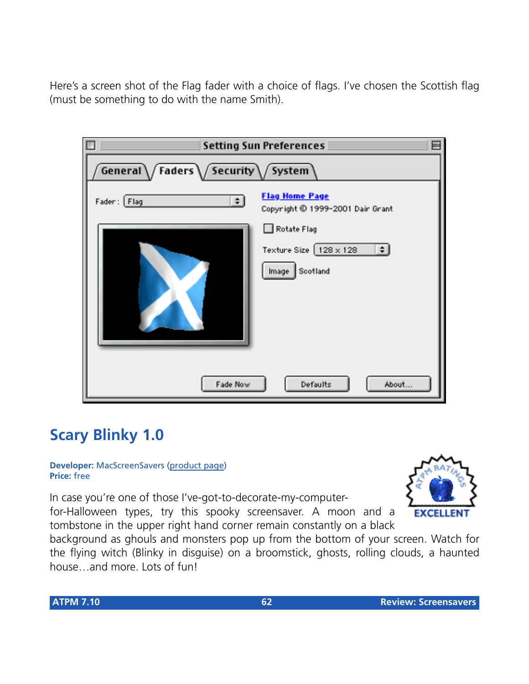Here's a screen shot of the Flag fader with a choice of flags. I've chosen the Scottish flag (must be something to do with the name Smith).

| <b>Setting Sun Preferences</b>       |                                                                          |
|--------------------------------------|--------------------------------------------------------------------------|
| General / Faders / Security / System |                                                                          |
| Fader: Flag<br>$\div$                | <b>Flag Home Page</b><br>Copyright © 1999-2001 Dair Grant                |
|                                      | Rotate Flag<br>Texture Size $128 \times 128$<br>$\div$<br>Image Scotland |
| Defaults<br>Fade Now<br>About        |                                                                          |

## **Scary Blinky 1.0**

#### **Developer:** MacScreenSavers [\(product page](http://www.macscreensavers.com/halloween.html)) **Price:** free

In case you're one of those I've-got-to-decorate-my-computerfor-Halloween types, try this spooky screensaver. A moon and a tombstone in the upper right hand corner remain constantly on a black



background as ghouls and monsters pop up from the bottom of your screen. Watch for the flying witch (Blinky in disguise) on a broomstick, ghosts, rolling clouds, a haunted house…and more. Lots of fun!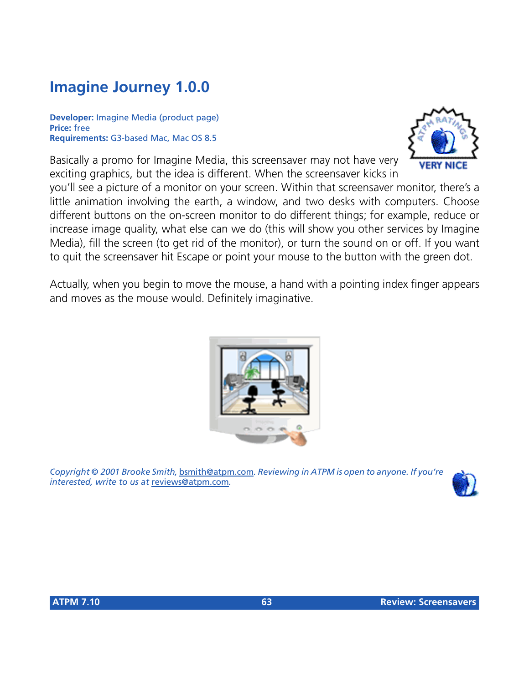# **Imagine Journey 1.0.0**

**Developer:** Imagine Media ([product page](http://www.imaginemedia.co.uk/html/goodies.htm)) **Price:** free **Requirements:** G3-based Mac, Mac OS 8.5

Basically a promo for Imagine Media, this screensaver may not have very exciting graphics, but the idea is different. When the screensaver kicks in

you'll see a picture of a monitor on your screen. Within that screensaver monitor, there's a little animation involving the earth, a window, and two desks with computers. Choose different buttons on the on-screen monitor to do different things; for example, reduce or increase image quality, what else can we do (this will show you other services by Imagine Media), fill the screen (to get rid of the monitor), or turn the sound on or off. If you want to quit the screensaver hit Escape or point your mouse to the button with the green dot.

Actually, when you begin to move the mouse, a hand with a pointing index finger appears and moves as the mouse would. Definitely imaginative.

*Copyright © 2001 Brooke Smith,* [bsmith@atpm.com](mailto:bsmith@atpm.com)*. Reviewing in ATPM is open to anyone. If you're interested, write to us at* [reviews@atpm.com](mailto:reviews@atpm.com)*.*





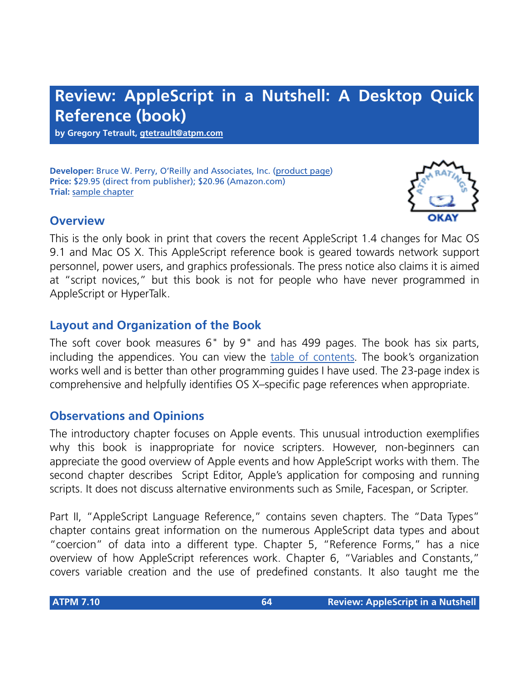# **Review: AppleScript in a Nutshell: A Desktop Quick Reference (book)**

**by Gregory Tetrault, [gtetrault@atpm.com](mailto:gtetrault@atpm.com)**

**Developer:** Bruce W. Perry, O'Reilly and Associates, Inc. [\(product page](http://www.oreilly.com/catalog/aplscptian/)) **Price:** \$29.95 (direct from publisher); \$20.96 (Amazon.com) **Trial:** [sample chapter](http://www.oreilly.com/catalog/aplscptian/chapter/ch07.html)

### **Overview**

This is the only book in print that covers the recent AppleScript 1.4 changes for Mac OS 9.1 and Mac OS X. This AppleScript reference book is geared towards network support personnel, power users, and graphics professionals. The press notice also claims it is aimed at "script novices," but this book is not for people who have never programmed in AppleScript or HyperTalk.

## **Layout and Organization of the Book**

The soft cover book measures 6" by 9" and has 499 pages. The book has six parts, including the appendices. You can view the [table of contents](http://www.oreilly.com/catalog/aplscptian/toc.html). The book's organization works well and is better than other programming guides I have used. The 23-page index is comprehensive and helpfully identifies OS X–specific page references when appropriate.

## **Observations and Opinions**

The introductory chapter focuses on Apple events. This unusual introduction exemplifies why this book is inappropriate for novice scripters. However, non-beginners can appreciate the good overview of Apple events and how AppleScript works with them. The second chapter describes Script Editor, Apple's application for composing and running scripts. It does not discuss alternative environments such as Smile, Facespan, or Scripter.

Part II, "AppleScript Language Reference," contains seven chapters. The "Data Types" chapter contains great information on the numerous AppleScript data types and about "coercion" of data into a different type. Chapter 5, "Reference Forms," has a nice overview of how AppleScript references work. Chapter 6, "Variables and Constants," covers variable creation and the use of predefined constants. It also taught me the

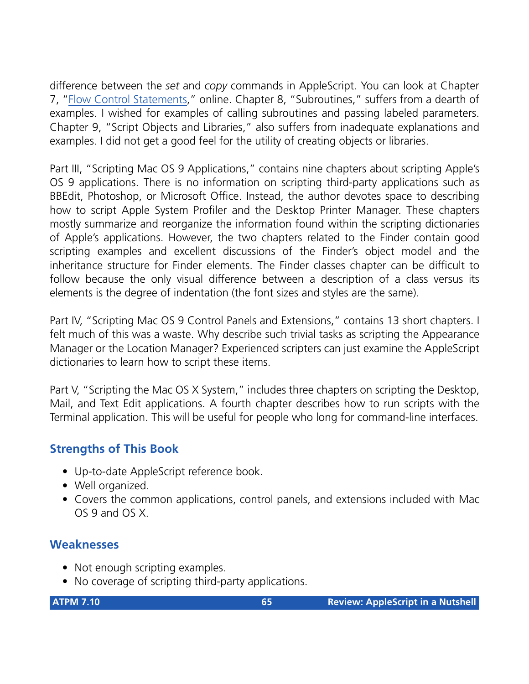difference between the *set* and *copy* commands in AppleScript. You can look at Chapter 7, ["Flow Control Statements](http://www.oreilly.com/catalog/aplscptian/chapter/ch07.html)," online. Chapter 8, "Subroutines," suffers from a dearth of examples. I wished for examples of calling subroutines and passing labeled parameters. Chapter 9, "Script Objects and Libraries," also suffers from inadequate explanations and examples. I did not get a good feel for the utility of creating objects or libraries.

Part III, "Scripting Mac OS 9 Applications," contains nine chapters about scripting Apple's OS 9 applications. There is no information on scripting third-party applications such as BBEdit, Photoshop, or Microsoft Office. Instead, the author devotes space to describing how to script Apple System Profiler and the Desktop Printer Manager. These chapters mostly summarize and reorganize the information found within the scripting dictionaries of Apple's applications. However, the two chapters related to the Finder contain good scripting examples and excellent discussions of the Finder's object model and the inheritance structure for Finder elements. The Finder classes chapter can be difficult to follow because the only visual difference between a description of a class versus its elements is the degree of indentation (the font sizes and styles are the same).

Part IV, "Scripting Mac OS 9 Control Panels and Extensions," contains 13 short chapters. I felt much of this was a waste. Why describe such trivial tasks as scripting the Appearance Manager or the Location Manager? Experienced scripters can just examine the AppleScript dictionaries to learn how to script these items.

Part V, "Scripting the Mac OS X System," includes three chapters on scripting the Desktop, Mail, and Text Edit applications. A fourth chapter describes how to run scripts with the Terminal application. This will be useful for people who long for command-line interfaces.

## **Strengths of This Book**

- Up-to-date AppleScript reference book.
- Well organized.
- Covers the common applications, control panels, and extensions included with Mac OS 9 and OS X.

## **Weaknesses**

- Not enough scripting examples.
- No coverage of scripting third-party applications.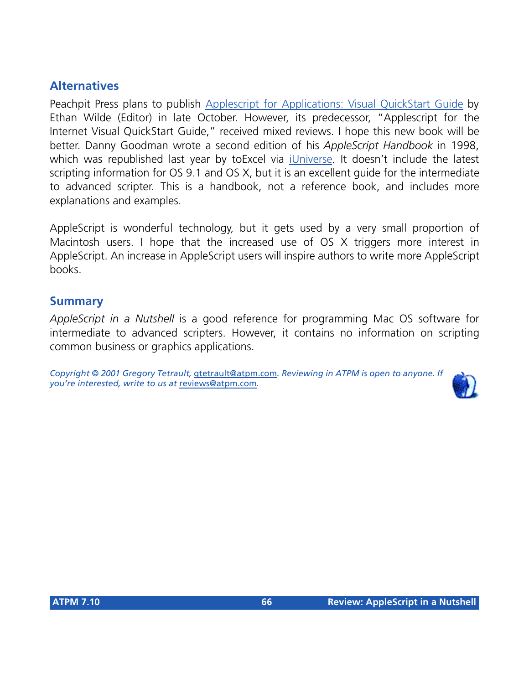## **Alternatives**

Peachpit Press plans to publish [Applescript for Applications: Visual QuickStart Guide](http://www.peachpit.com/books/catalog/71613.html) by Ethan Wilde (Editor) in late October. However, its predecessor, "Applescript for the Internet Visual QuickStart Guide," received mixed reviews. I hope this new book will be better. Danny Goodman wrote a second edition of his *AppleScript Handbook* in 1998, which was republished last year by toExcel via *iUniverse*. It doesn't include the latest scripting information for OS 9.1 and OS X, but it is an excellent guide for the intermediate to advanced scripter. This is a handbook, not a reference book, and includes more explanations and examples.

AppleScript is wonderful technology, but it gets used by a very small proportion of Macintosh users. I hope that the increased use of OS X triggers more interest in AppleScript. An increase in AppleScript users will inspire authors to write more AppleScript books.

#### **Summary**

*AppleScript in a Nutshell* is a good reference for programming Mac OS software for intermediate to advanced scripters. However, it contains no information on scripting common business or graphics applications.

*Copyright © 2001 Gregory Tetrault,* [gtetrault@atpm.com](mailto:gtetrault@atpm.com)*. Reviewing in ATPM is open to anyone. If you're interested, write to us at* [reviews@atpm.com](mailto:reviews@atpm.com)*.*

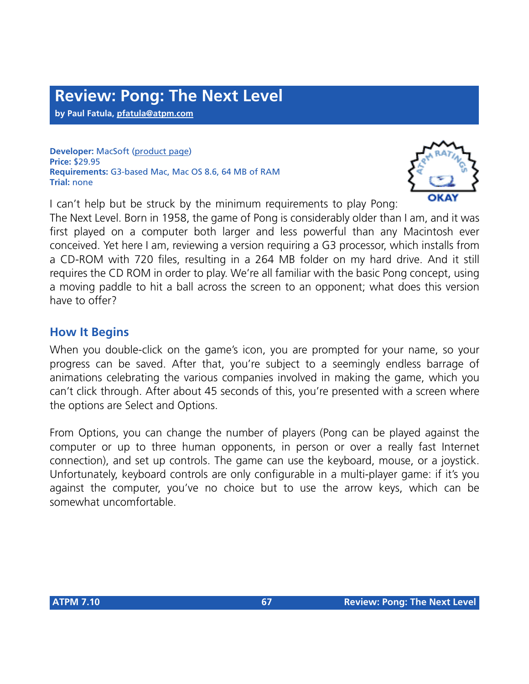**by Paul Fatula, [pfatula@atpm.com](mailto:pfatula@atpm.com)**

**Developer:** MacSoft ([product page\)](http://www.wizardworks.com/macsoft/pong/pong.htm) **Price:** \$29.95 **Requirements:** G3-based Mac, Mac OS 8.6, 64 MB of RAM **Trial:** none

I can't help but be struck by the minimum requirements to play Pong:



The Next Level. Born in 1958, the game of Pong is considerably older than I am, and it was first played on a computer both larger and less powerful than any Macintosh ever conceived. Yet here I am, reviewing a version requiring a G3 processor, which installs from a CD-ROM with 720 files, resulting in a 264 MB folder on my hard drive. And it still requires the CD ROM in order to play. We're all familiar with the basic Pong concept, using a moving paddle to hit a ball across the screen to an opponent; what does this version have to offer?

## **How It Begins**

When you double-click on the game's icon, you are prompted for your name, so your progress can be saved. After that, you're subject to a seemingly endless barrage of animations celebrating the various companies involved in making the game, which you can't click through. After about 45 seconds of this, you're presented with a screen where the options are Select and Options.

From Options, you can change the number of players (Pong can be played against the computer or up to three human opponents, in person or over a really fast Internet connection), and set up controls. The game can use the keyboard, mouse, or a joystick. Unfortunately, keyboard controls are only configurable in a multi-player game: if it's you against the computer, you've no choice but to use the arrow keys, which can be somewhat uncomfortable.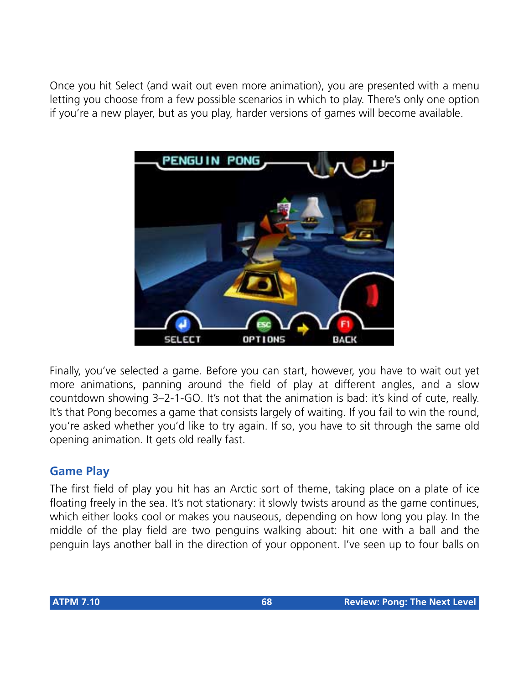Once you hit Select (and wait out even more animation), you are presented with a menu letting you choose from a few possible scenarios in which to play. There's only one option if you're a new player, but as you play, harder versions of games will become available.



Finally, you've selected a game. Before you can start, however, you have to wait out yet more animations, panning around the field of play at different angles, and a slow countdown showing 3–2-1-GO. It's not that the animation is bad: it's kind of cute, really. It's that Pong becomes a game that consists largely of waiting. If you fail to win the round, you're asked whether you'd like to try again. If so, you have to sit through the same old opening animation. It gets old really fast.

## **Game Play**

The first field of play you hit has an Arctic sort of theme, taking place on a plate of ice floating freely in the sea. It's not stationary: it slowly twists around as the game continues, which either looks cool or makes you nauseous, depending on how long you play. In the middle of the play field are two penguins walking about: hit one with a ball and the penguin lays another ball in the direction of your opponent. I've seen up to four balls on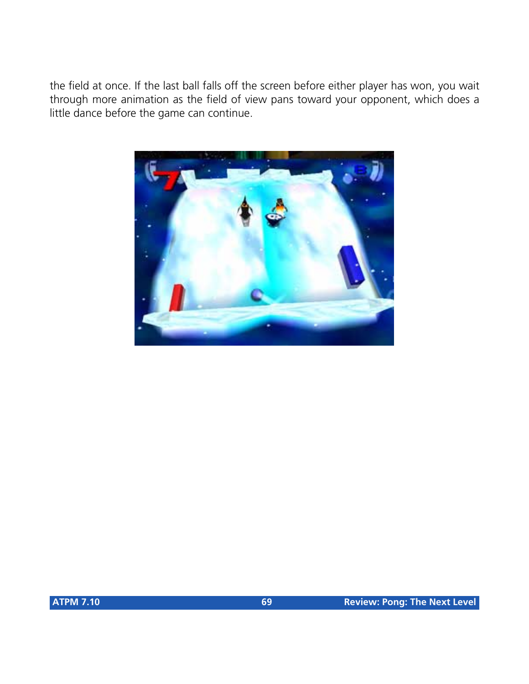the field at once. If the last ball falls off the screen before either player has won, you wait through more animation as the field of view pans toward your opponent, which does a little dance before the game can continue.

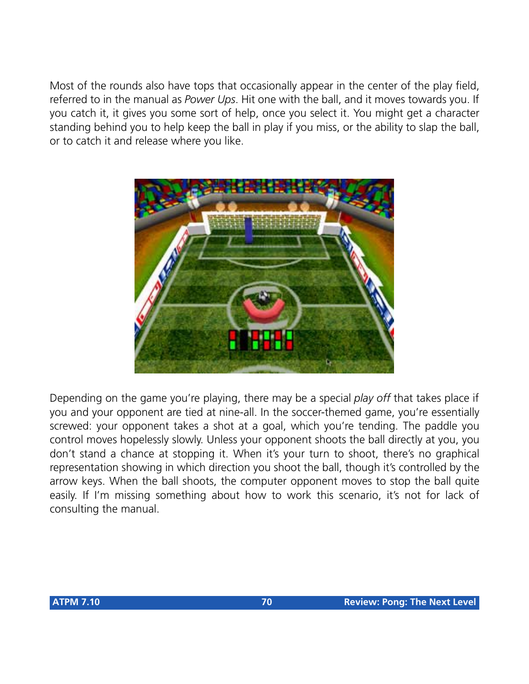Most of the rounds also have tops that occasionally appear in the center of the play field, referred to in the manual as *Power Ups*. Hit one with the ball, and it moves towards you. If you catch it, it gives you some sort of help, once you select it. You might get a character standing behind you to help keep the ball in play if you miss, or the ability to slap the ball, or to catch it and release where you like.



Depending on the game you're playing, there may be a special *play off* that takes place if you and your opponent are tied at nine-all. In the soccer-themed game, you're essentially screwed: your opponent takes a shot at a goal, which you're tending. The paddle you control moves hopelessly slowly. Unless your opponent shoots the ball directly at you, you don't stand a chance at stopping it. When it's your turn to shoot, there's no graphical representation showing in which direction you shoot the ball, though it's controlled by the arrow keys. When the ball shoots, the computer opponent moves to stop the ball quite easily. If I'm missing something about how to work this scenario, it's not for lack of consulting the manual.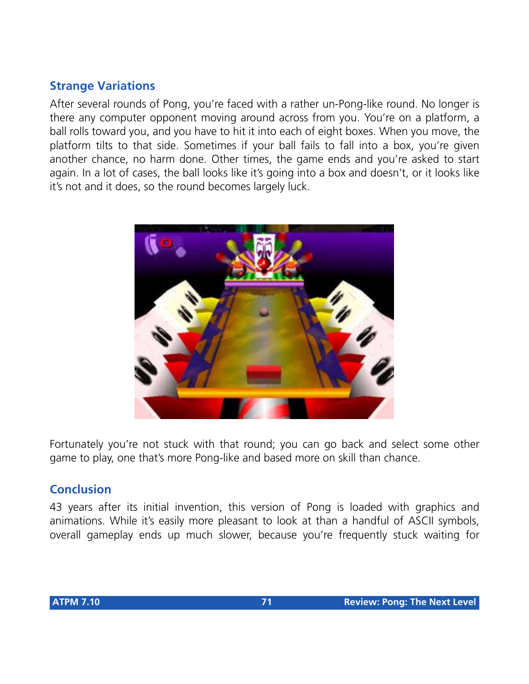## **Strange Variations**

After several rounds of Pong, you're faced with a rather un-Pong-like round. No longer is there any computer opponent moving around across from you. You're on a platform, a ball rolls toward you, and you have to hit it into each of eight boxes. When you move, the platform tilts to that side. Sometimes if your ball fails to fall into a box, you're given another chance, no harm done. Other times, the game ends and you're asked to start again. In a lot of cases, the ball looks like it's going into a box and doesn't, or it looks like it's not and it does, so the round becomes largely luck.



Fortunately you're not stuck with that round; you can go back and select some other game to play, one that's more Pong-like and based more on skill than chance.

## **Conclusion**

43 years after its initial invention, this version of Pong is loaded with graphics and animations. While it's easily more pleasant to look at than a handful of ASCII symbols, overall gameplay ends up much slower, because you're frequently stuck waiting for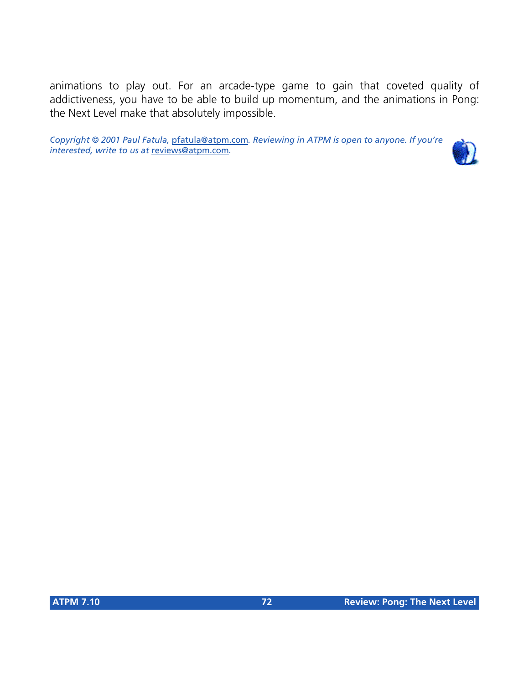animations to play out. For an arcade-type game to gain that coveted quality of addictiveness, you have to be able to build up momentum, and the animations in Pong: the Next Level make that absolutely impossible.

*Copyright © 2001 Paul Fatula,* [pfatula@atpm.com](mailto:pfatula@atpm.com)*. Reviewing in ATPM is open to anyone. If you're interested, write to us at* [reviews@atpm.com](mailto:reviews@atpm.com)*.*

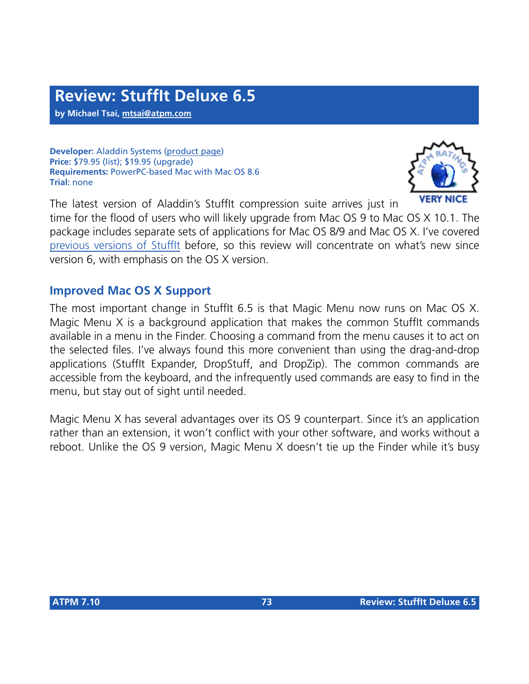**by Michael Tsai, [mtsai@atpm.com](mailto:mtsai@atpm.com)**

**Developer:** Aladdin Systems [\(product page\)](http://www.stuffit.com/stuffit/deluxe/index.html) **Price:** \$79.95 (list); \$19.95 (upgrade) **Requirements:** PowerPC-based Mac with Mac OS 8.6 **Trial:** none



The latest version of Aladdin's StuffIt compression suite arrives just in time for the flood of users who will likely upgrade from Mac OS 9 to Mac OS X 10.1. The package includes separate sets of applications for Mac OS 8/9 and Mac OS X. I've covered [previous versions of StuffIt](http://www.atpm.com/7.01/stuffit-deluxe.shtml) before, so this review will concentrate on what's new since version 6, with emphasis on the OS X version.

## **Improved Mac OS X Support**

The most important change in StuffIt 6.5 is that Magic Menu now runs on Mac OS X. Magic Menu X is a background application that makes the common StuffIt commands available in a menu in the Finder. Choosing a command from the menu causes it to act on the selected files. I've always found this more convenient than using the drag-and-drop applications (StuffIt Expander, DropStuff, and DropZip). The common commands are accessible from the keyboard, and the infrequently used commands are easy to find in the menu, but stay out of sight until needed.

Magic Menu X has several advantages over its OS 9 counterpart. Since it's an application rather than an extension, it won't conflict with your other software, and works without a reboot. Unlike the OS 9 version, Magic Menu X doesn't tie up the Finder while it's busy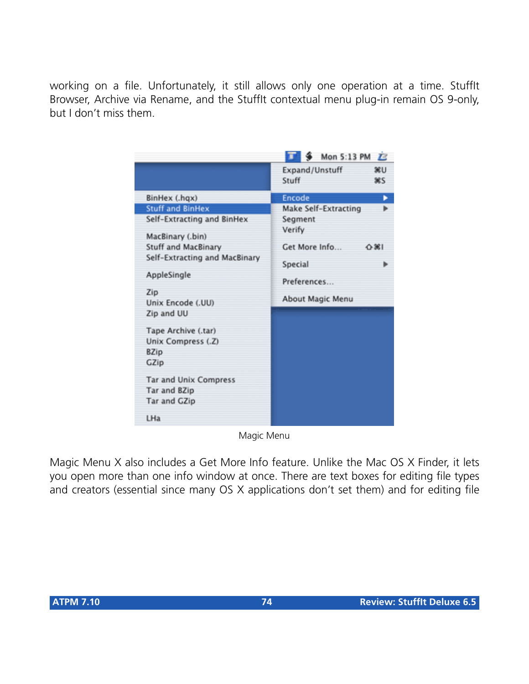working on a file. Unfortunately, it still allows only one operation at a time. StuffIt Browser, Archive via Rename, and the StuffIt contextual menu plug-in remain OS 9-only, but I don't miss them.

|                                                      | Mon 5:13 PM<br>$\boldsymbol{E}$      |
|------------------------------------------------------|--------------------------------------|
|                                                      | Expand/Unstuff<br>3£U<br>Stuff<br>жs |
| BinHex (.hqx)                                        | Encode                               |
| <b>Stuff and BinHex</b>                              | Make Self-Extracting                 |
| Self-Extracting and BinHex<br>MacBinary (.bin)       | Segment<br>Verify                    |
| Stuff and MacBinary<br>Self-Extracting and MacBinary | Get More Info<br>0.981               |
| AppleSingle                                          | Special<br>Preferences               |
| Zip<br>Unix Encode (.UU)                             | About Magic Menu                     |
| Zip and UU<br>Tape Archive (.tar)                    |                                      |
| Unix Compress (.Z)                                   |                                      |
| <b>BZip</b><br>GZip                                  |                                      |
| <b>Tar and Unix Compress</b><br>Tar and BZip         |                                      |
| Tar and GZip                                         |                                      |
| LHa                                                  |                                      |

Magic Menu

Magic Menu X also includes a Get More Info feature. Unlike the Mac OS X Finder, it lets you open more than one info window at once. There are text boxes for editing file types and creators (essential since many OS X applications don't set them) and for editing file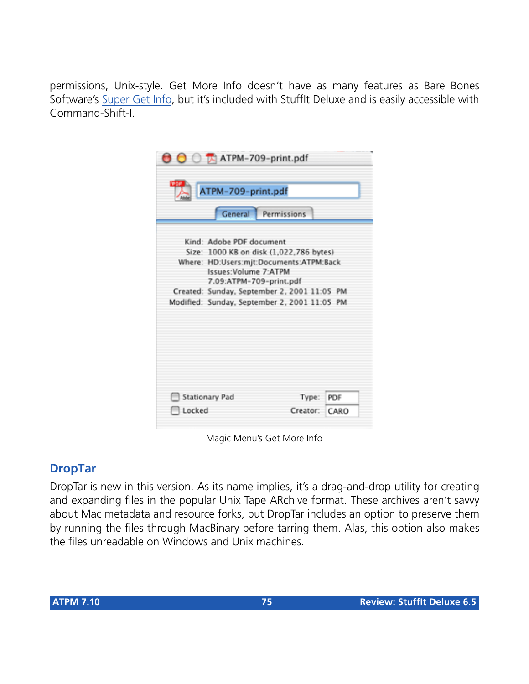permissions, Unix-style. Get More Info doesn't have as many features as Bare Bones Software's [Super Get Info,](#page-78-0) but it's included with StuffIt Deluxe and is easily accessible with Command-Shift-I.

| ATPM-709-print.pdf                           | General Permissions |  |
|----------------------------------------------|---------------------|--|
|                                              |                     |  |
| Kind: Adobe PDF document                     |                     |  |
| Size: 1000 KB on disk (1,022,786 bytes)      |                     |  |
| Where: HD:Users:mjt:Documents:ATPM:Back      |                     |  |
| Issues: Volume 7: ATPM                       |                     |  |
| 7.09:ATPM-709-print.pdf                      |                     |  |
| Created: Sunday, September 2, 2001 11:05 PM  |                     |  |
| Modified: Sunday, September 2, 2001 11:05 PM |                     |  |
|                                              |                     |  |
|                                              |                     |  |
|                                              |                     |  |

Magic Menu's Get More Info

# **DropTar**

DropTar is new in this version. As its name implies, it's a drag-and-drop utility for creating and expanding files in the popular Unix Tape ARchive format. These archives aren't savvy about Mac metadata and resource forks, but DropTar includes an option to preserve them by running the files through MacBinary before tarring them. Alas, this option also makes the files unreadable on Windows and Unix machines.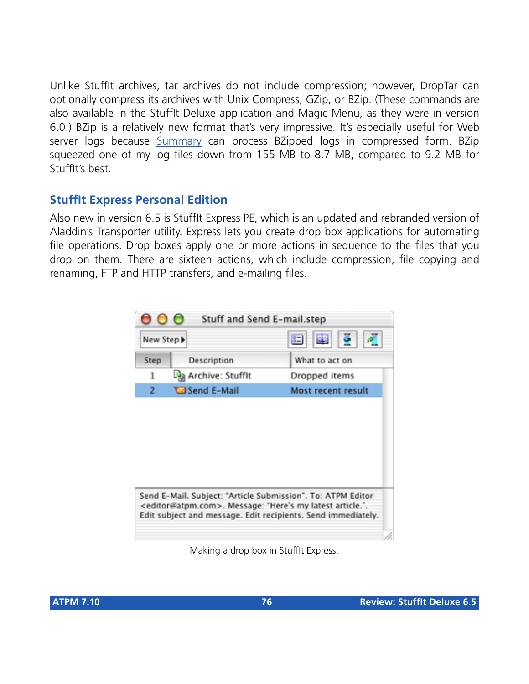Unlike StuffIt archives, tar archives do not include compression; however, DropTar can optionally compress its archives with Unix Compress, GZip, or BZip. (These commands are also available in the StuffIt Deluxe application and Magic Menu, as they were in version 6.0.) BZip is a relatively new format that's very impressive. It's especially useful for Web server logs because [Summary](http://www.summary.net) can process BZipped logs in compressed form. BZip squeezed one of my log files down from 155 MB to 8.7 MB, compared to 9.2 MB for StuffIt's best.

# **StuffIt Express Personal Edition**

Also new in version 6.5 is StuffIt Express PE, which is an updated and rebranded version of Aladdin's Transporter utility. Express lets you create drop box applications for automating file operations. Drop boxes apply one or more actions in sequence to the files that you drop on them. There are sixteen actions, which include compression, file copying and renaming, FTP and HTTP transfers, and e-mailing files.

|          | Stuff and Send E-mail.step |                    |
|----------|----------------------------|--------------------|
| New Step |                            | ö.<br>團<br>阳       |
| Step     | Description                | What to act on     |
| 1        | ်မြို့ Archive: Stuffit    | Dropped items      |
| 2        | <b>Wa Send E-Mail</b>      | Most recent result |
|          |                            |                    |
|          |                            |                    |

Making a drop box in StuffIt Express.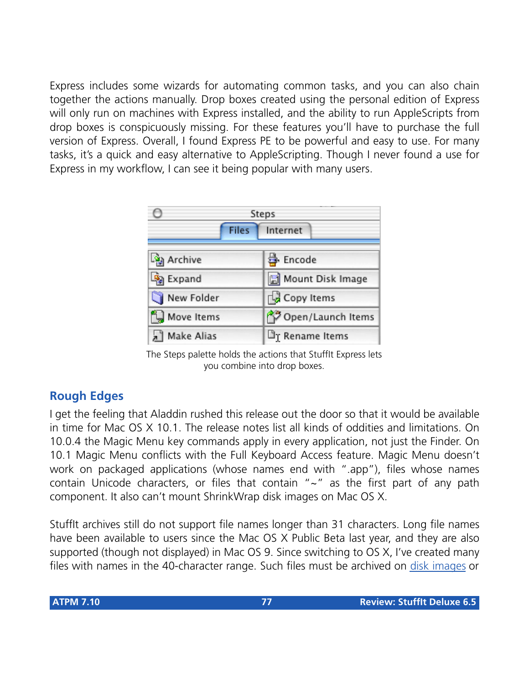Express includes some wizards for automating common tasks, and you can also chain together the actions manually. Drop boxes created using the personal edition of Express will only run on machines with Express installed, and the ability to run AppleScripts from drop boxes is conspicuously missing. For these features you'll have to purchase the full version of Express. Overall, I found Express PE to be powerful and easy to use. For many tasks, it's a quick and easy alternative to AppleScripting. Though I never found a use for Express in my workflow, I can see it being popular with many users.

|                           | Steps                   |
|---------------------------|-------------------------|
| <b>Files</b>              | Internet                |
| <b>B</b> Archive          | 통 Encode                |
| <b>B</b> Expand           | Mount Disk Image        |
| New Folder                | Copy Items              |
| <sup>2</sup> , Move Items | Open/Launch Items       |
| Make Alias                | <b>The Rename Items</b> |

The Steps palette holds the actions that StuffIt Express lets you combine into drop boxes.

# **Rough Edges**

I get the feeling that Aladdin rushed this release out the door so that it would be available in time for Mac OS X 10.1. The release notes list all kinds of oddities and limitations. On 10.0.4 the Magic Menu key commands apply in every application, not just the Finder. On 10.1 Magic Menu conflicts with the Full Keyboard Access feature. Magic Menu doesn't work on packaged applications (whose names end with ".app"), files whose names contain Unicode characters, or files that contain "~" as the first part of any path component. It also can't mount ShrinkWrap disk images on Mac OS X.

StuffIt archives still do not support file names longer than 31 characters. Long file names have been available to users since the Mac OS X Public Beta last year, and they are also supported (though not displayed) in Mac OS 9. Since switching to OS X, I've created many files with names in the 40-character range. Such files must be archived on [disk images](http://www.atpm.com/4.09/page8.shtml) or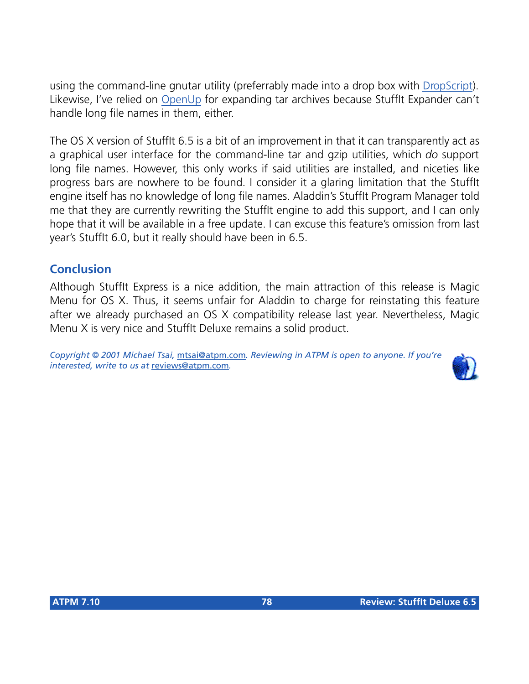using the command-line gnutar utility (preferrably made into a drop box with [DropScript](http://www.apple.com/downloads/macosx/development_tools/dropscript.html)). Likewise, I've relied on [OpenUp](http://www.versiontracker.com/moreinfo.fcgi?id=3285&db=mac) for expanding tar archives because StuffIt Expander can't handle long file names in them, either.

The OS X version of Stufflt 6.5 is a bit of an improvement in that it can transparently act as a graphical user interface for the command-line tar and gzip utilities, which *do* support long file names. However, this only works if said utilities are installed, and niceties like progress bars are nowhere to be found. I consider it a glaring limitation that the StuffIt engine itself has no knowledge of long file names. Aladdin's StuffIt Program Manager told me that they are currently rewriting the StuffIt engine to add this support, and I can only hope that it will be available in a free update. I can excuse this feature's omission from last year's StuffIt 6.0, but it really should have been in 6.5.

# **Conclusion**

Although StuffIt Express is a nice addition, the main attraction of this release is Magic Menu for OS X. Thus, it seems unfair for Aladdin to charge for reinstating this feature after we already purchased an OS X compatibility release last year. Nevertheless, Magic Menu X is very nice and StuffIt Deluxe remains a solid product.

*Copyright © 2001 Michael Tsai,* [mtsai@atpm.com](mailto:mtsai@atpm.com)*. Reviewing in ATPM is open to anyone. If you're interested, write to us at* [reviews@atpm.com](mailto:reviews@atpm.com)*.*

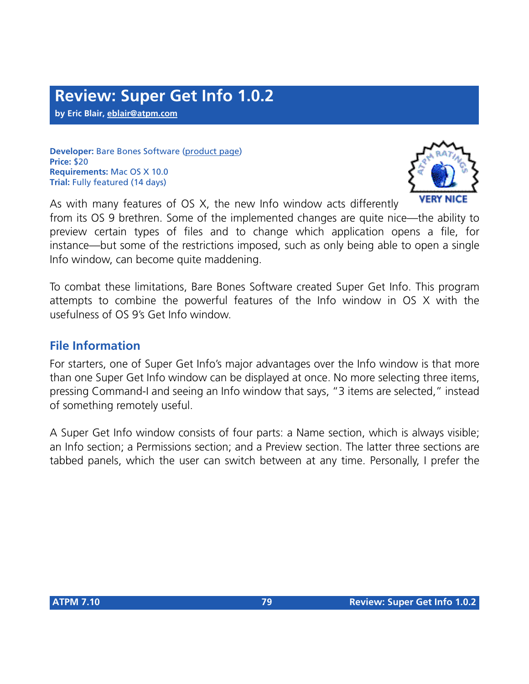**by Eric Blair, [eblair@atpm.com](mailto:eblair@atpm.com)**

**Developer:** Bare Bones Software [\(product page](http://www.barebones.com/products/supergetinfo.html)) **Price:** \$20 **Requirements:** Mac OS X 10.0 **Trial:** Fully featured (14 days)



<span id="page-78-0"></span>As with many features of OS X, the new Info window acts differently from its OS 9 brethren. Some of the implemented changes are quite nice—the ability to preview certain types of files and to change which application opens a file, for instance—but some of the restrictions imposed, such as only being able to open a single Info window, can become quite maddening.

To combat these limitations, Bare Bones Software created Super Get Info. This program attempts to combine the powerful features of the Info window in OS X with the usefulness of OS 9's Get Info window.

## **File Information**

For starters, one of Super Get Info's major advantages over the Info window is that more than one Super Get Info window can be displayed at once. No more selecting three items, pressing Command-I and seeing an Info window that says, "3 items are selected," instead of something remotely useful.

A Super Get Info window consists of four parts: a Name section, which is always visible; an Info section; a Permissions section; and a Preview section. The latter three sections are tabbed panels, which the user can switch between at any time. Personally, I prefer the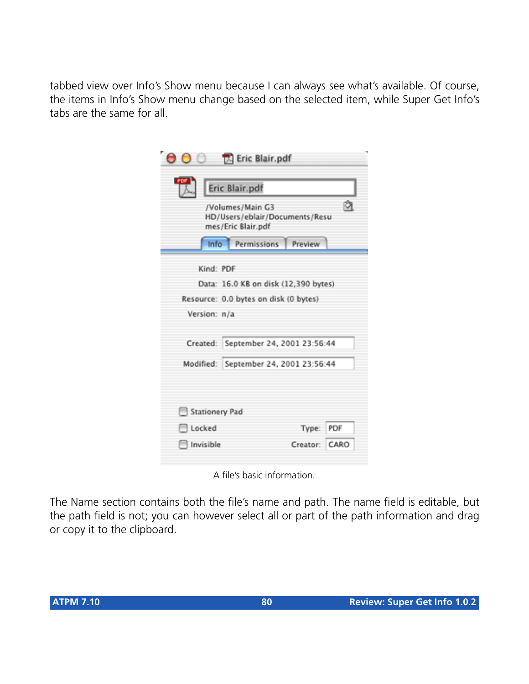tabbed view over Info's Show menu because I can always see what's available. Of course, the items in Info's Show menu change based on the selected item, while Super Get Info's tabs are the same for all.

| PDF                               | Eric Blair.pdf                                                           |     |
|-----------------------------------|--------------------------------------------------------------------------|-----|
|                                   | /Volumes/Main G3<br>HD/Users/eblair/Documents/Resu<br>mes/Eric Blair.pdf |     |
|                                   | Info Permissions<br>Preview                                              |     |
|                                   | Kind: PDF                                                                |     |
|                                   | Data: 16.0 KB on disk (12,390 bytes)                                     |     |
|                                   |                                                                          |     |
|                                   | Resource: 0.0 bytes on disk (0 bytes)                                    |     |
| Version: n/a                      |                                                                          |     |
|                                   | Created: September 24, 2001 23:56:44                                     |     |
|                                   | Modified: September 24, 2001 23:56:44                                    |     |
|                                   |                                                                          |     |
| Stationery Pad<br><b>□</b> Locked | Type:                                                                    | PDF |

A file's basic information.

The Name section contains both the file's name and path. The name field is editable, but the path field is not; you can however select all or part of the path information and drag or copy it to the clipboard.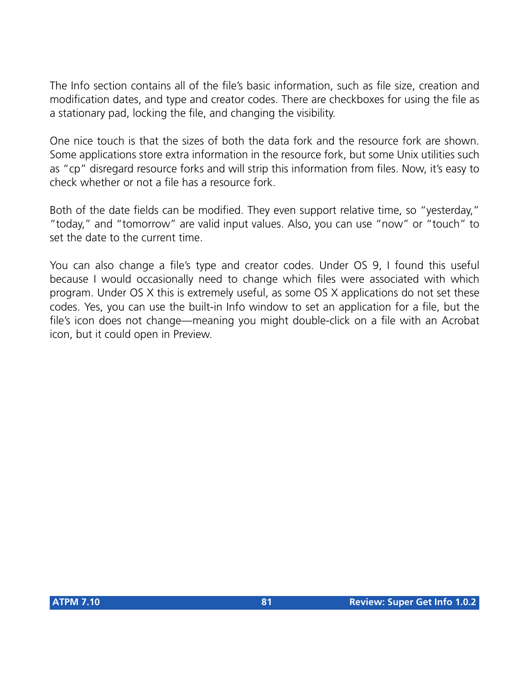The Info section contains all of the file's basic information, such as file size, creation and modification dates, and type and creator codes. There are checkboxes for using the file as a stationary pad, locking the file, and changing the visibility.

One nice touch is that the sizes of both the data fork and the resource fork are shown. Some applications store extra information in the resource fork, but some Unix utilities such as "cp" disregard resource forks and will strip this information from files. Now, it's easy to check whether or not a file has a resource fork.

Both of the date fields can be modified. They even support relative time, so "yesterday," "today," and "tomorrow" are valid input values. Also, you can use "now" or "touch" to set the date to the current time.

You can also change a file's type and creator codes. Under OS 9, I found this useful because I would occasionally need to change which files were associated with which program. Under OS X this is extremely useful, as some OS X applications do not set these codes. Yes, you can use the built-in Info window to set an application for a file, but the file's icon does not change—meaning you might double-click on a file with an Acrobat icon, but it could open in Preview.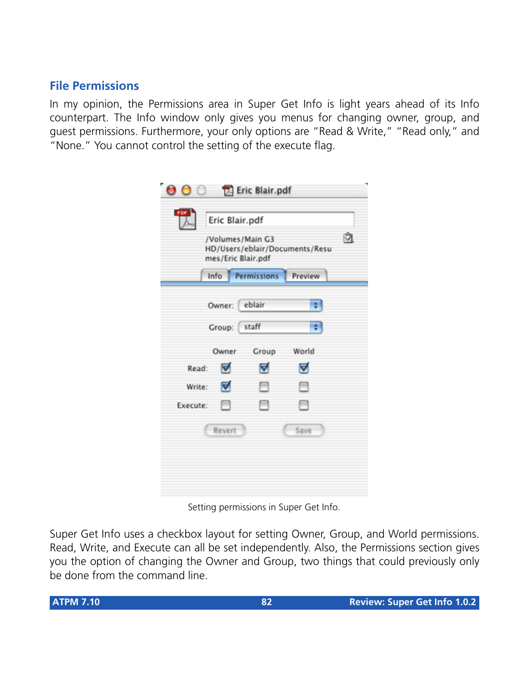# **File Permissions**

In my opinion, the Permissions area in Super Get Info is light years ahead of its Info counterpart. The Info window only gives you menus for changing owner, group, and guest permissions. Furthermore, your only options are "Read & Write," "Read only," and "None." You cannot control the setting of the execute flag.

| <b>OO Z</b> Eric Blair.pdf<br>PDF |                                        |                  |                                |   |
|-----------------------------------|----------------------------------------|------------------|--------------------------------|---|
|                                   | Eric Blair.pdf                         |                  |                                | û |
|                                   | /Volumes/Main G3<br>mes/Eric Blair.pdf |                  | HD/Users/eblair/Documents/Resu |   |
|                                   |                                        | Info Permissions | Preview                        |   |
|                                   | Owner: eblair                          |                  |                                |   |
|                                   | Group: staff                           |                  |                                |   |
|                                   | Owner                                  | Group            | World                          |   |
| Read:                             | ⊽                                      | M                | ⊽                              |   |
| Write:                            | ▿                                      | ⊟                | ⊟                              |   |
| Execute:                          | F                                      | ⊟                | ⊟                              |   |
|                                   | Revert                                 |                  | Save                           |   |
|                                   |                                        |                  |                                |   |
|                                   |                                        |                  |                                |   |
|                                   |                                        |                  |                                |   |

Setting permissions in Super Get Info.

Super Get Info uses a checkbox layout for setting Owner, Group, and World permissions. Read, Write, and Execute can all be set independently. Also, the Permissions section gives you the option of changing the Owner and Group, two things that could previously only be done from the command line.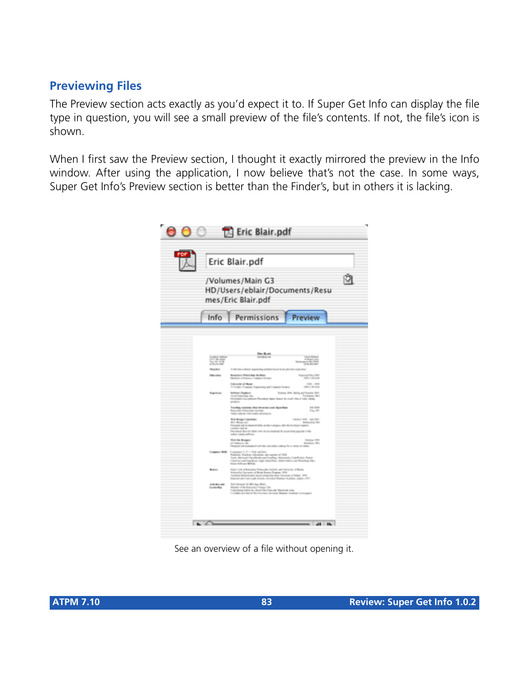# **Previewing Files**

The Preview section acts exactly as you'd expect it to. If Super Get Info can display the file type in question, you will see a small preview of the file's contents. If not, the file's icon is shown.

When I first saw the Preview section, I thought it exactly mirrored the preview in the Info window. After using the application, I now believe that's not the case. In some ways, Super Get Info's Preview section is better than the Finder's, but in others it is lacking.

|                                                                          | Eric Blair.pdf                                                                                                                                                                                                                                                            |                                                   |  |
|--------------------------------------------------------------------------|---------------------------------------------------------------------------------------------------------------------------------------------------------------------------------------------------------------------------------------------------------------------------|---------------------------------------------------|--|
| /Volumes/Main G3<br>HD/Users/eblair/Documents/Resu<br>mes/Eric Blair.pdf |                                                                                                                                                                                                                                                                           |                                                   |  |
| Info                                                                     | Permissions                                                                                                                                                                                                                                                               | Preview                                           |  |
|                                                                          |                                                                                                                                                                                                                                                                           |                                                   |  |
|                                                                          | <b>Backburn</b><br>cannot us not                                                                                                                                                                                                                                          |                                                   |  |
| <br>Sea 25' STO                                                          |                                                                                                                                                                                                                                                                           | The Books are                                     |  |
| <b>Photoshu</b>                                                          | A hall tank schools angestrategy product based as top paint on                                                                                                                                                                                                            |                                                   |  |
| <b>Holtzschlag</b>                                                       | <b>Museum Printo Auto Auctions</b><br>Hiefels of Science Consider Science                                                                                                                                                                                                 | <b><i><u>Rapida MacIllista</u></i></b>            |  |
|                                                                          | <b><i><u>GRAIN ATRAIT</u></i></b><br>5 Under Crayers Exploring and Consuler Arizons                                                                                                                                                                                       | create company<br>1941年4月                         |  |
| <b>Elizabeth Amer</b>                                                    | School Eaglest<br>feral Endeavokans Ann.<br>Electroped analyzations Phonodograpper Season for cluster's floor of today rating<br>products.                                                                                                                                | Summer 2000, Naving and Summer 2002<br>Emblem, MY |  |
|                                                                          | Tracking contrast, Octo Services and Marchine.<br>Russ on New York, and New York Health<br>Add radial VB with Murgulk                                                                                                                                                     | 14.315<br>Fox Art                                 |  |
|                                                                          | <b>You Broke Canadian</b>                                                                                                                                                                                                                                                 | Capital (MR  July 2007)                           |  |
|                                                                          | <b>W.I. Moore Lift</b><br>Finanzi asi minasarindha prabatasigan ahmibalani any sepert<br>contact rations.<br>Dentisted also to three role on destroyed by to certifying spatially trafic.                                                                                 | Bellinched, NY                                    |  |
|                                                                          | colling condition and the pos-<br><b>With File Braigany</b>                                                                                                                                                                                                               | <b>Summer Hire</b>                                |  |
|                                                                          | Canada Se<br>Designed and exploration is to design and endors continue the car various of choses.                                                                                                                                                                         | Andrey Wi-                                        |  |
| Computer Malle                                                           | Longsteent - C. Fr - . Full and here<br>Fusham Findrey, Meanon, and support of ASS.<br>Teatr Malayat Vacallisationist Foodbyn, McGowally Cale Musics, Baled<br>Chall as and Santisan, Apply Qualchee, Addressing or Municipal App<br><b>Data Advise MSA</b>               |                                                   |  |
| <b>Bones</b>                                                             | Flush (Sil of Rose Bay Principle Series) and Administration Richards<br>Informative Company of Monte Rousse, Negron, 1918)<br>Annalysis Alafangingsis Japani principality Kom I Neumatic of Hilpsd., 1919.<br>Schedel and Law South, Service Photos: Audust (Spiel, 1987) |                                                   |  |
| 120104-008<br>Excellentings                                              | With Geological Star Mills August Mills of<br>Monther of the Automatics Centres' Mi.<br>Contribution Editor for News You Protected: Winterfolk come.                                                                                                                      |                                                   |  |

See an overview of a file without opening it.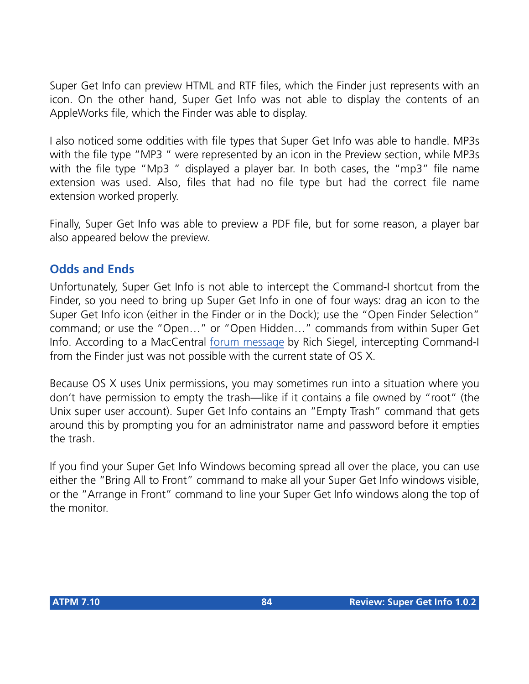Super Get Info can preview HTML and RTF files, which the Finder just represents with an icon. On the other hand, Super Get Info was not able to display the contents of an AppleWorks file, which the Finder was able to display.

I also noticed some oddities with file types that Super Get Info was able to handle. MP3s with the file type "MP3 " were represented by an icon in the Preview section, while MP3s with the file type "Mp3" displayed a player bar. In both cases, the "mp3" file name extension was used. Also, files that had no file type but had the correct file name extension worked properly.

Finally, Super Get Info was able to preview a PDF file, but for some reason, a player bar also appeared below the preview.

# **Odds and Ends**

Unfortunately, Super Get Info is not able to intercept the Command-I shortcut from the Finder, so you need to bring up Super Get Info in one of four ways: drag an icon to the Super Get Info icon (either in the Finder or in the Dock); use the "Open Finder Selection" command; or use the "Open…" or "Open Hidden…" commands from within Super Get Info. According to a MacCentral [forum message](http://maccentral.macworld.com/storyforum/forums/2001/07/06/supergetinfo/?read=5) by Rich Siegel, intercepting Command-I from the Finder just was not possible with the current state of OS X.

Because OS X uses Unix permissions, you may sometimes run into a situation where you don't have permission to empty the trash—like if it contains a file owned by "root" (the Unix super user account). Super Get Info contains an "Empty Trash" command that gets around this by prompting you for an administrator name and password before it empties the trash.

If you find your Super Get Info Windows becoming spread all over the place, you can use either the "Bring All to Front" command to make all your Super Get Info windows visible, or the "Arrange in Front" command to line your Super Get Info windows along the top of the monitor.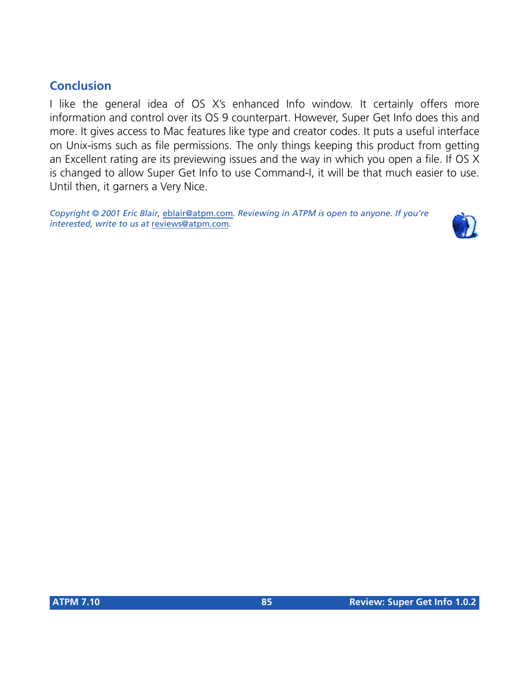# **Conclusion**

I like the general idea of OS X's enhanced Info window. It certainly offers more information and control over its OS 9 counterpart. However, Super Get Info does this and more. It gives access to Mac features like type and creator codes. It puts a useful interface on Unix-isms such as file permissions. The only things keeping this product from getting an Excellent rating are its previewing issues and the way in which you open a file. If OS X is changed to allow Super Get Info to use Command-I, it will be that much easier to use. Until then, it garners a Very Nice.

*Copyright © 2001 Eric Blair,* [eblair@atpm.com](mailto:eblair@atpm.com)*. Reviewing in ATPM is open to anyone. If you're interested, write to us at* [reviews@atpm.com](mailto:reviews@atpm.com)*.*

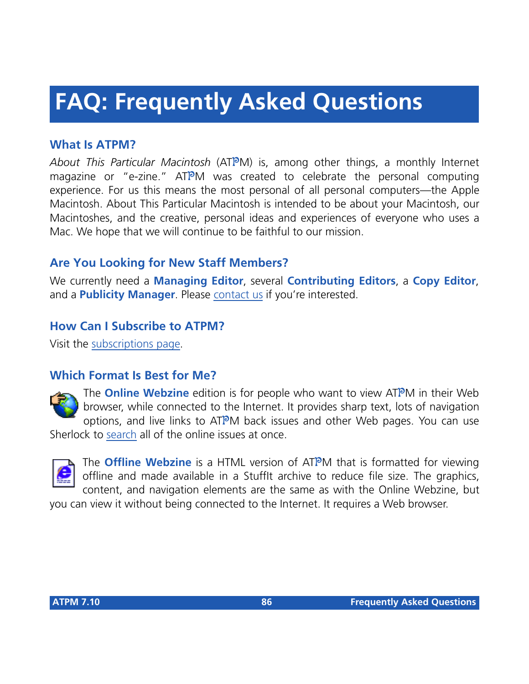# **FAQ: Frequently Asked Questions**

# **What Is ATPM?**

*About This Particular Macintosh* (ATPM) is, among other things, a monthly Internet magazine or "e-zine." ATPM was created to celebrate the personal computing experience. For us this means the most personal of all personal computers—the Apple Macintosh. About This Particular Macintosh is intended to be about your Macintosh, our Macintoshes, and the creative, personal ideas and experiences of everyone who uses a Mac. We hope that we will continue to be faithful to our mission.

# **Are You Looking for New Staff Members?**

We currently need a **Managing Editor**, several **Contributing Editors**, a **Copy Editor**, and a **Publicity Manager**. Please [contact us](mailto:editor@atpm.com) if you're interested.

# **How Can I Subscribe to ATPM?**

Visit the [subscriptions page](http://www.atpm.com/subscribe).

## **Which Format Is Best for Me?**



The **Online Webzine** edition is for people who want to view ATPM in their Web browser, while connected to the Internet. It provides sharp text, lots of navigation options, and live links to ATPM back issues and other Web pages. You can use Sherlock to [search](http://www.atpm.com/search) all of the online issues at once.



The **Offline Webzine** is a HTML version of ATPM that is formatted for viewing offline and made available in a StuffIt archive to reduce file size. The graphics, content, and navigation elements are the same as with the Online Webzine, but

you can view it without being connected to the Internet. It requires a Web browser.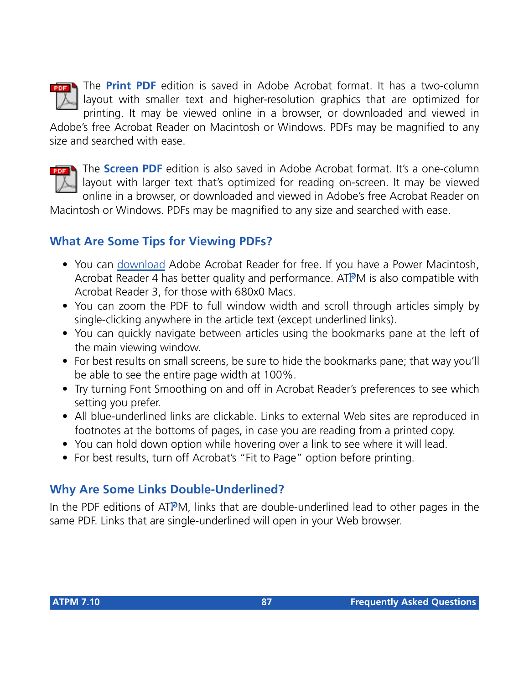

The **Print PDF** edition is saved in Adobe Acrobat format. It has a two-column layout with smaller text and higher-resolution graphics that are optimized for printing. It may be viewed online in a browser, or downloaded and viewed in

Adobe's free Acrobat Reader on Macintosh or Windows. PDFs may be magnified to any size and searched with ease.



The **Screen PDF** edition is also saved in Adobe Acrobat format. It's a one-column layout with larger text that's optimized for reading on-screen. It may be viewed online in a browser, or downloaded and viewed in Adobe's free Acrobat Reader on

Macintosh or Windows. PDFs may be magnified to any size and searched with ease.

# **What Are Some Tips for Viewing PDFs?**

- You can [download](http://www.adobe.com/prodindex/acrobat/readstep.html) Adobe Acrobat Reader for free. If you have a Power Macintosh, Acrobat Reader 4 has better quality and performance. ATPM is also compatible with Acrobat Reader 3, for those with 680x0 Macs.
- You can zoom the PDF to full window width and scroll through articles simply by single-clicking anywhere in the article text (except underlined links).
- You can quickly navigate between articles using the bookmarks pane at the left of the main viewing window.
- For best results on small screens, be sure to hide the bookmarks pane; that way you'll be able to see the entire page width at 100%.
- Try turning Font Smoothing on and off in Acrobat Reader's preferences to see which setting you prefer.
- All blue-underlined links are clickable. Links to external Web sites are reproduced in footnotes at the bottoms of pages, in case you are reading from a printed copy.
- You can hold down option while hovering over a link to see where it will lead.
- For best results, turn off Acrobat's "Fit to Page" option before printing.

# **Why Are Some Links Double-Underlined?**

In the PDF editions of ATPM, links that are double-underlined lead to other pages in the same PDF. Links that are single-underlined will open in your Web browser.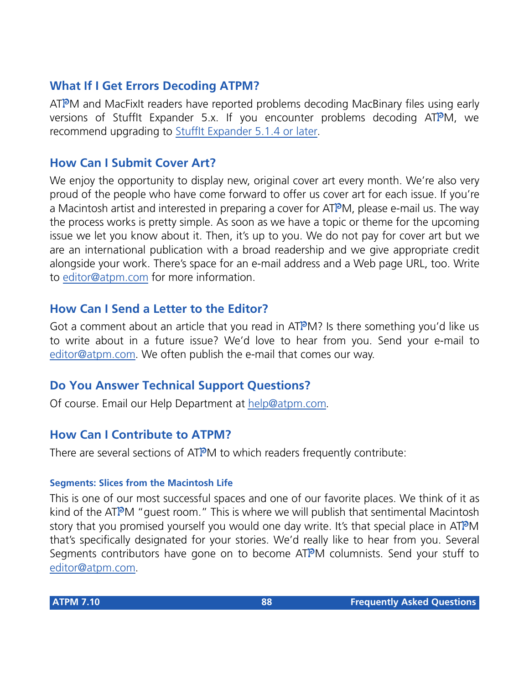# **What If I Get Errors Decoding ATPM?**

ATPM and MacFixIt readers have reported problems decoding MacBinary files using early versions of Stufflt Expander 5.x. If you encounter problems decoding ATPM, we recommend upgrading to [StuffIt Expander 5.1.4 or later](http://www.aladdinsys.com/expander/index.html).

#### **How Can I Submit Cover Art?**

We enjoy the opportunity to display new, original cover art every month. We're also very proud of the people who have come forward to offer us cover art for each issue. If you're a Macintosh artist and interested in preparing a cover for ATPM, please e-mail us. The way the process works is pretty simple. As soon as we have a topic or theme for the upcoming issue we let you know about it. Then, it's up to you. We do not pay for cover art but we are an international publication with a broad readership and we give appropriate credit alongside your work. There's space for an e-mail address and a Web page URL, too. Write to [editor@atpm.com](mailto:editor@atpm.com) for more information.

#### **How Can I Send a Letter to the Editor?**

Got a comment about an article that you read in  $ATPM$ ? Is there something you'd like us to write about in a future issue? We'd love to hear from you. Send your e-mail to [editor@atpm.com.](mailto:editor@atpm.com) We often publish the e-mail that comes our way.

## **Do You Answer Technical Support Questions?**

Of course. Email our Help Department at [help@atpm.com](mailto:help@atpm.com).

## **How Can I Contribute to ATPM?**

There are several sections of ATPM to which readers frequently contribute:

#### **Segments: Slices from the Macintosh Life**

This is one of our most successful spaces and one of our favorite places. We think of it as kind of the ATPM "guest room." This is where we will publish that sentimental Macintosh story that you promised yourself you would one day write. It's that special place in ATPM that's specifically designated for your stories. We'd really like to hear from you. Several Segments contributors have gone on to become ATPM columnists. Send your stuff to [editor@atpm.com.](mailto:editor@atpm.com)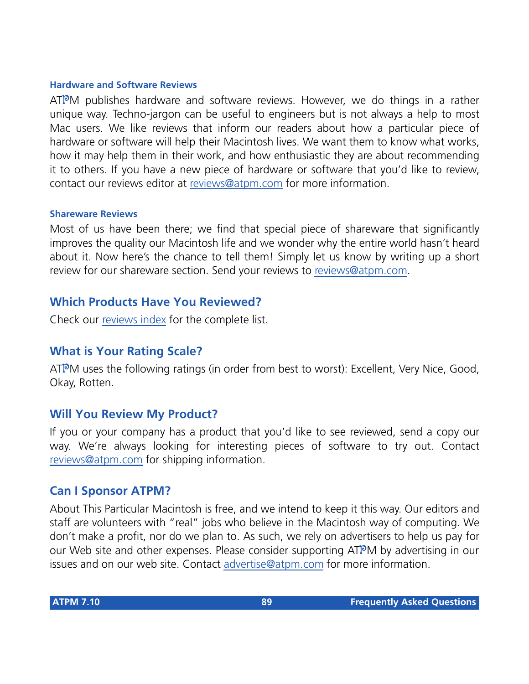#### **Hardware and Software Reviews**

ATPM publishes hardware and software reviews. However, we do things in a rather unique way. Techno-jargon can be useful to engineers but is not always a help to most Mac users. We like reviews that inform our readers about how a particular piece of hardware or software will help their Macintosh lives. We want them to know what works, how it may help them in their work, and how enthusiastic they are about recommending it to others. If you have a new piece of hardware or software that you'd like to review, contact our reviews editor at [reviews@atpm.com](mailto:reviews@atpm.com) for more information.

#### **Shareware Reviews**

Most of us have been there; we find that special piece of shareware that significantly improves the quality our Macintosh life and we wonder why the entire world hasn't heard about it. Now here's the chance to tell them! Simply let us know by writing up a short review for our shareware section. Send your reviews to [reviews@atpm.com](mailto:reviews@atpm.com).

#### **Which Products Have You Reviewed?**

Check our [reviews index](http://www.atpm.com/reviews) for the complete list.

## **What is Your Rating Scale?**

ATPM uses the following ratings (in order from best to worst): Excellent, Very Nice, Good, Okay, Rotten.

## **Will You Review My Product?**

If you or your company has a product that you'd like to see reviewed, send a copy our way. We're always looking for interesting pieces of software to try out. Contact [reviews@atpm.com](mailto:reviews@atpm.com) for shipping information.

#### **Can I Sponsor ATPM?**

About This Particular Macintosh is free, and we intend to keep it this way. Our editors and staff are volunteers with "real" jobs who believe in the Macintosh way of computing. We don't make a profit, nor do we plan to. As such, we rely on advertisers to help us pay for our Web site and other expenses. Please consider supporting ATPM by advertising in our issues and on our web site. Contact<advertise@atpm.com>for more information.